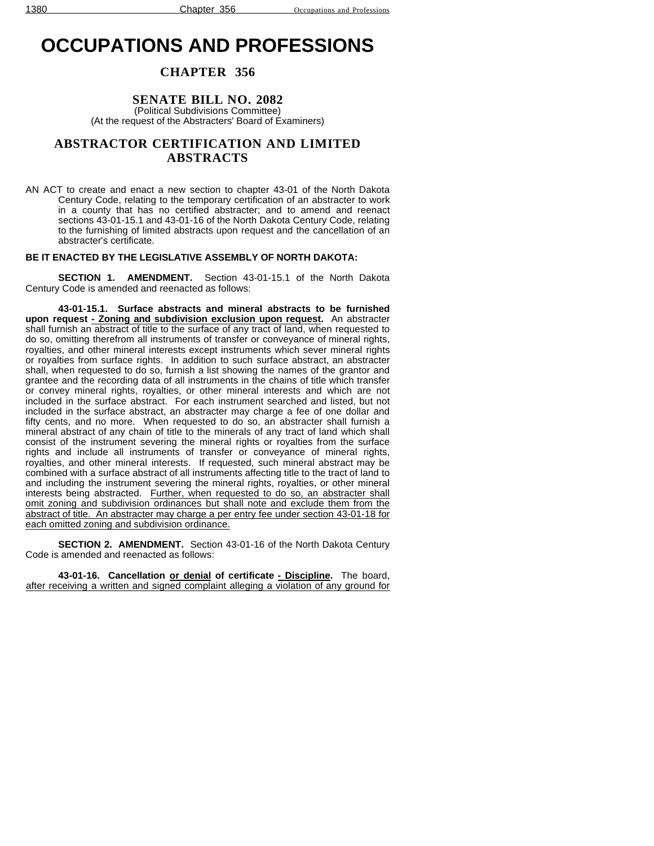# **OCCUPATIONS AND PROFESSIONS**

## **CHAPTER 356**

**SENATE BILL NO. 2082**

(Political Subdivisions Committee) (At the request of the Abstracters' Board of Examiners)

## **ABSTRACTOR CERTIFICATION AND LIMITED ABSTRACTS**

AN ACT to create and enact a new section to chapter 43-01 of the North Dakota Century Code, relating to the temporary certification of an abstracter to work in a county that has no certified abstracter; and to amend and reenact sections 43-01-15.1 and 43-01-16 of the North Dakota Century Code, relating to the furnishing of limited abstracts upon request and the cancellation of an abstracter's certificate.

#### **BE IT ENACTED BY THE LEGISLATIVE ASSEMBLY OF NORTH DAKOTA:**

**SECTION 1. AMENDMENT.** Section 43-01-15.1 of the North Dakota Century Code is amended and reenacted as follows:

**43-01-15.1. Surface abstracts and mineral abstracts to be furnished upon request - Zoning and subdivision exclusion upon request.** An abstracter shall furnish an abstract of title to the surface of any tract of land, when requested to do so, omitting therefrom all instruments of transfer or conveyance of mineral rights, royalties, and other mineral interests except instruments which sever mineral rights or royalties from surface rights. In addition to such surface abstract, an abstracter shall, when requested to do so, furnish a list showing the names of the grantor and grantee and the recording data of all instruments in the chains of title which transfer or convey mineral rights, royalties, or other mineral interests and which are not included in the surface abstract. For each instrument searched and listed, but not included in the surface abstract, an abstracter may charge a fee of one dollar and fifty cents, and no more. When requested to do so, an abstracter shall furnish a mineral abstract of any chain of title to the minerals of any tract of land which shall consist of the instrument severing the mineral rights or royalties from the surface rights and include all instruments of transfer or conveyance of mineral rights, royalties, and other mineral interests. If requested, such mineral abstract may be combined with a surface abstract of all instruments affecting title to the tract of land to and including the instrument severing the mineral rights, royalties, or other mineral interests being abstracted. Further, when requested to do so, an abstracter shall omit zoning and subdivision ordinances but shall note and exclude them from the abstract of title. An abstracter may charge a per entry fee under section 43-01-18 for each omitted zoning and subdivision ordinance.

**SECTION 2. AMENDMENT.** Section 43-01-16 of the North Dakota Century Code is amended and reenacted as follows:

**43-01-16. Cancellation or denial of certificate - Discipline.** The board, after receiving a written and signed complaint alleging a violation of any ground for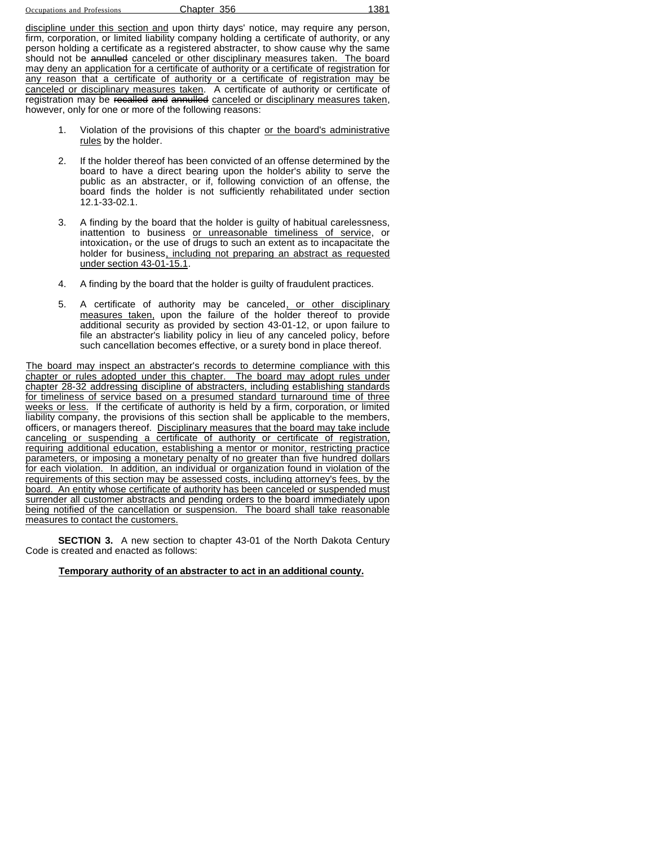Occupations and Professions **Chapter 356** 1381

discipline under this section and upon thirty days' notice, may require any person, firm, corporation, or limited liability company holding a certificate of authority, or any person holding a certificate as a registered abstracter, to show cause why the same should not be annulled canceled or other disciplinary measures taken. The board may deny an application for a certificate of authority or a certificate of registration for any reason that a certificate of authority or a certificate of registration may be canceled or disciplinary measures taken. A certificate of authority or certificate of registration may be recalled and annulled canceled or disciplinary measures taken, however, only for one or more of the following reasons:

- 1. Violation of the provisions of this chapter or the board's administrative rules by the holder.
- 2. If the holder thereof has been convicted of an offense determined by the board to have a direct bearing upon the holder's ability to serve the public as an abstracter, or if, following conviction of an offense, the board finds the holder is not sufficiently rehabilitated under section 12.1-33-02.1.
- 3. A finding by the board that the holder is guilty of habitual carelessness, inattention to business or unreasonable timeliness of service, or intoxication, or the use of drugs to such an extent as to incapacitate the holder for business, including not preparing an abstract as requested under section 43-01-15.1.
- 4. A finding by the board that the holder is guilty of fraudulent practices.
- 5. A certificate of authority may be canceled, or other disciplinary measures taken, upon the failure of the holder thereof to provide additional security as provided by section 43-01-12, or upon failure to file an abstracter's liability policy in lieu of any canceled policy, before such cancellation becomes effective, or a surety bond in place thereof.

The board may inspect an abstracter's records to determine compliance with this chapter or rules adopted under this chapter. The board may adopt rules under chapter 28-32 addressing discipline of abstracters, including establishing standards for timeliness of service based on a presumed standard turnaround time of three weeks or less. If the certificate of authority is held by a firm, corporation, or limited liability company, the provisions of this section shall be applicable to the members, officers, or managers thereof. Disciplinary measures that the board may take include canceling or suspending a certificate of authority or certificate of registration, requiring additional education, establishing a mentor or monitor, restricting practice parameters, or imposing a monetary penalty of no greater than five hundred dollars for each violation. In addition, an individual or organization found in violation of the requirements of this section may be assessed costs, including attorney's fees, by the board. An entity whose certificate of authority has been canceled or suspended must surrender all customer abstracts and pending orders to the board immediately upon being notified of the cancellation or suspension. The board shall take reasonable measures to contact the customers.

**SECTION 3.** A new section to chapter 43-01 of the North Dakota Century Code is created and enacted as follows:

**Temporary authority of an abstracter to act in an additional county.**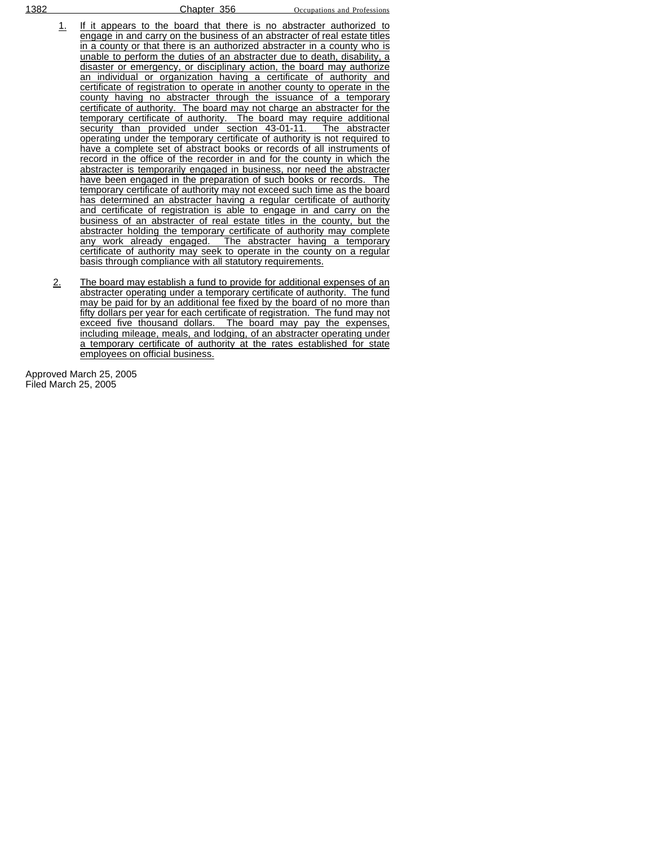- 1. If it appears to the board that there is no abstracter authorized to engage in and carry on the business of an abstracter of real estate titles in a county or that there is an authorized abstracter in a county who is unable to perform the duties of an abstracter due to death, disability, a disaster or emergency, or disciplinary action, the board may authorize an individual or organization having a certificate of authority and certificate of registration to operate in another county to operate in the county having no abstracter through the issuance of a temporary certificate of authority. The board may not charge an abstracter for the temporary certificate of authority. The board may require additional security than provided under section 43-01-11. The abstracter operating under the temporary certificate of authority is not required to have a complete set of abstract books or records of all instruments of record in the office of the recorder in and for the county in which the abstracter is temporarily engaged in business, nor need the abstracter have been engaged in the preparation of such books or records. The temporary certificate of authority may not exceed such time as the board has determined an abstracter having a regular certificate of authority and certificate of registration is able to engage in and carry on the business of an abstracter of real estate titles in the county, but the abstracter holding the temporary certificate of authority may complete any work already engaged. The abstracter having a temporary certificate of authority may seek to operate in the county on a regular basis through compliance with all statutory requirements.
- 2. The board may establish a fund to provide for additional expenses of an abstracter operating under a temporary certificate of authority. The fund may be paid for by an additional fee fixed by the board of no more than fifty dollars per year for each certificate of registration. The fund may not exceed five thousand dollars. The board may pay the expenses, including mileage, meals, and lodging, of an abstracter operating under a temporary certificate of authority at the rates established for state employees on official business.

Approved March 25, 2005 Filed March 25, 2005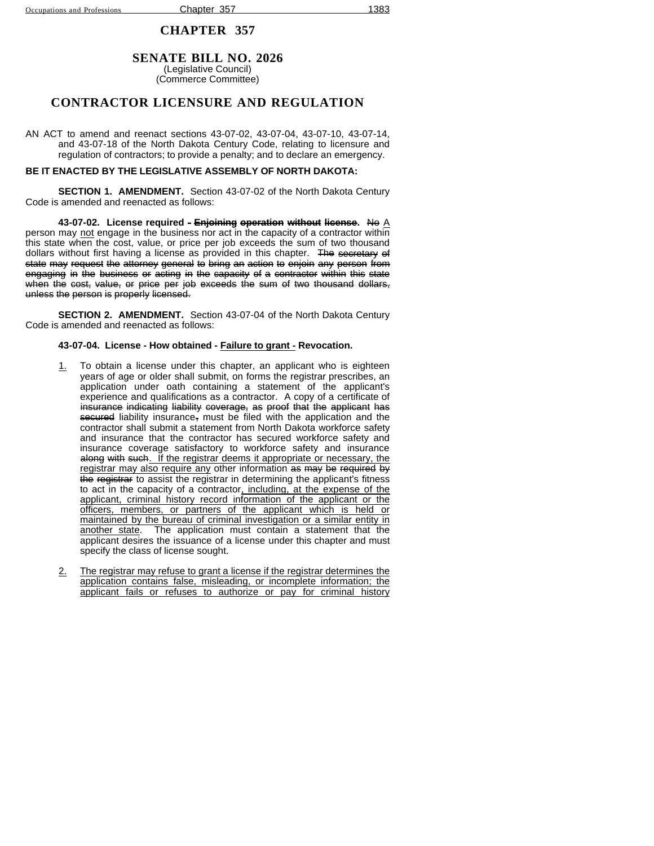## **SENATE BILL NO. 2026**

(Legislative Council) (Commerce Committee)

## **CONTRACTOR LICENSURE AND REGULATION**

AN ACT to amend and reenact sections 43-07-02, 43-07-04, 43-07-10, 43-07-14, and 43-07-18 of the North Dakota Century Code, relating to licensure and regulation of contractors; to provide a penalty; and to declare an emergency.

#### **BE IT ENACTED BY THE LEGISLATIVE ASSEMBLY OF NORTH DAKOTA:**

**SECTION 1. AMENDMENT.** Section 43-07-02 of the North Dakota Century Code is amended and reenacted as follows:

**43-07-02. License required - Enjoining operation without license.** No A person may not engage in the business nor act in the capacity of a contractor within this state when the cost, value, or price per job exceeds the sum of two thousand dollars without first having a license as provided in this chapter. The secretary of state may request the attorney general to bring an action to enjoin any person from engaging in the business or acting in the capacity of a contractor within this state when the cost, value, or price per job exceeds the sum of two thousand dollars, unless the person is properly licensed.

**SECTION 2. AMENDMENT.** Section 43-07-04 of the North Dakota Century Code is amended and reenacted as follows:

#### **43-07-04. License - How obtained - Failure to grant - Revocation.**

- 1. To obtain a license under this chapter, an applicant who is eighteen years of age or older shall submit, on forms the registrar prescribes, an application under oath containing a statement of the applicant's experience and qualifications as a contractor. A copy of a certificate of insurance indicating liability coverage, as proof that the applicant has secured liability insurance, must be filed with the application and the contractor shall submit a statement from North Dakota workforce safety and insurance that the contractor has secured workforce safety and insurance coverage satisfactory to workforce safety and insurance along with such. If the registrar deems it appropriate or necessary, the registrar may also require any other information as may be required by the registrar to assist the registrar in determining the applicant's fitness to act in the capacity of a contractor, including, at the expense of the applicant, criminal history record information of the applicant or the officers, members, or partners of the applicant which is held or maintained by the bureau of criminal investigation or a similar entity in another state. The application must contain a statement that the applicant desires the issuance of a license under this chapter and must specify the class of license sought.
- 2. The registrar may refuse to grant a license if the registrar determines the application contains false, misleading, or incomplete information; the applicant fails or refuses to authorize or pay for criminal history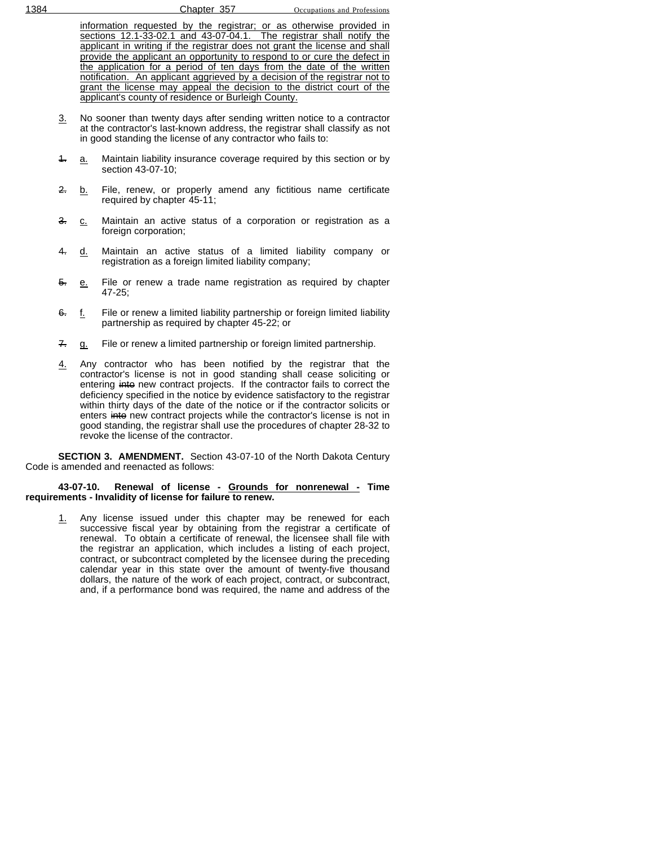information requested by the registrar; or as otherwise provided in sections 12.1-33-02.1 and 43-07-04.1. The registrar shall notify the applicant in writing if the registrar does not grant the license and shall provide the applicant an opportunity to respond to or cure the defect in the application for a period of ten days from the date of the written notification. An applicant aggrieved by a decision of the registrar not to grant the license may appeal the decision to the district court of the applicant's county of residence or Burleigh County.

- 3. No sooner than twenty days after sending written notice to a contractor at the contractor's last-known address, the registrar shall classify as not in good standing the license of any contractor who fails to:
- 4. a. Maintain liability insurance coverage required by this section or by section 43-07-10;
- 2. b. File, renew, or properly amend any fictitious name certificate required by chapter 45-11;
- 3. c. Maintain an active status of a corporation or registration as a foreign corporation;
- 4. d. Maintain an active status of a limited liability company or registration as a foreign limited liability company;
- 5. e. File or renew a trade name registration as required by chapter 47-25;
- 6. f. File or renew a limited liability partnership or foreign limited liability partnership as required by chapter 45-22; or
- 7. g. File or renew a limited partnership or foreign limited partnership.
- 4. Any contractor who has been notified by the registrar that the contractor's license is not in good standing shall cease soliciting or entering into new contract projects. If the contractor fails to correct the deficiency specified in the notice by evidence satisfactory to the registrar within thirty days of the date of the notice or if the contractor solicits or enters into new contract projects while the contractor's license is not in good standing, the registrar shall use the procedures of chapter 28-32 to revoke the license of the contractor.

**SECTION 3. AMENDMENT.** Section 43-07-10 of the North Dakota Century Code is amended and reenacted as follows:

#### **43-07-10. Renewal of license - Grounds for nonrenewal - Time requirements - Invalidity of license for failure to renew.**

1. Any license issued under this chapter may be renewed for each successive fiscal year by obtaining from the registrar a certificate of renewal. To obtain a certificate of renewal, the licensee shall file with the registrar an application, which includes a listing of each project, contract, or subcontract completed by the licensee during the preceding calendar year in this state over the amount of twenty-five thousand dollars, the nature of the work of each project, contract, or subcontract, and, if a performance bond was required, the name and address of the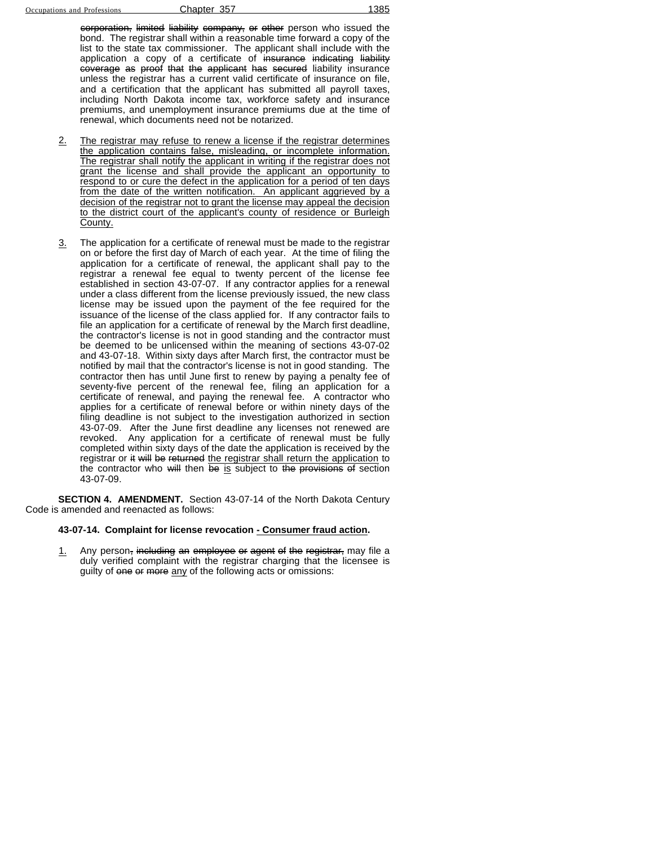corporation, limited liability company, or other person who issued the bond. The registrar shall within a reasonable time forward a copy of the list to the state tax commissioner. The applicant shall include with the application a copy of a certificate of insurance indicating liability coverage as proof that the applicant has secured liability insurance unless the registrar has a current valid certificate of insurance on file, and a certification that the applicant has submitted all payroll taxes, including North Dakota income tax, workforce safety and insurance premiums, and unemployment insurance premiums due at the time of renewal, which documents need not be notarized.

- 2. The registrar may refuse to renew a license if the registrar determines the application contains false, misleading, or incomplete information. The registrar shall notify the applicant in writing if the registrar does not grant the license and shall provide the applicant an opportunity to respond to or cure the defect in the application for a period of ten days from the date of the written notification. An applicant aggrieved by a decision of the registrar not to grant the license may appeal the decision to the district court of the applicant's county of residence or Burleigh County.
- 3. The application for a certificate of renewal must be made to the registrar on or before the first day of March of each year. At the time of filing the application for a certificate of renewal, the applicant shall pay to the registrar a renewal fee equal to twenty percent of the license fee established in section 43-07-07. If any contractor applies for a renewal under a class different from the license previously issued, the new class license may be issued upon the payment of the fee required for the issuance of the license of the class applied for. If any contractor fails to file an application for a certificate of renewal by the March first deadline, the contractor's license is not in good standing and the contractor must be deemed to be unlicensed within the meaning of sections 43-07-02 and 43-07-18. Within sixty days after March first, the contractor must be notified by mail that the contractor's license is not in good standing. The contractor then has until June first to renew by paying a penalty fee of seventy-five percent of the renewal fee, filing an application for a certificate of renewal, and paying the renewal fee. A contractor who applies for a certificate of renewal before or within ninety days of the filing deadline is not subject to the investigation authorized in section 43-07-09. After the June first deadline any licenses not renewed are revoked. Any application for a certificate of renewal must be fully completed within sixty days of the date the application is received by the registrar or it will be returned the registrar shall return the application to the contractor who will then be is subject to the provisions of section 43-07-09.

**SECTION 4. AMENDMENT.** Section 43-07-14 of the North Dakota Century Code is amended and reenacted as follows:

#### **43-07-14. Complaint for license revocation - Consumer fraud action.**

1. Any person, including an employee or agent of the registrar, may file a duly verified complaint with the registrar charging that the licensee is guilty of one or more any of the following acts or omissions: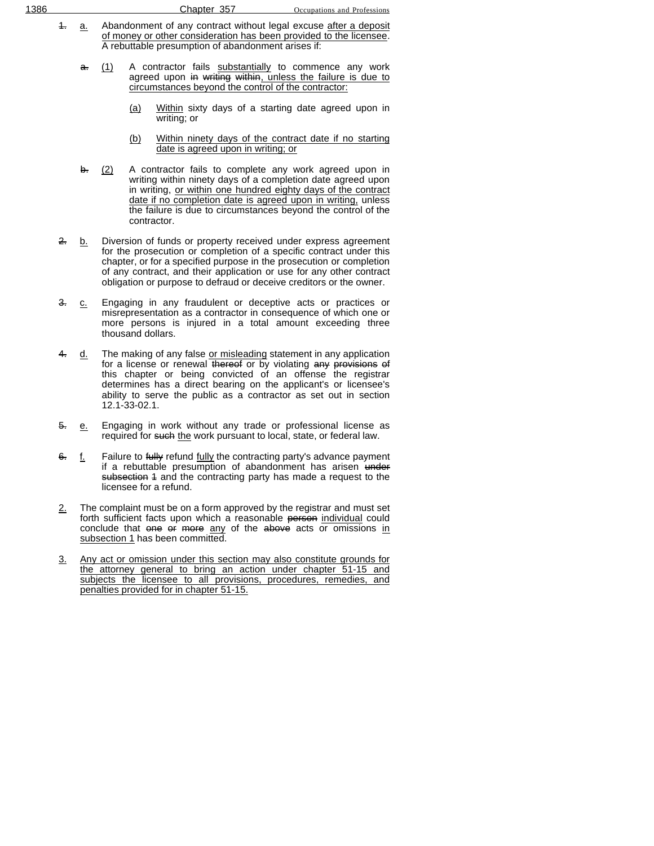- 4. a. Abandonment of any contract without legal excuse after a deposit of money or other consideration has been provided to the licensee. A rebuttable presumption of abandonment arises if:
	- a. (1) A contractor fails substantially to commence any work agreed upon in writing within, unless the failure is due to circumstances beyond the control of the contractor:
		- (a) Within sixty days of a starting date agreed upon in writing; or
		- (b) Within ninety days of the contract date if no starting date is agreed upon in writing; or
	- $\frac{1}{2}$  A contractor fails to complete any work agreed upon in writing within ninety days of a completion date agreed upon in writing, or within one hundred eighty days of the contract date if no completion date is agreed upon in writing, unless the failure is due to circumstances beyond the control of the contractor.
- 2. b. Diversion of funds or property received under express agreement for the prosecution or completion of a specific contract under this chapter, or for a specified purpose in the prosecution or completion of any contract, and their application or use for any other contract obligation or purpose to defraud or deceive creditors or the owner.
- 3. c. Engaging in any fraudulent or deceptive acts or practices or misrepresentation as a contractor in consequence of which one or more persons is injured in a total amount exceeding three thousand dollars.
- d. The making of any false or misleading statement in any application for a license or renewal thereof or by violating any provisions of this chapter or being convicted of an offense the registrar determines has a direct bearing on the applicant's or licensee's ability to serve the public as a contractor as set out in section 12.1-33-02.1.
- 5. e. Engaging in work without any trade or professional license as required for such the work pursuant to local, state, or federal law.
- 6. f. Failure to fully refund fully the contracting party's advance payment if a rebuttable presumption of abandonment has arisen under subsection 4 and the contracting party has made a request to the licensee for a refund.
- $2.$  The complaint must be on a form approved by the registrar and must set forth sufficient facts upon which a reasonable person individual could conclude that one or more any of the above acts or omissions in subsection 1 has been committed.
- 3. Any act or omission under this section may also constitute grounds for the attorney general to bring an action under chapter 51-15 and subjects the licensee to all provisions, procedures, remedies, and penalties provided for in chapter 51-15.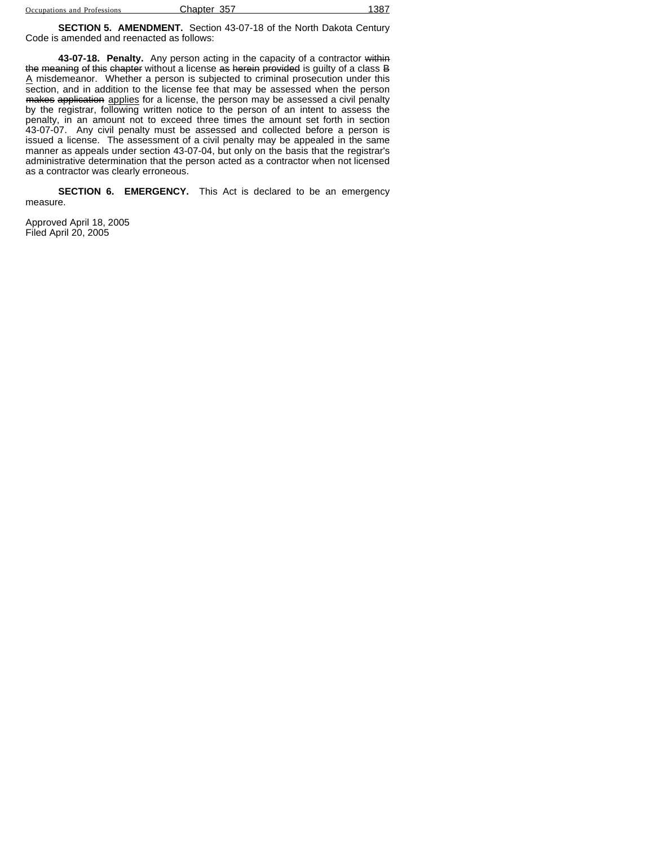| Occupations and Professions | Chapter 357 | 1387 |
|-----------------------------|-------------|------|
|                             |             |      |

**SECTION 5. AMENDMENT.** Section 43-07-18 of the North Dakota Century Code is amended and reenacted as follows:

**43-07-18. Penalty.** Any person acting in the capacity of a contractor within the meaning of this chapter without a license as herein provided is guilty of a class B A misdemeanor. Whether a person is subjected to criminal prosecution under this section, and in addition to the license fee that may be assessed when the person makes application applies for a license, the person may be assessed a civil penalty by the registrar, following written notice to the person of an intent to assess the penalty, in an amount not to exceed three times the amount set forth in section 43-07-07. Any civil penalty must be assessed and collected before a person is issued a license. The assessment of a civil penalty may be appealed in the same manner as appeals under section 43-07-04, but only on the basis that the registrar's administrative determination that the person acted as a contractor when not licensed as a contractor was clearly erroneous.

**SECTION 6. EMERGENCY.** This Act is declared to be an emergency measure.

Approved April 18, 2005 Filed April 20, 2005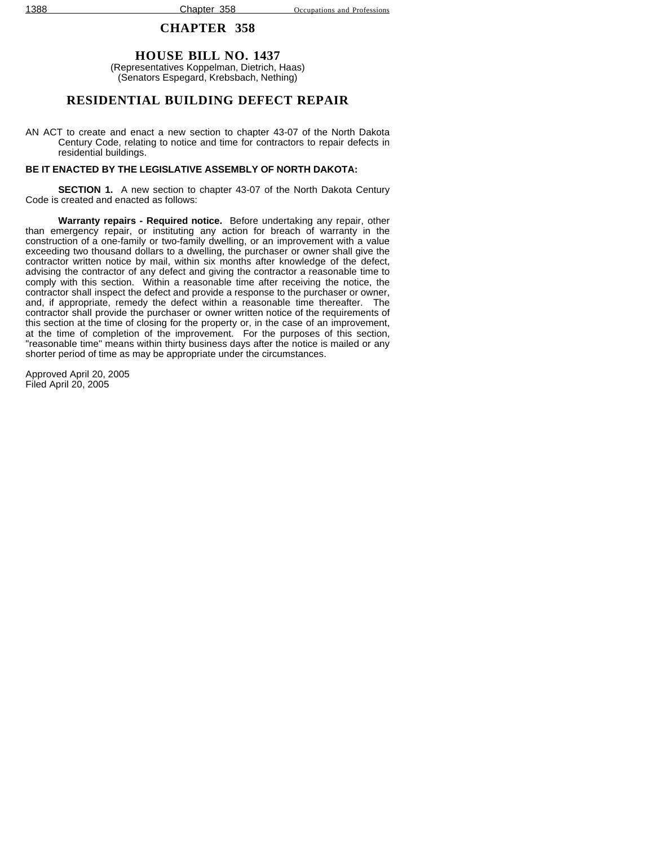## **HOUSE BILL NO. 1437**

(Representatives Koppelman, Dietrich, Haas) (Senators Espegard, Krebsbach, Nething)

## **RESIDENTIAL BUILDING DEFECT REPAIR**

AN ACT to create and enact a new section to chapter 43-07 of the North Dakota Century Code, relating to notice and time for contractors to repair defects in residential buildings.

### **BE IT ENACTED BY THE LEGISLATIVE ASSEMBLY OF NORTH DAKOTA:**

**SECTION 1.** A new section to chapter 43-07 of the North Dakota Century Code is created and enacted as follows:

**Warranty repairs - Required notice.** Before undertaking any repair, other than emergency repair, or instituting any action for breach of warranty in the construction of a one-family or two-family dwelling, or an improvement with a value exceeding two thousand dollars to a dwelling, the purchaser or owner shall give the contractor written notice by mail, within six months after knowledge of the defect, advising the contractor of any defect and giving the contractor a reasonable time to comply with this section. Within a reasonable time after receiving the notice, the contractor shall inspect the defect and provide a response to the purchaser or owner, and, if appropriate, remedy the defect within a reasonable time thereafter. The contractor shall provide the purchaser or owner written notice of the requirements of this section at the time of closing for the property or, in the case of an improvement, at the time of completion of the improvement. For the purposes of this section, "reasonable time" means within thirty business days after the notice is mailed or any shorter period of time as may be appropriate under the circumstances.

Approved April 20, 2005 Filed April 20, 2005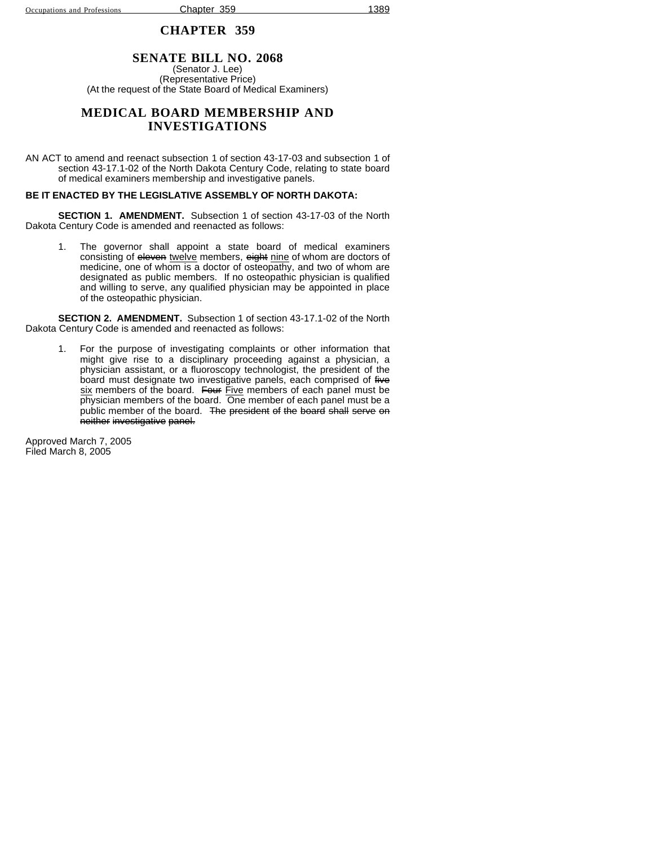## **SENATE BILL NO. 2068**

(Senator J. Lee) (Representative Price) (At the request of the State Board of Medical Examiners)

## **MEDICAL BOARD MEMBERSHIP AND INVESTIGATIONS**

AN ACT to amend and reenact subsection 1 of section 43-17-03 and subsection 1 of section 43-17.1-02 of the North Dakota Century Code, relating to state board of medical examiners membership and investigative panels.

#### **BE IT ENACTED BY THE LEGISLATIVE ASSEMBLY OF NORTH DAKOTA:**

**SECTION 1. AMENDMENT.** Subsection 1 of section 43-17-03 of the North Dakota Century Code is amended and reenacted as follows:

1. The governor shall appoint a state board of medical examiners consisting of eleven twelve members, eight nine of whom are doctors of medicine, one of whom is a doctor of osteopathy, and two of whom are designated as public members. If no osteopathic physician is qualified and willing to serve, any qualified physician may be appointed in place of the osteopathic physician.

**SECTION 2. AMENDMENT.** Subsection 1 of section 43-17.1-02 of the North Dakota Century Code is amended and reenacted as follows:

1. For the purpose of investigating complaints or other information that might give rise to a disciplinary proceeding against a physician, a physician assistant, or a fluoroscopy technologist, the president of the board must designate two investigative panels, each comprised of five six members of the board. Four Five members of each panel must be physician members of the board. One member of each panel must be a public member of the board. The president of the board shall serve on neither investigative panel.

Approved March 7, 2005 Filed March 8, 2005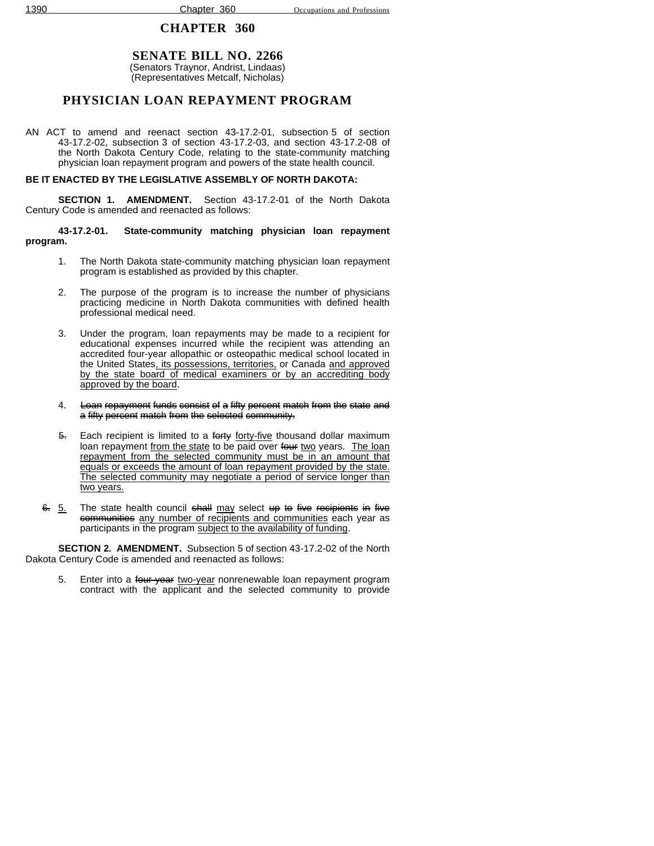#### **SENATE BILL NO. 2266** (Senators Traynor, Andrist, Lindaas) (Representatives Metcalf, Nicholas)

## **PHYSICIAN LOAN REPAYMENT PROGRAM**

AN ACT to amend and reenact section 43-17.2-01, subsection 5 of section 43-17.2-02, subsection 3 of section 43-17.2-03, and section 43-17.2-08 of the North Dakota Century Code, relating to the state-community matching physician loan repayment program and powers of the state health council.

### **BE IT ENACTED BY THE LEGISLATIVE ASSEMBLY OF NORTH DAKOTA:**

**SECTION 1. AMENDMENT.** Section 43-17.2-01 of the North Dakota Century Code is amended and reenacted as follows:

**43-17.2-01. State-community matching physician loan repayment program.**

- 1. The North Dakota state-community matching physician loan repayment program is established as provided by this chapter.
- 2. The purpose of the program is to increase the number of physicians practicing medicine in North Dakota communities with defined health professional medical need.
- 3. Under the program, loan repayments may be made to a recipient for educational expenses incurred while the recipient was attending an accredited four-year allopathic or osteopathic medical school located in the United States, its possessions, territories, or Canada and approved by the state board of medical examiners or by an accrediting body approved by the board.
- 4. Loan repayment funds consist of a fifty percent match from the state and a fifty percent match from the selected community.
- 5. Each recipient is limited to a forty forty-five thousand dollar maximum loan repayment from the state to be paid over four two years. The loan repayment from the selected community must be in an amount that equals or exceeds the amount of loan repayment provided by the state. The selected community may negotiate a period of service longer than two years.
- 6. 5. The state health council shall may select up to five recipients in five communities any number of recipients and communities each year as participants in the program subject to the availability of funding.

**SECTION 2. AMENDMENT.** Subsection 5 of section 43-17.2-02 of the North Dakota Century Code is amended and reenacted as follows:

5. Enter into a four-year two-year nonrenewable loan repayment program contract with the applicant and the selected community to provide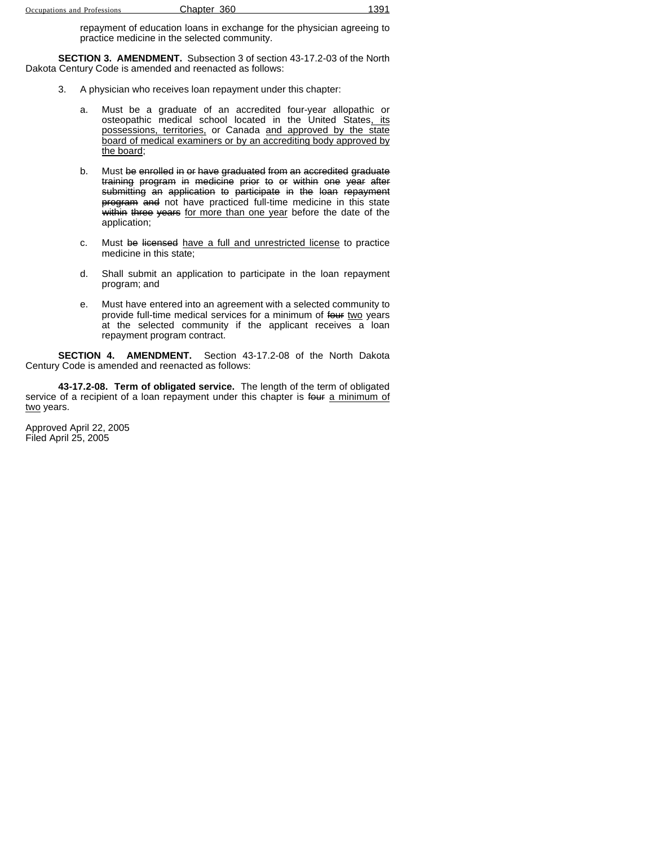repayment of education loans in exchange for the physician agreeing to practice medicine in the selected community.

**SECTION 3. AMENDMENT.** Subsection 3 of section 43-17.2-03 of the North Dakota Century Code is amended and reenacted as follows:

- 3. A physician who receives loan repayment under this chapter:
	- a. Must be a graduate of an accredited four-year allopathic or osteopathic medical school located in the United States, its possessions, territories, or Canada and approved by the state board of medical examiners or by an accrediting body approved by the board;
	- b. Must be enrolled in or have graduated from an accredited graduate training program in medicine prior to or within one year after submitting an application to participate in the loan repayment program and not have practiced full-time medicine in this state within three years for more than one year before the date of the application;
	- c. Must be licensed have a full and unrestricted license to practice medicine in this state;
	- d. Shall submit an application to participate in the loan repayment program; and
	- e. Must have entered into an agreement with a selected community to provide full-time medical services for a minimum of four two years at the selected community if the applicant receives a loan repayment program contract.

**SECTION 4. AMENDMENT.** Section 43-17.2-08 of the North Dakota Century Code is amended and reenacted as follows:

**43-17.2-08. Term of obligated service.** The length of the term of obligated service of a recipient of a loan repayment under this chapter is four a minimum of two years.

Approved April 22, 2005 Filed April 25, 2005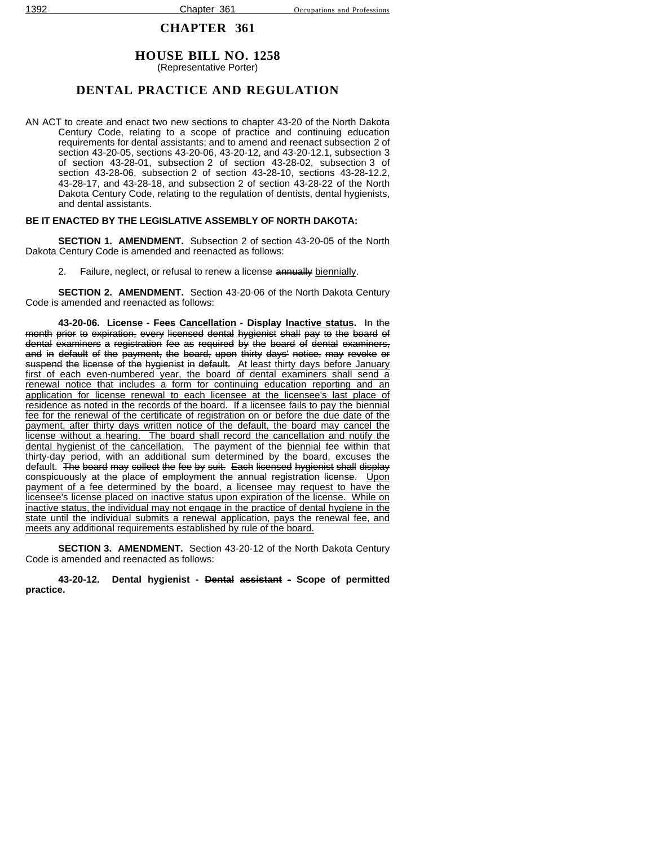## **HOUSE BILL NO. 1258**

(Representative Porter)

## **DENTAL PRACTICE AND REGULATION**

AN ACT to create and enact two new sections to chapter 43-20 of the North Dakota Century Code, relating to a scope of practice and continuing education requirements for dental assistants; and to amend and reenact subsection 2 of section 43-20-05, sections 43-20-06, 43-20-12, and 43-20-12.1, subsection 3 of section 43-28-01, subsection 2 of section 43-28-02, subsection 3 of section 43-28-06, subsection 2 of section 43-28-10, sections 43-28-12.2, 43-28-17, and 43-28-18, and subsection 2 of section 43-28-22 of the North Dakota Century Code, relating to the regulation of dentists, dental hygienists, and dental assistants.

## **BE IT ENACTED BY THE LEGISLATIVE ASSEMBLY OF NORTH DAKOTA:**

**SECTION 1. AMENDMENT.** Subsection 2 of section 43-20-05 of the North Dakota Century Code is amended and reenacted as follows:

2. Failure, neglect, or refusal to renew a license annually biennially.

**SECTION 2. AMENDMENT.** Section 43-20-06 of the North Dakota Century Code is amended and reenacted as follows:

**43-20-06. License - Fees Cancellation - Display Inactive status.** In the month prior to expiration, every licensed dental hygienist shall pay to the board of dental examiners a registration fee as required by the board of dental examiners, and in default of the payment, the board, upon thirty days' notice, may revoke or suspend the license of the hygienist in default. At least thirty days before January first of each even-numbered year, the board of dental examiners shall send a renewal notice that includes a form for continuing education reporting and an application for license renewal to each licensee at the licensee's last place of residence as noted in the records of the board. If a licensee fails to pay the biennial fee for the renewal of the certificate of registration on or before the due date of the payment, after thirty days written notice of the default, the board may cancel the license without a hearing. The board shall record the cancellation and notify the dental hygienist of the cancellation. The payment of the biennial fee within that thirty-day period, with an additional sum determined by the board, excuses the default. The board may collect the fee by suit. Each licensed hygienist shall display conspicuously at the place of employment the annual registration license. Upon payment of a fee determined by the board, a licensee may request to have the licensee's license placed on inactive status upon expiration of the license. While on inactive status, the individual may not engage in the practice of dental hygiene in the state until the individual submits a renewal application, pays the renewal fee, and meets any additional requirements established by rule of the board.

**SECTION 3. AMENDMENT.** Section 43-20-12 of the North Dakota Century Code is amended and reenacted as follows:

**43-20-12. Dental hygienist - Dental assistant - Scope of permitted practice.**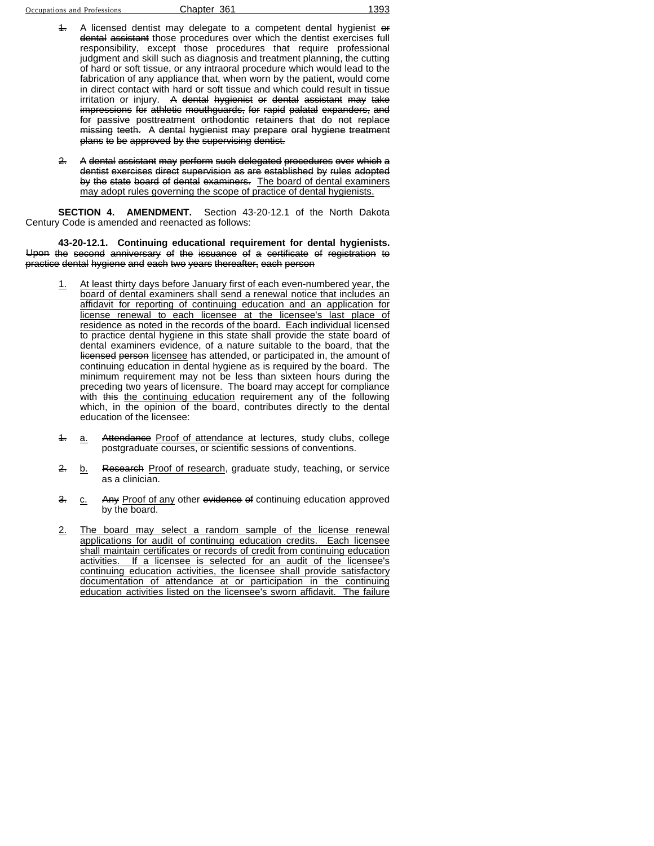- A licensed dentist may delegate to a competent dental hygienist or dental assistant those procedures over which the dentist exercises full responsibility, except those procedures that require professional judgment and skill such as diagnosis and treatment planning, the cutting of hard or soft tissue, or any intraoral procedure which would lead to the fabrication of any appliance that, when worn by the patient, would come in direct contact with hard or soft tissue and which could result in tissue irritation or injury. A dental hygienist or dental assistant may take impressions for athletic mouthguards, for rapid palatal expanders, and for passive posttreatment orthodontic retainers that do not replace missing teeth. A dental hygienist may prepare oral hygiene treatment plans to be approved by the supervising dentist.
- 2. A dental assistant may perform such delegated procedures over which a dentist exercises direct supervision as are established by rules adopted by the state board of dental examiners. The board of dental examiners may adopt rules governing the scope of practice of dental hygienists.

**SECTION 4. AMENDMENT.** Section 43-20-12.1 of the North Dakota Century Code is amended and reenacted as follows:

#### **43-20-12.1. Continuing educational requirement for dental hygienists.** Upon the second anniversary of the issuance of a certificate of registration to practice dental hygiene and each two years thereafter, each person

- 1. At least thirty days before January first of each even-numbered year, the board of dental examiners shall send a renewal notice that includes an affidavit for reporting of continuing education and an application for license renewal to each licensee at the licensee's last place of residence as noted in the records of the board. Each individual licensed to practice dental hygiene in this state shall provide the state board of dental examiners evidence, of a nature suitable to the board, that the licensed person licensee has attended, or participated in, the amount of continuing education in dental hygiene as is required by the board. The minimum requirement may not be less than sixteen hours during the preceding two years of licensure. The board may accept for compliance with this the continuing education requirement any of the following which, in the opinion of the board, contributes directly to the dental education of the licensee:
- 4. a. Attendance Proof of attendance at lectures, study clubs, college postgraduate courses, or scientific sessions of conventions.
- 2. b. Research Proof of research, graduate study, teaching, or service as a clinician.
- 3. c. Any Proof of any other evidence of continuing education approved by the board.
- 2. The board may select a random sample of the license renewal applications for audit of continuing education credits. Each licensee shall maintain certificates or records of credit from continuing education activities. If a licensee is selected for an audit of the licensee's continuing education activities, the licensee shall provide satisfactory documentation of attendance at or participation in the continuing education activities listed on the licensee's sworn affidavit. The failure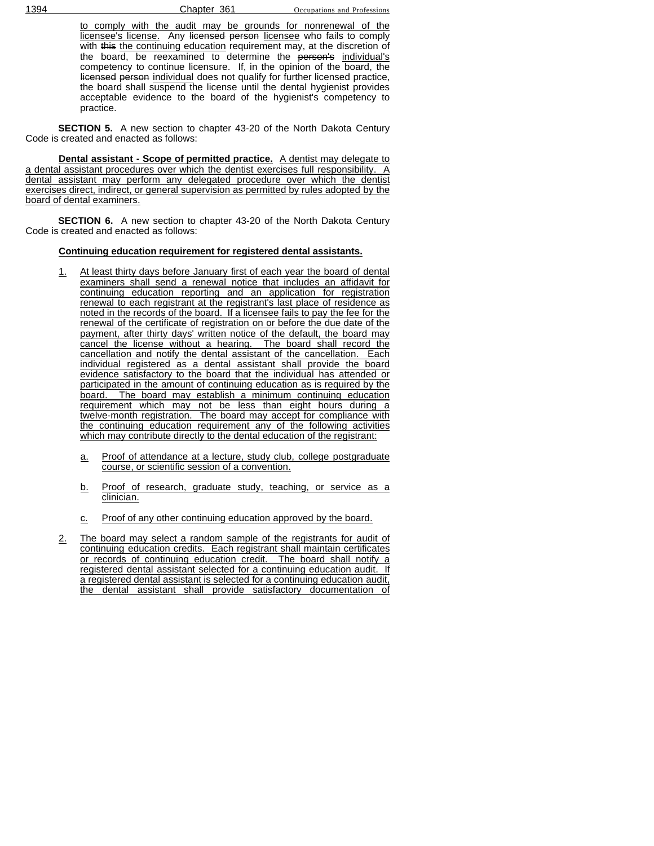to comply with the audit may be grounds for nonrenewal of the licensee's license. Any licensed person licensee who fails to comply with this the continuing education requirement may, at the discretion of the board, be reexamined to determine the person's individual's competency to continue licensure. If, in the opinion of the board, the licensed person individual does not qualify for further licensed practice, the board shall suspend the license until the dental hygienist provides acceptable evidence to the board of the hygienist's competency to practice.

**SECTION 5.** A new section to chapter 43-20 of the North Dakota Century Code is created and enacted as follows:

**Dental assistant - Scope of permitted practice.** A dentist may delegate to a dental assistant procedures over which the dentist exercises full responsibility. A dental assistant may perform any delegated procedure over which the dentist exercises direct, indirect, or general supervision as permitted by rules adopted by the board of dental examiners.

**SECTION 6.** A new section to chapter 43-20 of the North Dakota Century Code is created and enacted as follows:

#### **Continuing education requirement for registered dental assistants.**

- 1. At least thirty days before January first of each year the board of dental examiners shall send a renewal notice that includes an affidavit for continuing education reporting and an application for registration renewal to each registrant at the registrant's last place of residence as noted in the records of the board. If a licensee fails to pay the fee for the renewal of the certificate of registration on or before the due date of the payment, after thirty days' written notice of the default, the board may cancel the license without a hearing. The board shall record the cancellation and notify the dental assistant of the cancellation. Each individual registered as a dental assistant shall provide the board evidence satisfactory to the board that the individual has attended or participated in the amount of continuing education as is required by the board. The board may establish a minimum continuing education requirement which may not be less than eight hours during a twelve-month registration. The board may accept for compliance with the continuing education requirement any of the following activities which may contribute directly to the dental education of the registrant:
	- a. Proof of attendance at a lecture, study club, college postgraduate course, or scientific session of a convention.
	- b. Proof of research, graduate study, teaching, or service as a clinician.
	- c. Proof of any other continuing education approved by the board.
- 2. The board may select a random sample of the registrants for audit of continuing education credits. Each registrant shall maintain certificates or records of continuing education credit. The board shall notify a registered dental assistant selected for a continuing education audit. If a registered dental assistant is selected for a continuing education audit, the dental assistant shall provide satisfactory documentation of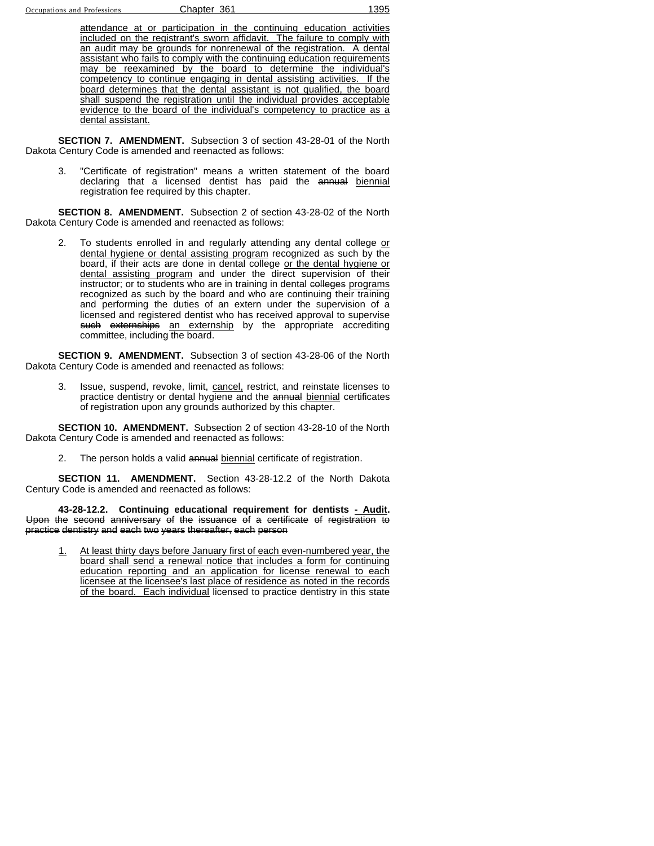attendance at or participation in the continuing education activities included on the registrant's sworn affidavit. The failure to comply with an audit may be grounds for nonrenewal of the registration. A dental assistant who fails to comply with the continuing education requirements may be reexamined by the board to determine the individual's competency to continue engaging in dental assisting activities. If the board determines that the dental assistant is not qualified, the board shall suspend the registration until the individual provides acceptable evidence to the board of the individual's competency to practice as a dental assistant.

**SECTION 7. AMENDMENT.** Subsection 3 of section 43-28-01 of the North Dakota Century Code is amended and reenacted as follows:

3. "Certificate of registration" means a written statement of the board declaring that a licensed dentist has paid the annual biennial registration fee required by this chapter.

**SECTION 8. AMENDMENT.** Subsection 2 of section 43-28-02 of the North Dakota Century Code is amended and reenacted as follows:

2. To students enrolled in and regularly attending any dental college or dental hygiene or dental assisting program recognized as such by the board, if their acts are done in dental college or the dental hygiene or dental assisting program and under the direct supervision of their instructor; or to students who are in training in dental colleges programs recognized as such by the board and who are continuing their training and performing the duties of an extern under the supervision of a licensed and registered dentist who has received approval to supervise such externships an externship by the appropriate accrediting committee, including the board.

**SECTION 9. AMENDMENT.** Subsection 3 of section 43-28-06 of the North Dakota Century Code is amended and reenacted as follows:

3. Issue, suspend, revoke, limit, cancel, restrict, and reinstate licenses to practice dentistry or dental hygiene and the annual biennial certificates of registration upon any grounds authorized by this chapter.

**SECTION 10. AMENDMENT.** Subsection 2 of section 43-28-10 of the North Dakota Century Code is amended and reenacted as follows:

2. The person holds a valid annual biennial certificate of registration.

**SECTION 11. AMENDMENT.** Section 43-28-12.2 of the North Dakota Century Code is amended and reenacted as follows:

**43-28-12.2. Continuing educational requirement for dentists - Audit.** Upon the second anniversary of the issuance of a certificate of registration to practice dentistry and each two years thereafter, each person

At least thirty days before January first of each even-numbered year, the board shall send a renewal notice that includes a form for continuing education reporting and an application for license renewal to each licensee at the licensee's last place of residence as noted in the records of the board. Each individual licensed to practice dentistry in this state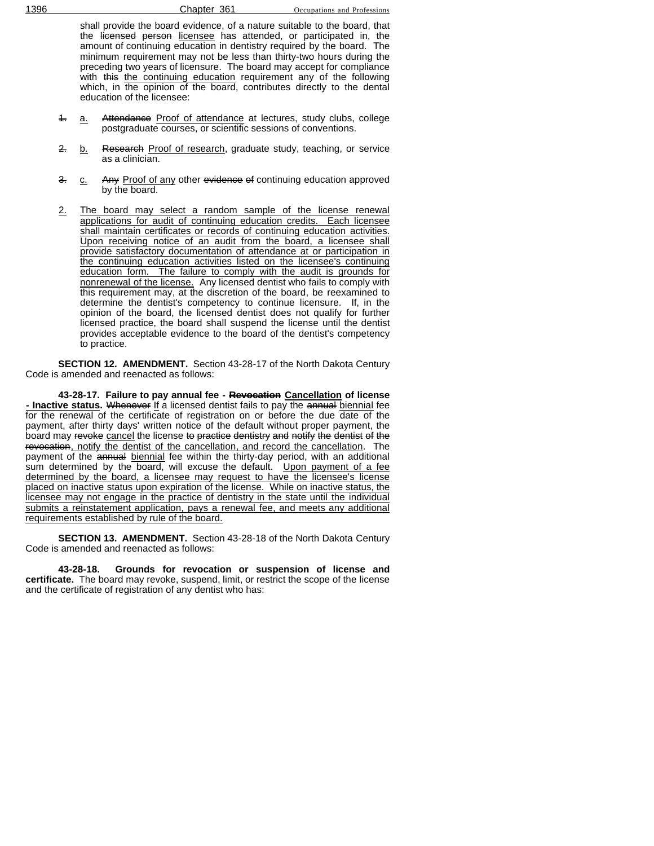shall provide the board evidence, of a nature suitable to the board, that the licensed person licensee has attended, or participated in, the amount of continuing education in dentistry required by the board. The minimum requirement may not be less than thirty-two hours during the preceding two years of licensure. The board may accept for compliance with this the continuing education requirement any of the following which, in the opinion of the board, contributes directly to the dental education of the licensee:

- 4. a. Attendance Proof of attendance at lectures, study clubs, college postgraduate courses, or scientific sessions of conventions.
- 2. b. Research Proof of research, graduate study, teaching, or service as a clinician.
- 3. c. Any Proof of any other evidence of continuing education approved by the board.
- 2. The board may select a random sample of the license renewal applications for audit of continuing education credits. Each licensee shall maintain certificates or records of continuing education activities. Upon receiving notice of an audit from the board, a licensee shall provide satisfactory documentation of attendance at or participation in the continuing education activities listed on the licensee's continuing education form. The failure to comply with the audit is grounds for nonrenewal of the license. Any licensed dentist who fails to comply with this requirement may, at the discretion of the board, be reexamined to determine the dentist's competency to continue licensure. If, in the opinion of the board, the licensed dentist does not qualify for further licensed practice, the board shall suspend the license until the dentist provides acceptable evidence to the board of the dentist's competency to practice.

**SECTION 12. AMENDMENT.** Section 43-28-17 of the North Dakota Century Code is amended and reenacted as follows:

**43-28-17. Failure to pay annual fee - Revocation Cancellation of license - Inactive status.** Whenever If a licensed dentist fails to pay the annual biennial fee for the renewal of the certificate of registration on or before the due date of the payment, after thirty days' written notice of the default without proper payment, the board may revoke cancel the license to practice dentistry and notify the dentist of the revocation, notify the dentist of the cancellation, and record the cancellation. The payment of the annual biennial fee within the thirty-day period, with an additional sum determined by the board, will excuse the default. Upon payment of a fee determined by the board, a licensee may request to have the licensee's license placed on inactive status upon expiration of the license. While on inactive status, the licensee may not engage in the practice of dentistry in the state until the individual submits a reinstatement application, pays a renewal fee, and meets any additional requirements established by rule of the board.

**SECTION 13. AMENDMENT.** Section 43-28-18 of the North Dakota Century Code is amended and reenacted as follows:

**43-28-18. Grounds for revocation or suspension of license and certificate.** The board may revoke, suspend, limit, or restrict the scope of the license and the certificate of registration of any dentist who has: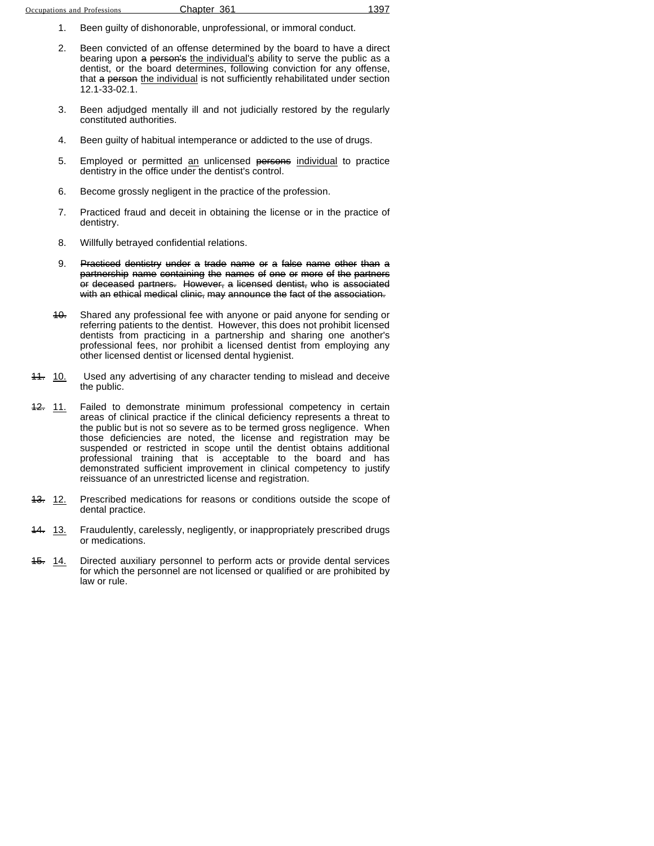- 1. Been guilty of dishonorable, unprofessional, or immoral conduct.
- 2. Been convicted of an offense determined by the board to have a direct bearing upon a person's the individual's ability to serve the public as a dentist, or the board determines, following conviction for any offense, that a person the individual is not sufficiently rehabilitated under section 12.1-33-02.1.
- 3. Been adjudged mentally ill and not judicially restored by the regularly constituted authorities.
- 4. Been guilty of habitual intemperance or addicted to the use of drugs.
- 5. Employed or permitted an unlicensed persons individual to practice dentistry in the office under the dentist's control.
- 6. Become grossly negligent in the practice of the profession.
- 7. Practiced fraud and deceit in obtaining the license or in the practice of dentistry.
- 8. Willfully betrayed confidential relations.
- 9. Practiced dentistry under a trade name or a false name other than a partnership name containing the names of one or more of the partners or deceased partners. However, a licensed dentist, who is associated with an ethical medical clinic, may announce the fact of the association.
- 10. Shared any professional fee with anyone or paid anyone for sending or referring patients to the dentist. However, this does not prohibit licensed dentists from practicing in a partnership and sharing one another's professional fees, nor prohibit a licensed dentist from employing any other licensed dentist or licensed dental hygienist.
- 11. 10. Used any advertising of any character tending to mislead and deceive the public.
- 42. 11. Failed to demonstrate minimum professional competency in certain areas of clinical practice if the clinical deficiency represents a threat to the public but is not so severe as to be termed gross negligence. When those deficiencies are noted, the license and registration may be suspended or restricted in scope until the dentist obtains additional professional training that is acceptable to the board and has demonstrated sufficient improvement in clinical competency to justify reissuance of an unrestricted license and registration.
- 43. 12. Prescribed medications for reasons or conditions outside the scope of dental practice.
- 14. 13. Fraudulently, carelessly, negligently, or inappropriately prescribed drugs or medications.
- 15. 14. Directed auxiliary personnel to perform acts or provide dental services for which the personnel are not licensed or qualified or are prohibited by law or rule.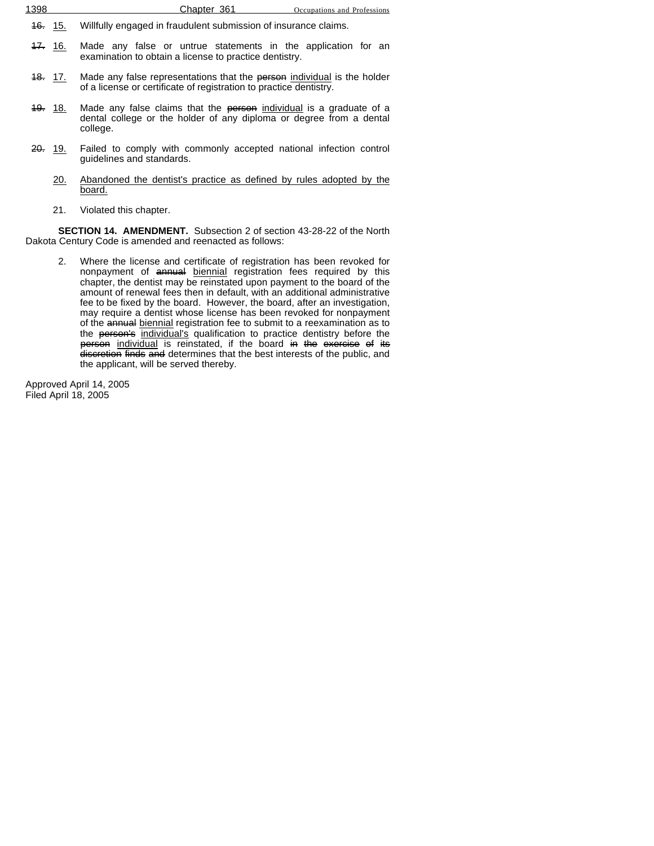| 1398 | Chapter 361 | Occupations and Professions |
|------|-------------|-----------------------------|
|      |             |                             |

- 16. 15. Willfully engaged in fraudulent submission of insurance claims.
- 47. 16. Made any false or untrue statements in the application for an examination to obtain a license to practice dentistry.
- 18. 17. Made any false representations that the person individual is the holder of a license or certificate of registration to practice dentistry.
- 19. 18. Made any false claims that the person individual is a graduate of a dental college or the holder of any diploma or degree from a dental college.
- 20. 19. Failed to comply with commonly accepted national infection control guidelines and standards.
	- 20. Abandoned the dentist's practice as defined by rules adopted by the board.
	- 21. Violated this chapter.

**SECTION 14. AMENDMENT.** Subsection 2 of section 43-28-22 of the North Dakota Century Code is amended and reenacted as follows:

2. Where the license and certificate of registration has been revoked for nonpayment of annual biennial registration fees required by this chapter, the dentist may be reinstated upon payment to the board of the amount of renewal fees then in default, with an additional administrative fee to be fixed by the board. However, the board, after an investigation, may require a dentist whose license has been revoked for nonpayment of the annual biennial registration fee to submit to a reexamination as to the person's individual's qualification to practice dentistry before the person individual is reinstated, if the board in the exercise of its discretion finds and determines that the best interests of the public, and the applicant, will be served thereby.

Approved April 14, 2005 Filed April 18, 2005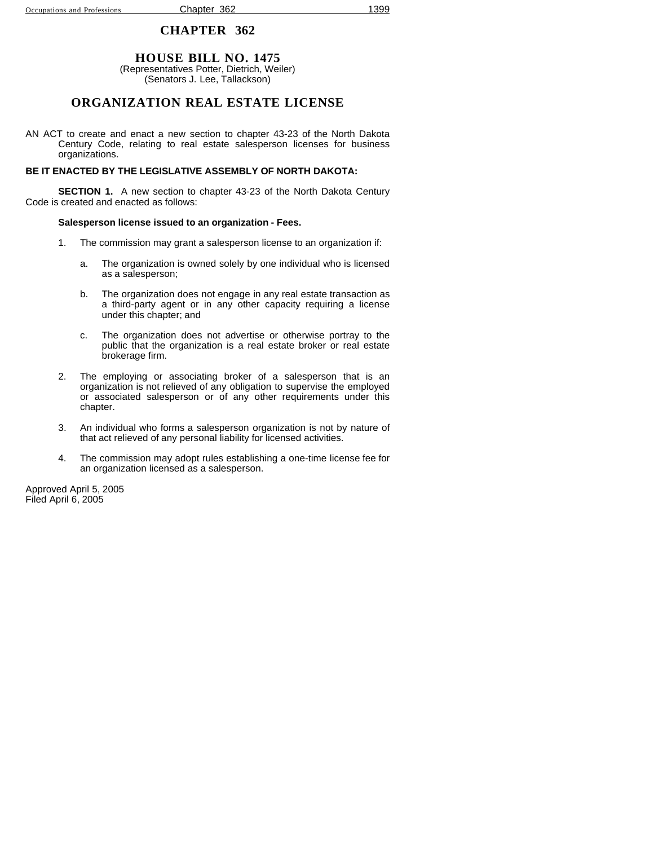### **HOUSE BILL NO. 1475**

(Representatives Potter, Dietrich, Weiler) (Senators J. Lee, Tallackson)

## **ORGANIZATION REAL ESTATE LICENSE**

AN ACT to create and enact a new section to chapter 43-23 of the North Dakota Century Code, relating to real estate salesperson licenses for business organizations.

#### **BE IT ENACTED BY THE LEGISLATIVE ASSEMBLY OF NORTH DAKOTA:**

**SECTION 1.** A new section to chapter 43-23 of the North Dakota Century Code is created and enacted as follows:

#### **Salesperson license issued to an organization - Fees.**

- 1. The commission may grant a salesperson license to an organization if:
	- a. The organization is owned solely by one individual who is licensed as a salesperson;
	- b. The organization does not engage in any real estate transaction as a third-party agent or in any other capacity requiring a license under this chapter; and
	- c. The organization does not advertise or otherwise portray to the public that the organization is a real estate broker or real estate brokerage firm.
- 2. The employing or associating broker of a salesperson that is an organization is not relieved of any obligation to supervise the employed or associated salesperson or of any other requirements under this chapter.
- 3. An individual who forms a salesperson organization is not by nature of that act relieved of any personal liability for licensed activities.
- 4. The commission may adopt rules establishing a one-time license fee for an organization licensed as a salesperson.

Approved April 5, 2005 Filed April 6, 2005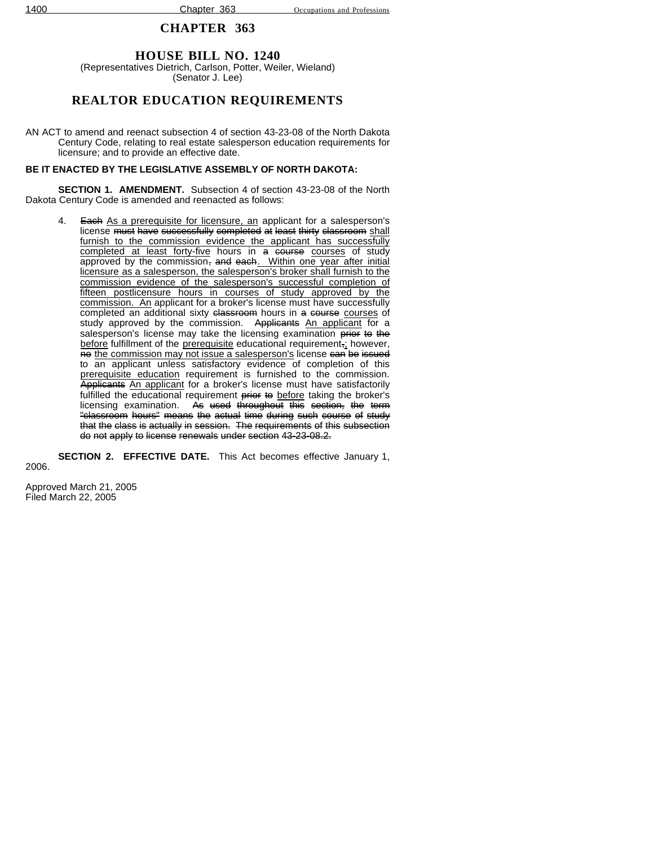## **HOUSE BILL NO. 1240**

(Representatives Dietrich, Carlson, Potter, Weiler, Wieland) (Senator J. Lee)

## **REALTOR EDUCATION REQUIREMENTS**

AN ACT to amend and reenact subsection 4 of section 43-23-08 of the North Dakota Century Code, relating to real estate salesperson education requirements for licensure; and to provide an effective date.

### **BE IT ENACTED BY THE LEGISLATIVE ASSEMBLY OF NORTH DAKOTA:**

**SECTION 1. AMENDMENT.** Subsection 4 of section 43-23-08 of the North Dakota Century Code is amended and reenacted as follows:

4. Each As a prerequisite for licensure, an applicant for a salesperson's license must have successfully completed at least thirty classroom shall furnish to the commission evidence the applicant has successfully completed at least forty-five hours in a course courses of study approved by the commission, and each. Within one year after initial licensure as a salesperson, the salesperson's broker shall furnish to the commission evidence of the salesperson's successful completion of fifteen postlicensure hours in courses of study approved by the commission. An applicant for a broker's license must have successfully completed an additional sixty classroom hours in a course courses of study approved by the commission. Applicants An applicant for a salesperson's license may take the licensing examination prior to the before fulfillment of the prerequisite educational requirement,; however, no the commission may not issue a salesperson's license can be issued to an applicant unless satisfactory evidence of completion of this prerequisite education requirement is furnished to the commission. Applicants An applicant for a broker's license must have satisfactorily fulfilled the educational requirement prior to before taking the broker's licensing examination. As used throughout this section, the term "classroom hours" means the actual time during such course of study that the class is actually in session. The requirements of this subsection do not apply to license renewals under section 43-23-08.2.

**SECTION 2. EFFECTIVE DATE.** This Act becomes effective January 1, 2006.

Approved March 21, 2005 Filed March 22, 2005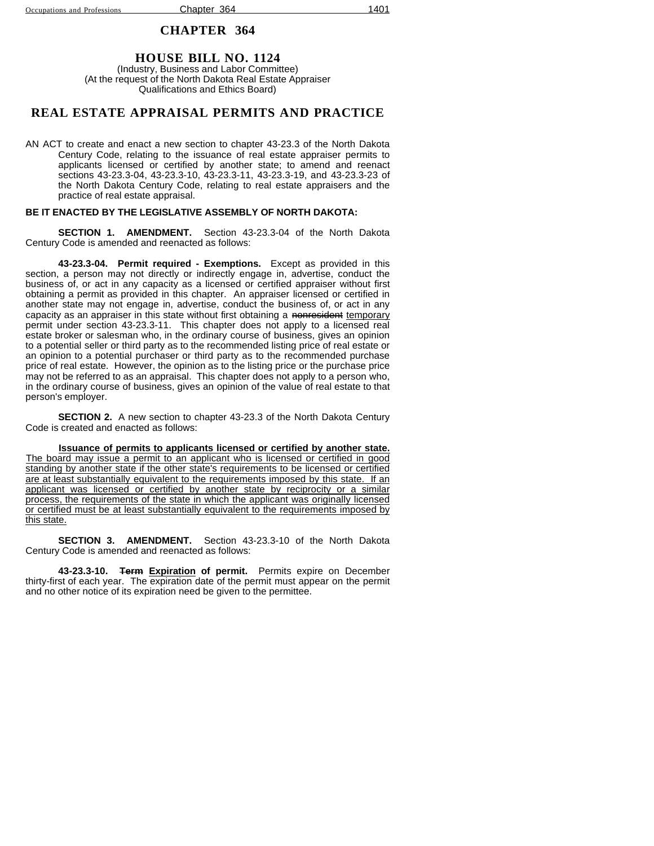#### **HOUSE BILL NO. 1124** (Industry, Business and Labor Committee) (At the request of the North Dakota Real Estate Appraiser Qualifications and Ethics Board)

### **REAL ESTATE APPRAISAL PERMITS AND PRACTICE**

AN ACT to create and enact a new section to chapter 43-23.3 of the North Dakota Century Code, relating to the issuance of real estate appraiser permits to applicants licensed or certified by another state; to amend and reenact sections 43-23.3-04, 43-23.3-10, 43-23.3-11, 43-23.3-19, and 43-23.3-23 of the North Dakota Century Code, relating to real estate appraisers and the practice of real estate appraisal.

#### **BE IT ENACTED BY THE LEGISLATIVE ASSEMBLY OF NORTH DAKOTA:**

**SECTION 1. AMENDMENT.** Section 43-23.3-04 of the North Dakota Century Code is amended and reenacted as follows:

**43-23.3-04. Permit required - Exemptions.** Except as provided in this section, a person may not directly or indirectly engage in, advertise, conduct the business of, or act in any capacity as a licensed or certified appraiser without first obtaining a permit as provided in this chapter. An appraiser licensed or certified in another state may not engage in, advertise, conduct the business of, or act in any capacity as an appraiser in this state without first obtaining a nonresident temporary permit under section 43-23.3-11. This chapter does not apply to a licensed real estate broker or salesman who, in the ordinary course of business, gives an opinion to a potential seller or third party as to the recommended listing price of real estate or an opinion to a potential purchaser or third party as to the recommended purchase price of real estate. However, the opinion as to the listing price or the purchase price may not be referred to as an appraisal. This chapter does not apply to a person who, in the ordinary course of business, gives an opinion of the value of real estate to that person's employer.

**SECTION 2.** A new section to chapter 43-23.3 of the North Dakota Century Code is created and enacted as follows:

**Issuance of permits to applicants licensed or certified by another state.** The board may issue a permit to an applicant who is licensed or certified in good standing by another state if the other state's requirements to be licensed or certified are at least substantially equivalent to the requirements imposed by this state. If an applicant was licensed or certified by another state by reciprocity or a similar process, the requirements of the state in which the applicant was originally licensed or certified must be at least substantially equivalent to the requirements imposed by this state.

**SECTION 3. AMENDMENT.** Section 43-23.3-10 of the North Dakota Century Code is amended and reenacted as follows:

**43-23.3-10. Term Expiration of permit.** Permits expire on December thirty-first of each year. The expiration date of the permit must appear on the permit and no other notice of its expiration need be given to the permittee.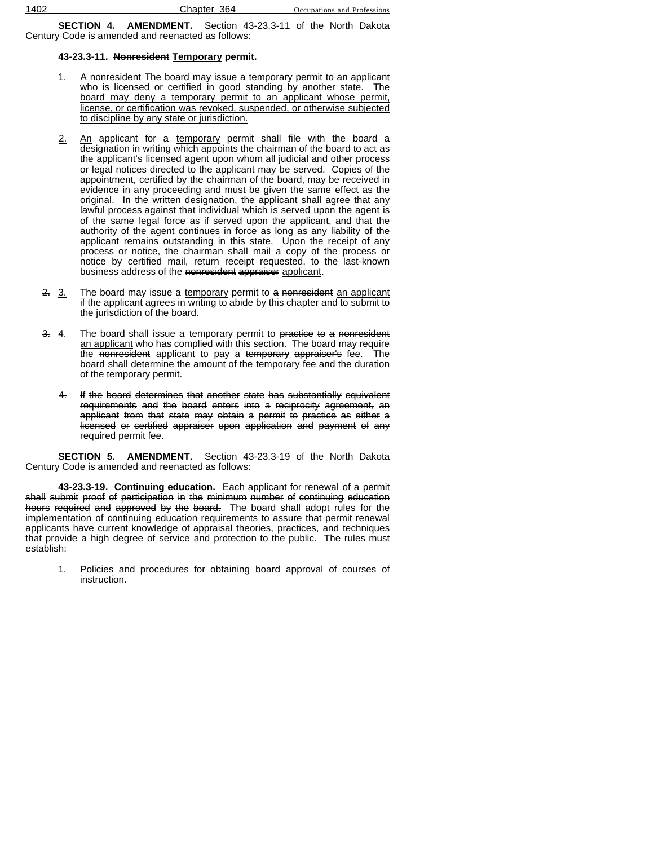**SECTION 4. AMENDMENT.** Section 43-23.3-11 of the North Dakota Century Code is amended and reenacted as follows:

### **43-23.3-11. Nonresident Temporary permit.**

- 1. A nonresident The board may issue a temporary permit to an applicant who is licensed or certified in good standing by another state. The board may deny a temporary permit to an applicant whose permit, license, or certification was revoked, suspended, or otherwise subjected to discipline by any state or jurisdiction.
- 2. An applicant for a temporary permit shall file with the board a designation in writing which appoints the chairman of the board to act as the applicant's licensed agent upon whom all judicial and other process or legal notices directed to the applicant may be served. Copies of the appointment, certified by the chairman of the board, may be received in evidence in any proceeding and must be given the same effect as the original. In the written designation, the applicant shall agree that any lawful process against that individual which is served upon the agent is of the same legal force as if served upon the applicant, and that the authority of the agent continues in force as long as any liability of the applicant remains outstanding in this state. Upon the receipt of any process or notice, the chairman shall mail a copy of the process or notice by certified mail, return receipt requested, to the last-known business address of the nonresident appraiser applicant.
- 2. 3. The board may issue a temporary permit to a nonresident an applicant if the applicant agrees in writing to abide by this chapter and to submit to the jurisdiction of the board.
- $3. 4.$  The board shall issue a temporary permit to practice to a nonresident an applicant who has complied with this section. The board may require the nonresident applicant to pay a temporary appraiser's fee. The board shall determine the amount of the temporary fee and the duration of the temporary permit.
	- 4. If the board determines that another state has substantially equivalent requirements and the board enters into a reciprocity agreement, an applicant from that state may obtain a permit to practice as either a licensed or certified appraiser upon application and payment of any required permit fee.

**SECTION 5. AMENDMENT.** Section 43-23.3-19 of the North Dakota Century Code is amended and reenacted as follows:

**43-23.3-19. Continuing education.** Each applicant for renewal of a permit shall submit proof of participation in the minimum number of continuing education hours required and approved by the board. The board shall adopt rules for the implementation of continuing education requirements to assure that permit renewal applicants have current knowledge of appraisal theories, practices, and techniques that provide a high degree of service and protection to the public. The rules must establish:

1. Policies and procedures for obtaining board approval of courses of instruction.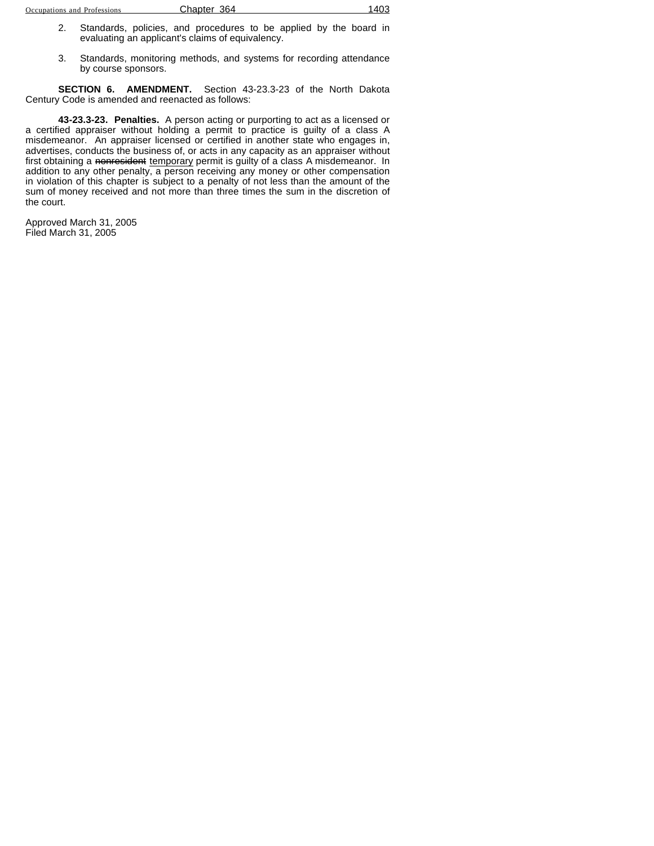- 2. Standards, policies, and procedures to be applied by the board in evaluating an applicant's claims of equivalency.
- 3. Standards, monitoring methods, and systems for recording attendance by course sponsors.

**SECTION 6. AMENDMENT.** Section 43-23.3-23 of the North Dakota Century Code is amended and reenacted as follows:

**43-23.3-23. Penalties.** A person acting or purporting to act as a licensed or a certified appraiser without holding a permit to practice is guilty of a class A misdemeanor. An appraiser licensed or certified in another state who engages in, advertises, conducts the business of, or acts in any capacity as an appraiser without first obtaining a <del>nonresident</del> temporary permit is guilty of a class A misdemeanor. In addition to any other penalty, a person receiving any money or other compensation in violation of this chapter is subject to a penalty of not less than the amount of the sum of money received and not more than three times the sum in the discretion of the court.

Approved March 31, 2005 Filed March 31, 2005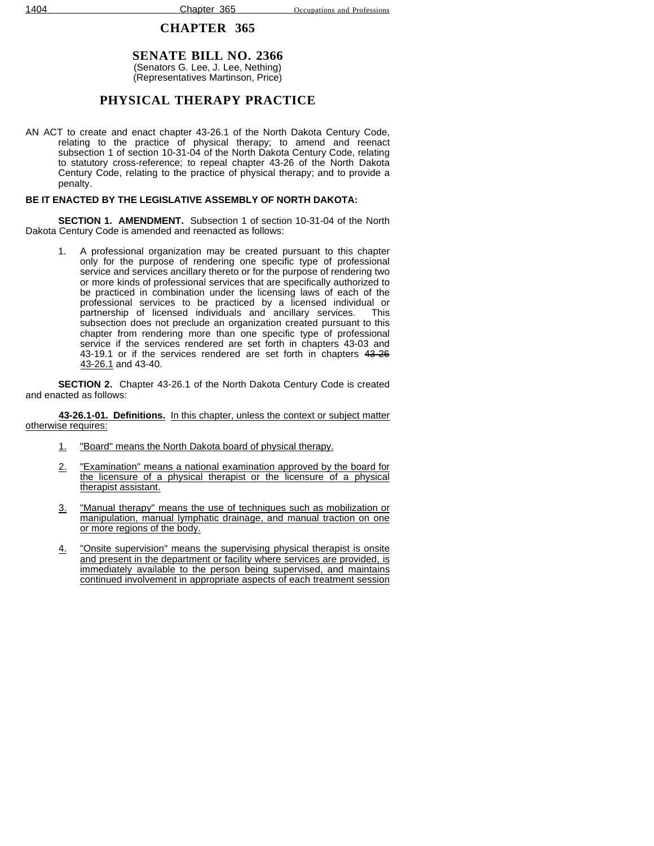### **SENATE BILL NO. 2366** (Senators G. Lee, J. Lee, Nething) (Representatives Martinson, Price)

## **PHYSICAL THERAPY PRACTICE**

AN ACT to create and enact chapter 43-26.1 of the North Dakota Century Code, relating to the practice of physical therapy; to amend and reenact subsection 1 of section 10-31-04 of the North Dakota Century Code, relating to statutory cross-reference; to repeal chapter 43-26 of the North Dakota Century Code, relating to the practice of physical therapy; and to provide a penalty.

### **BE IT ENACTED BY THE LEGISLATIVE ASSEMBLY OF NORTH DAKOTA:**

**SECTION 1. AMENDMENT.** Subsection 1 of section 10-31-04 of the North Dakota Century Code is amended and reenacted as follows:

1. A professional organization may be created pursuant to this chapter only for the purpose of rendering one specific type of professional service and services ancillary thereto or for the purpose of rendering two or more kinds of professional services that are specifically authorized to be practiced in combination under the licensing laws of each of the professional services to be practiced by a licensed individual or partnership of licensed individuals and ancillary services. This subsection does not preclude an organization created pursuant to this chapter from rendering more than one specific type of professional service if the services rendered are set forth in chapters 43-03 and 43-19.1 or if the services rendered are set forth in chapters 43-26 43-26.1 and 43-40.

**SECTION 2.** Chapter 43-26.1 of the North Dakota Century Code is created and enacted as follows:

**43-26.1-01. Definitions.** In this chapter, unless the context or subject matter otherwise requires:

- 1. "Board" means the North Dakota board of physical therapy.
- 2. "Examination" means a national examination approved by the board for the licensure of a physical therapist or the licensure of a physical therapist assistant.
- 3. "Manual therapy" means the use of techniques such as mobilization or manipulation, manual lymphatic drainage, and manual traction on one or more regions of the body.
- 4. "Onsite supervision" means the supervising physical therapist is onsite and present in the department or facility where services are provided, is immediately available to the person being supervised, and maintains continued involvement in appropriate aspects of each treatment session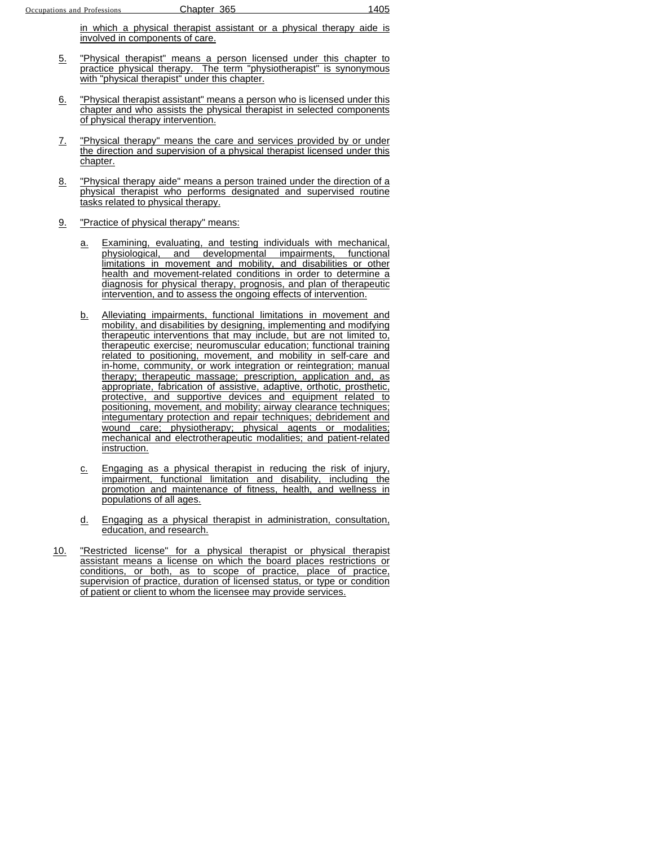in which a physical therapist assistant or a physical therapy aide is involved in components of care.

- 5. "Physical therapist" means a person licensed under this chapter to practice physical therapy. The term "physiotherapist" is synonymous with "physical therapist" under this chapter.
- 6. "Physical therapist assistant" means a person who is licensed under this chapter and who assists the physical therapist in selected components of physical therapy intervention.
- 7. "Physical therapy" means the care and services provided by or under the direction and supervision of a physical therapist licensed under this chapter.
- 8. Thysical therapy aide" means a person trained under the direction of a physical therapist who performs designated and supervised routine tasks related to physical therapy.
- 9. "Practice of physical therapy" means:
	- a. Examining, evaluating, and testing individuals with mechanical, physiological, and developmental impairments, functional limitations in movement and mobility, and disabilities or other health and movement-related conditions in order to determine a diagnosis for physical therapy, prognosis, and plan of therapeutic intervention, and to assess the ongoing effects of intervention.
	- b. Alleviating impairments, functional limitations in movement and mobility, and disabilities by designing, implementing and modifying therapeutic interventions that may include, but are not limited to, therapeutic exercise; neuromuscular education; functional training related to positioning, movement, and mobility in self-care and in-home, community, or work integration or reintegration; manual therapy; therapeutic massage; prescription, application and, as appropriate, fabrication of assistive, adaptive, orthotic, prosthetic, protective, and supportive devices and equipment related to positioning, movement, and mobility; airway clearance techniques; integumentary protection and repair techniques; debridement and wound care; physiotherapy; physical agents or modalities; mechanical and electrotherapeutic modalities; and patient-related instruction.
	- c. Engaging as a physical therapist in reducing the risk of injury, impairment, functional limitation and disability, including the promotion and maintenance of fitness, health, and wellness in populations of all ages.
	- d. Engaging as a physical therapist in administration, consultation, education, and research.
- 10. "Restricted license" for a physical therapist or physical therapist assistant means a license on which the board places restrictions or conditions, or both, as to scope of practice, place of practice, supervision of practice, duration of licensed status, or type or condition of patient or client to whom the licensee may provide services.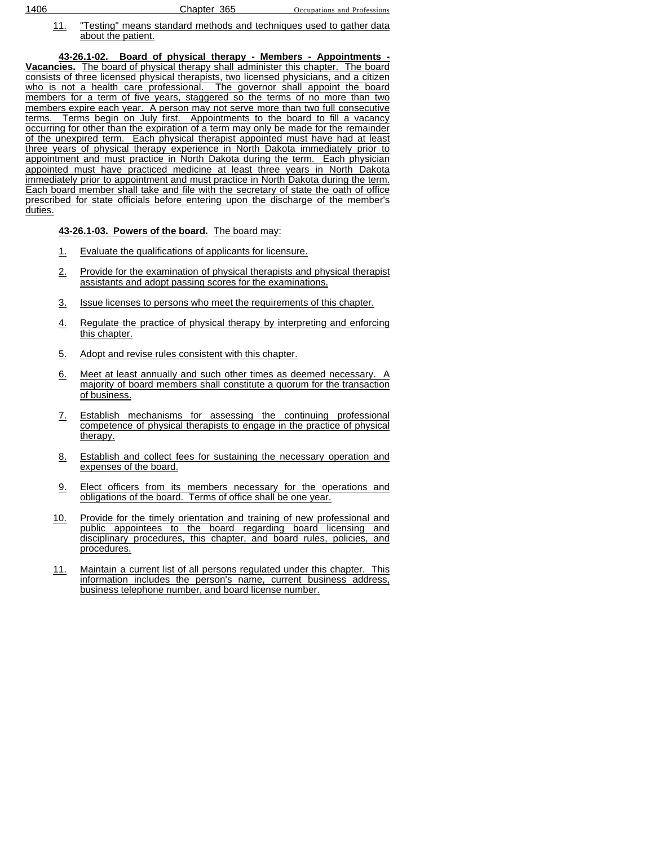11. "Testing" means standard methods and techniques used to gather data about the patient.

**43-26.1-02. Board of physical therapy - Members - Appointments - Vacancies.** The board of physical therapy shall administer this chapter. The board consists of three licensed physical therapists, two licensed physicians, and a citizen who is not a health care professional. The governor shall appoint the board members for a term of five years, staggered so the terms of no more than two members expire each year. A person may not serve more than two full consecutive terms. Terms begin on July first. Appointments to the board to fill a vacancy occurring for other than the expiration of a term may only be made for the remainder of the unexpired term. Each physical therapist appointed must have had at least three years of physical therapy experience in North Dakota immediately prior to appointment and must practice in North Dakota during the term. Each physician appointed must have practiced medicine at least three years in North Dakota immediately prior to appointment and must practice in North Dakota during the term. Each board member shall take and file with the secretary of state the oath of office prescribed for state officials before entering upon the discharge of the member's duties.

#### **43-26.1-03. Powers of the board.** The board may:

- 1. Evaluate the qualifications of applicants for licensure.
- 2. Provide for the examination of physical therapists and physical therapist assistants and adopt passing scores for the examinations.
- 3. Issue licenses to persons who meet the requirements of this chapter.
- 4. Regulate the practice of physical therapy by interpreting and enforcing this chapter.
- 5. Adopt and revise rules consistent with this chapter.
- 6. Meet at least annually and such other times as deemed necessary. A majority of board members shall constitute a quorum for the transaction of business.
- 7. Establish mechanisms for assessing the continuing professional competence of physical therapists to engage in the practice of physical therapy.
- 8. Establish and collect fees for sustaining the necessary operation and expenses of the board.
- 9. Elect officers from its members necessary for the operations and obligations of the board. Terms of office shall be one year.
- 10. Provide for the timely orientation and training of new professional and public appointees to the board regarding board licensing and disciplinary procedures, this chapter, and board rules, policies, and procedures.
- 11. Maintain a current list of all persons regulated under this chapter. This information includes the person's name, current business address, business telephone number, and board license number.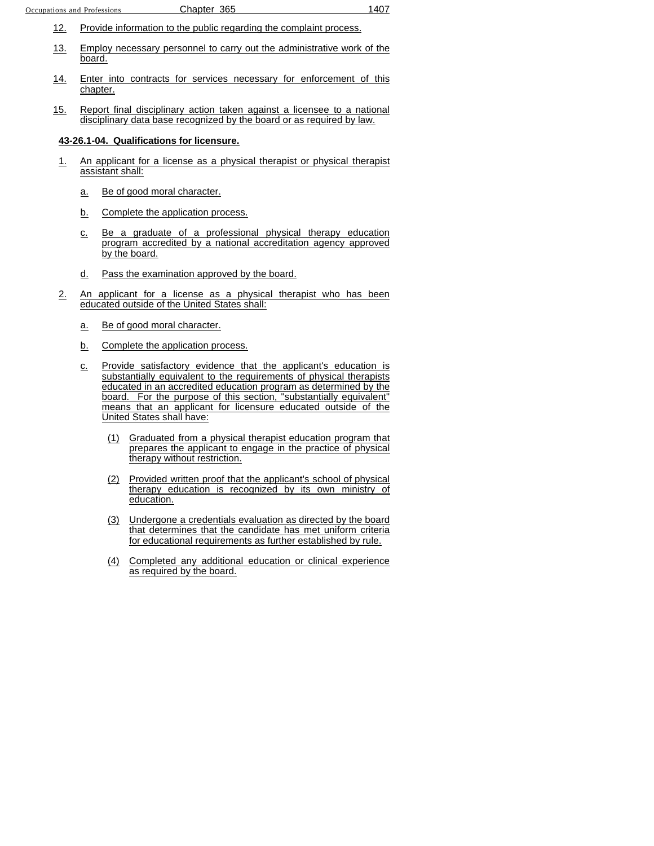- 12. Provide information to the public regarding the complaint process.
- 13. Employ necessary personnel to carry out the administrative work of the board.
- 14. Enter into contracts for services necessary for enforcement of this chapter.
- 15. Report final disciplinary action taken against a licensee to a national disciplinary data base recognized by the board or as required by law.

#### **43-26.1-04. Qualifications for licensure.**

- 1. An applicant for a license as a physical therapist or physical therapist assistant shall:
	- a. Be of good moral character.
	- b. Complete the application process.
	- c. Be a graduate of a professional physical therapy education program accredited by a national accreditation agency approved by the board.
	- d. Pass the examination approved by the board.
- 2. An applicant for a license as a physical therapist who has been educated outside of the United States shall:
	- a. Be of good moral character.
	- b. Complete the application process.
	- c. Provide satisfactory evidence that the applicant's education is substantially equivalent to the requirements of physical therapists educated in an accredited education program as determined by the board. For the purpose of this section, "substantially equivalent" means that an applicant for licensure educated outside of the United States shall have:
		- (1) Graduated from a physical therapist education program that prepares the applicant to engage in the practice of physical therapy without restriction.
		- (2) Provided written proof that the applicant's school of physical therapy education is recognized by its own ministry of education.
		- (3) Undergone a credentials evaluation as directed by the board that determines that the candidate has met uniform criteria for educational requirements as further established by rule.
		- (4) Completed any additional education or clinical experience as required by the board.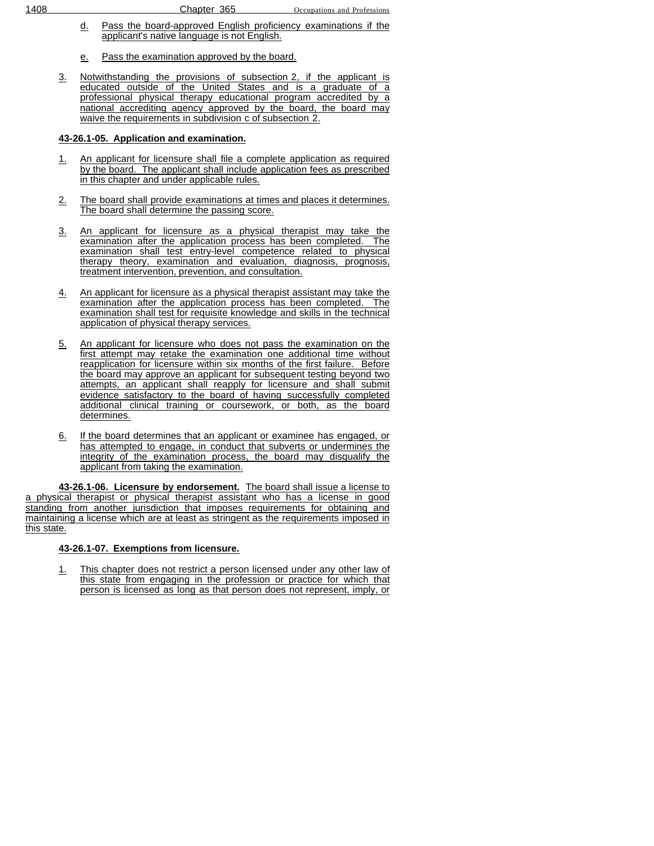- d. Pass the board-approved English proficiency examinations if the applicant's native language is not English.
- e. Pass the examination approved by the board.
- 3. Notwithstanding the provisions of subsection 2, if the applicant is educated outside of the United States and is a graduate of a professional physical therapy educational program accredited by a national accrediting agency approved by the board, the board may waive the requirements in subdivision c of subsection 2.

### **43-26.1-05. Application and examination.**

- 1. An applicant for licensure shall file a complete application as required by the board. The applicant shall include application fees as prescribed in this chapter and under applicable rules.
- 2. The board shall provide examinations at times and places it determines. The board shall determine the passing score.
- 3. An applicant for licensure as a physical therapist may take the examination after the application process has been completed. The examination shall test entry-level competence related to physical therapy theory, examination and evaluation, diagnosis, prognosis, treatment intervention, prevention, and consultation.
- 4. An applicant for licensure as a physical therapist assistant may take the examination after the application process has been completed. The examination shall test for requisite knowledge and skills in the technical application of physical therapy services.
- 5. An applicant for licensure who does not pass the examination on the first attempt may retake the examination one additional time without reapplication for licensure within six months of the first failure. Before the board may approve an applicant for subsequent testing beyond two attempts, an applicant shall reapply for licensure and shall submit evidence satisfactory to the board of having successfully completed additional clinical training or coursework, or both, as the board determines.
- 6. If the board determines that an applicant or examinee has engaged, or has attempted to engage, in conduct that subverts or undermines the integrity of the examination process, the board may disqualify the applicant from taking the examination.

**43-26.1-06. Licensure by endorsement.** The board shall issue a license to a physical therapist or physical therapist assistant who has a license in good standing from another jurisdiction that imposes requirements for obtaining and maintaining a license which are at least as stringent as the requirements imposed in this state.

#### **43-26.1-07. Exemptions from licensure.**

1. This chapter does not restrict a person licensed under any other law of this state from engaging in the profession or practice for which that person is licensed as long as that person does not represent, imply, or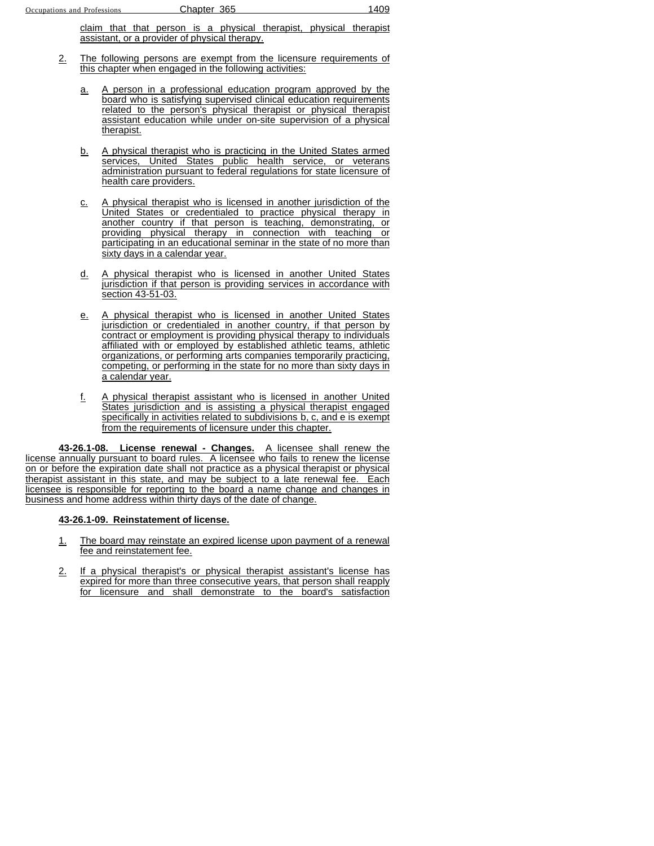claim that that person is a physical therapist, physical therapist assistant, or a provider of physical therapy.

- 2. The following persons are exempt from the licensure requirements of this chapter when engaged in the following activities:
	- a. A person in a professional education program approved by the board who is satisfying supervised clinical education requirements related to the person's physical therapist or physical therapist assistant education while under on-site supervision of a physical therapist.
	- b. A physical therapist who is practicing in the United States armed services, United States public health service, or veterans administration pursuant to federal regulations for state licensure of health care providers.
	- c. A physical therapist who is licensed in another jurisdiction of the United States or credentialed to practice physical therapy in another country if that person is teaching, demonstrating, or providing physical therapy in connection with teaching or participating in an educational seminar in the state of no more than sixty days in a calendar year.
	- d. A physical therapist who is licensed in another United States jurisdiction if that person is providing services in accordance with section 43-51-03.
	- e. A physical therapist who is licensed in another United States jurisdiction or credentialed in another country, if that person by contract or employment is providing physical therapy to individuals affiliated with or employed by established athletic teams, athletic organizations, or performing arts companies temporarily practicing, competing, or performing in the state for no more than sixty days in a calendar year.
	- f. A physical therapist assistant who is licensed in another United States jurisdiction and is assisting a physical therapist engaged specifically in activities related to subdivisions b, c, and e is exempt from the requirements of licensure under this chapter.

**43-26.1-08. License renewal - Changes.** A licensee shall renew the license annually pursuant to board rules. A licensee who fails to renew the license on or before the expiration date shall not practice as a physical therapist or physical therapist assistant in this state, and may be subject to a late renewal fee. Each licensee is responsible for reporting to the board a name change and changes in business and home address within thirty days of the date of change.

### **43-26.1-09. Reinstatement of license.**

- 1. The board may reinstate an expired license upon payment of a renewal fee and reinstatement fee.
- 2. If a physical therapist's or physical therapist assistant's license has expired for more than three consecutive years, that person shall reapply for licensure and shall demonstrate to the board's satisfaction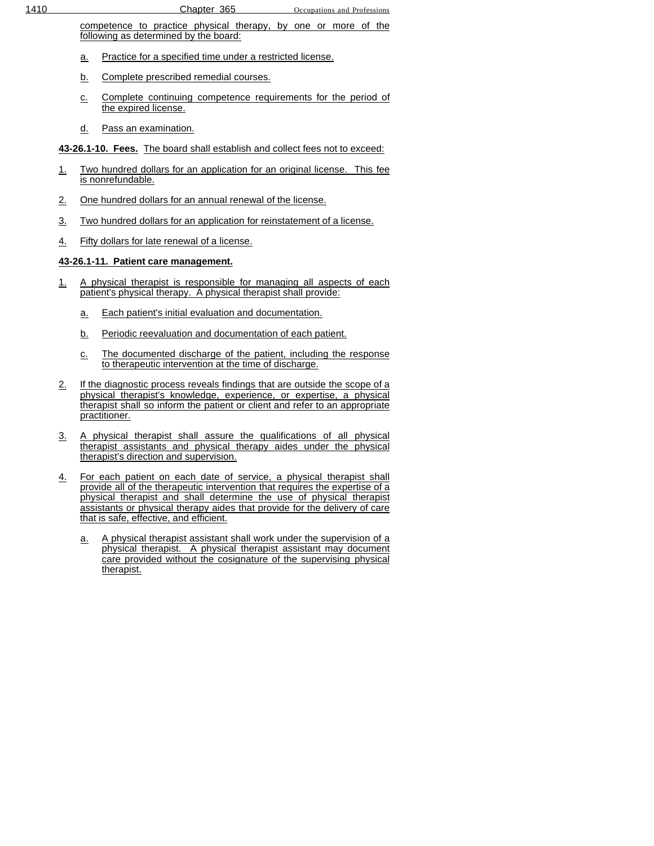competence to practice physical therapy, by one or more of the following as determined by the board:

- a. Practice for a specified time under a restricted license.
- b. Complete prescribed remedial courses.
- c. Complete continuing competence requirements for the period of the expired license.
- d. Pass an examination.

**43-26.1-10. Fees.** The board shall establish and collect fees not to exceed:

- 1. Two hundred dollars for an application for an original license. This fee is nonrefundable.
- 2. One hundred dollars for an annual renewal of the license.
- 3. Two hundred dollars for an application for reinstatement of a license.
- 4. Fifty dollars for late renewal of a license.

## **43-26.1-11. Patient care management.**

- 1. A physical therapist is responsible for managing all aspects of each patient's physical therapy. A physical therapist shall provide:
	- a. Each patient's initial evaluation and documentation.
	- b. Periodic reevaluation and documentation of each patient.
	- c. The documented discharge of the patient, including the response to therapeutic intervention at the time of discharge.
- 2. If the diagnostic process reveals findings that are outside the scope of a physical therapist's knowledge, experience, or expertise, a physical therapist shall so inform the patient or client and refer to an appropriate practitioner.
- 3. A physical therapist shall assure the qualifications of all physical therapist assistants and physical therapy aides under the physical therapist's direction and supervision.
- 4. For each patient on each date of service, a physical therapist shall provide all of the therapeutic intervention that requires the expertise of a physical therapist and shall determine the use of physical therapist assistants or physical therapy aides that provide for the delivery of care that is safe, effective, and efficient.
	- a. A physical therapist assistant shall work under the supervision of a physical therapist. A physical therapist assistant may document care provided without the cosignature of the supervising physical therapist.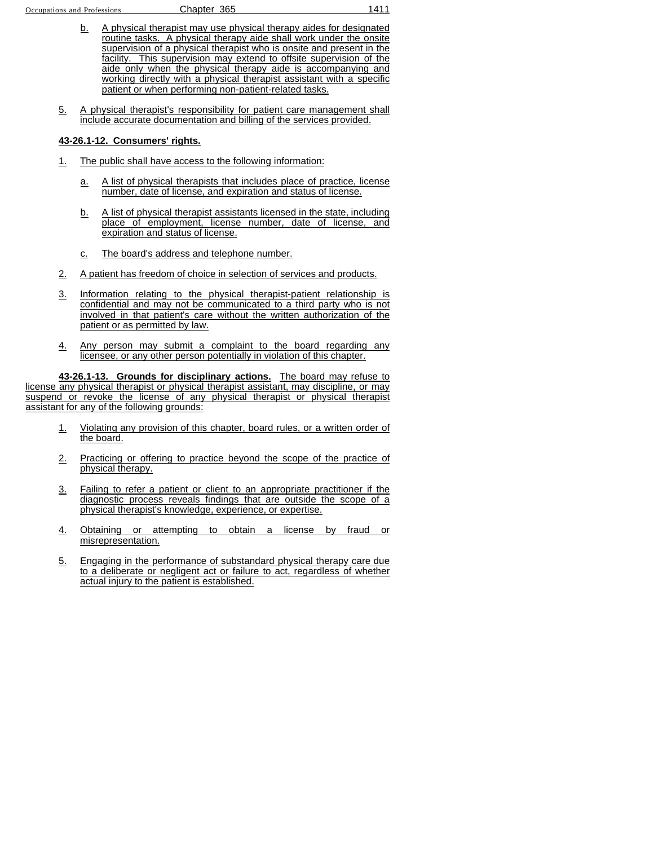- b. A physical therapist may use physical therapy aides for designated routine tasks. A physical therapy aide shall work under the onsite supervision of a physical therapist who is onsite and present in the facility. This supervision may extend to offsite supervision of the aide only when the physical therapy aide is accompanying and working directly with a physical therapist assistant with a specific patient or when performing non-patient-related tasks.
- 5. A physical therapist's responsibility for patient care management shall include accurate documentation and billing of the services provided.

#### **43-26.1-12. Consumers' rights.**

- 1. The public shall have access to the following information:
	- a. A list of physical therapists that includes place of practice, license number, date of license, and expiration and status of license.
	- b. A list of physical therapist assistants licensed in the state, including place of employment, license number, date of license, and expiration and status of license.
	- c. The board's address and telephone number.
- 2. A patient has freedom of choice in selection of services and products.
- 3. Information relating to the physical therapist-patient relationship is confidential and may not be communicated to a third party who is not involved in that patient's care without the written authorization of the patient or as permitted by law.
- 4. Any person may submit a complaint to the board regarding any licensee, or any other person potentially in violation of this chapter.

**43-26.1-13. Grounds for disciplinary actions.** The board may refuse to license any physical therapist or physical therapist assistant, may discipline, or may suspend or revoke the license of any physical therapist or physical therapist assistant for any of the following grounds:

- 1. Violating any provision of this chapter, board rules, or a written order of the board.
- 2. Practicing or offering to practice beyond the scope of the practice of physical therapy.
- 3. Failing to refer a patient or client to an appropriate practitioner if the diagnostic process reveals findings that are outside the scope of a physical therapist's knowledge, experience, or expertise.
- 4. Obtaining or attempting to obtain a license by fraud or misrepresentation.
- 5. Engaging in the performance of substandard physical therapy care due to a deliberate or negligent act or failure to act, regardless of whether actual injury to the patient is established.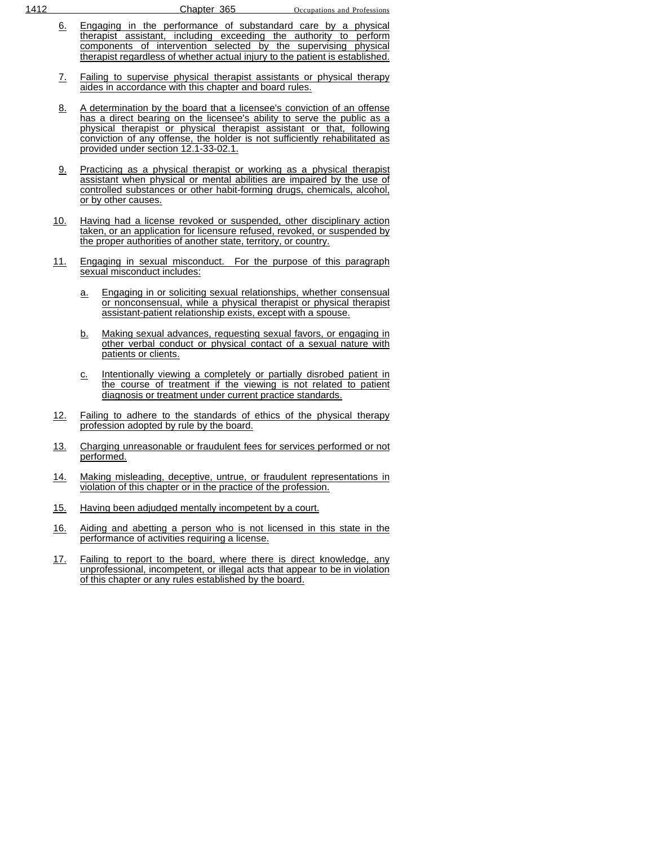- 6. Engaging in the performance of substandard care by a physical therapist assistant, including exceeding the authority to perform components of intervention selected by the supervising physical therapist regardless of whether actual injury to the patient is established.
- 7. Failing to supervise physical therapist assistants or physical therapy aides in accordance with this chapter and board rules.
- 8. A determination by the board that a licensee's conviction of an offense has a direct bearing on the licensee's ability to serve the public as a physical therapist or physical therapist assistant or that, following conviction of any offense, the holder is not sufficiently rehabilitated as provided under section 12.1-33-02.1.
- 9. Practicing as a physical therapist or working as a physical therapist assistant when physical or mental abilities are impaired by the use of controlled substances or other habit-forming drugs, chemicals, alcohol, or by other causes.
- 10. Having had a license revoked or suspended, other disciplinary action taken, or an application for licensure refused, revoked, or suspended by the proper authorities of another state, territory, or country.
- 11. Engaging in sexual misconduct. For the purpose of this paragraph sexual misconduct includes:
	- a. Engaging in or soliciting sexual relationships, whether consensual or nonconsensual, while a physical therapist or physical therapist assistant-patient relationship exists, except with a spouse.
	- b. Making sexual advances, requesting sexual favors, or engaging in other verbal conduct or physical contact of a sexual nature with patients or clients.
	- c. Intentionally viewing a completely or partially disrobed patient in the course of treatment if the viewing is not related to patient diagnosis or treatment under current practice standards.
- 12. Failing to adhere to the standards of ethics of the physical therapy profession adopted by rule by the board.
- 13. Charging unreasonable or fraudulent fees for services performed or not performed.
- 14. Making misleading, deceptive, untrue, or fraudulent representations in violation of this chapter or in the practice of the profession.
- 15. Having been adjudged mentally incompetent by a court.
- 16. Aiding and abetting a person who is not licensed in this state in the performance of activities requiring a license.
- 17. Failing to report to the board, where there is direct knowledge, any unprofessional, incompetent, or illegal acts that appear to be in violation of this chapter or any rules established by the board.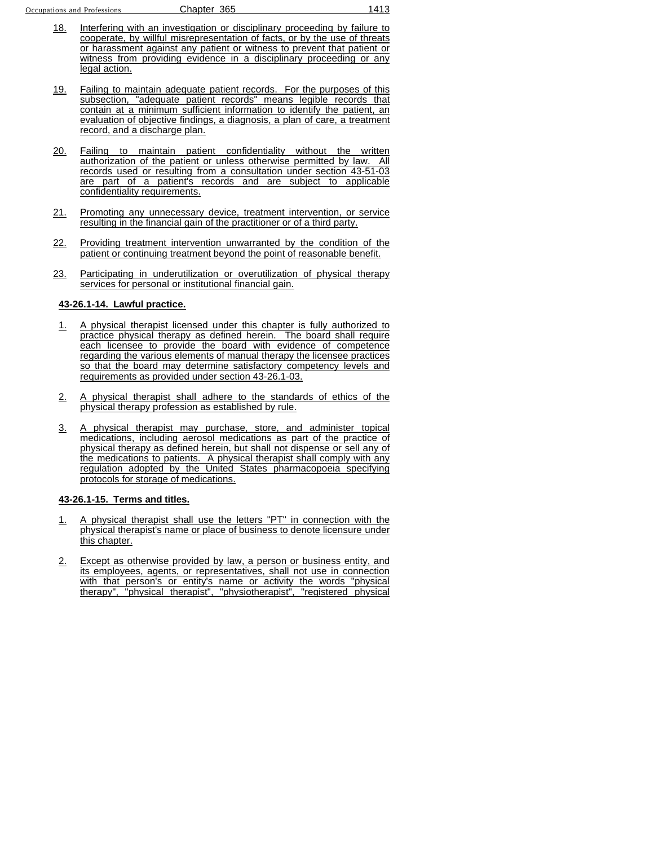- 18. Interfering with an investigation or disciplinary proceeding by failure to cooperate, by willful misrepresentation of facts, or by the use of threats or harassment against any patient or witness to prevent that patient or witness from providing evidence in a disciplinary proceeding or any legal action.
- 19. Failing to maintain adequate patient records. For the purposes of this subsection, "adequate patient records" means legible records that contain at a minimum sufficient information to identify the patient, an evaluation of objective findings, a diagnosis, a plan of care, a treatment record, and a discharge plan.
- 20. Failing to maintain patient confidentiality without the written authorization of the patient or unless otherwise permitted by law. All records used or resulting from a consultation under section 43-51-03 are part of a patient's records and are subject to applicable confidentiality requirements.
- 21. Promoting any unnecessary device, treatment intervention, or service resulting in the financial gain of the practitioner or of a third party.
- 22. Providing treatment intervention unwarranted by the condition of the patient or continuing treatment beyond the point of reasonable benefit.
- 23. Participating in underutilization or overutilization of physical therapy services for personal or institutional financial gain.

#### **43-26.1-14. Lawful practice.**

- 1. A physical therapist licensed under this chapter is fully authorized to practice physical therapy as defined herein. The board shall require each licensee to provide the board with evidence of competence regarding the various elements of manual therapy the licensee practices so that the board may determine satisfactory competency levels and requirements as provided under section 43-26.1-03.
- 2. A physical therapist shall adhere to the standards of ethics of the physical therapy profession as established by rule.
- 3. A physical therapist may purchase, store, and administer topical medications, including aerosol medications as part of the practice of physical therapy as defined herein, but shall not dispense or sell any of the medications to patients. A physical therapist shall comply with any regulation adopted by the United States pharmacopoeia specifying protocols for storage of medications.

#### **43-26.1-15. Terms and titles.**

- 1. A physical therapist shall use the letters "PT" in connection with the physical therapist's name or place of business to denote licensure under this chapter.
- 2. Except as otherwise provided by law, a person or business entity, and its employees, agents, or representatives, shall not use in connection with that person's or entity's name or activity the words "physical therapy", "physical therapist", "physiotherapist", "registered physical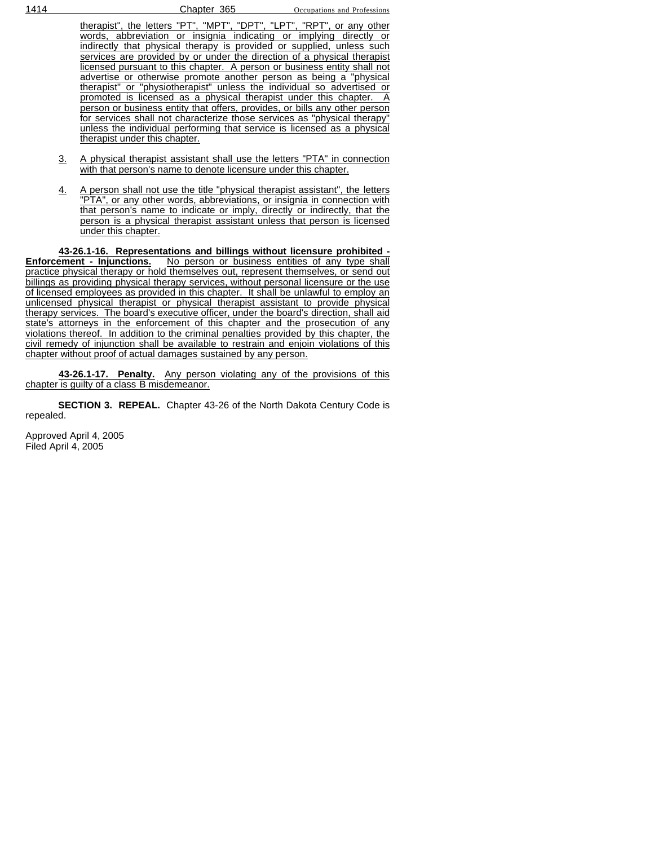| therapist", the letters "PT", "MPT", "DPT", "LPT", "RPT", or any other     |
|----------------------------------------------------------------------------|
| words, abbreviation or insignia indicating or implying directly or         |
| indirectly that physical therapy is provided or supplied, unless such      |
| services are provided by or under the direction of a physical therapist    |
| licensed pursuant to this chapter. A person or business entity shall not   |
| advertise or otherwise promote another person as being a "physical         |
| therapist" or "physiotherapist" unless the individual so advertised or     |
| promoted is licensed as a physical therapist under this chapter. A         |
| person or business entity that offers, provides, or bills any other person |
| for services shall not characterize those services as "physical therapy"   |
| unless the individual performing that service is licensed as a physical    |
| therapist under this chapter.                                              |
|                                                                            |

- 3. A physical therapist assistant shall use the letters "PTA" in connection with that person's name to denote licensure under this chapter.
- 4. A person shall not use the title "physical therapist assistant", the letters "PTA", or any other words, abbreviations, or insignia in connection with that person's name to indicate or imply, directly or indirectly, that the person is a physical therapist assistant unless that person is licensed under this chapter.

**43-26.1-16. Representations and billings without licensure prohibited - Enforcement - Injunctions.** No person or business entities of any type shall practice physical therapy or hold themselves out, represent themselves, or send out billings as providing physical therapy services, without personal licensure or the use of licensed employees as provided in this chapter. It shall be unlawful to employ an unlicensed physical therapist or physical therapist assistant to provide physical therapy services. The board's executive officer, under the board's direction, shall aid state's attorneys in the enforcement of this chapter and the prosecution of any violations thereof. In addition to the criminal penalties provided by this chapter, the civil remedy of injunction shall be available to restrain and enjoin violations of this chapter without proof of actual damages sustained by any person.

**43-26.1-17. Penalty.** Any person violating any of the provisions of this chapter is guilty of a class B misdemeanor.

**SECTION 3. REPEAL.** Chapter 43-26 of the North Dakota Century Code is repealed.

Approved April 4, 2005 Filed April 4, 2005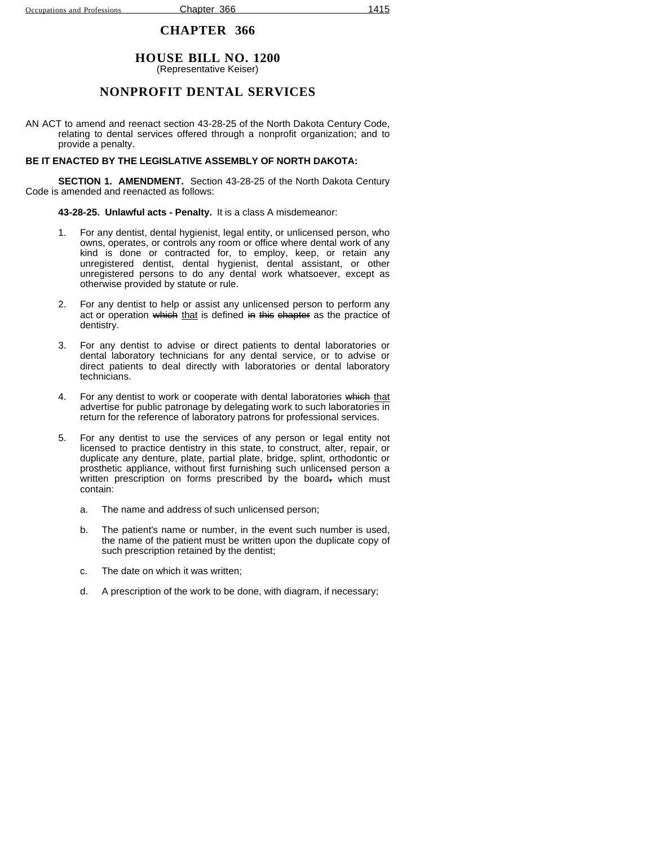## **HOUSE BILL NO. 1200**

(Representative Keiser)

### **NONPROFIT DENTAL SERVICES**

AN ACT to amend and reenact section 43-28-25 of the North Dakota Century Code, relating to dental services offered through a nonprofit organization; and to provide a penalty.

#### **BE IT ENACTED BY THE LEGISLATIVE ASSEMBLY OF NORTH DAKOTA:**

**SECTION 1. AMENDMENT.** Section 43-28-25 of the North Dakota Century Code is amended and reenacted as follows:

**43-28-25. Unlawful acts - Penalty.** It is a class A misdemeanor:

- 1. For any dentist, dental hygienist, legal entity, or unlicensed person, who owns, operates, or controls any room or office where dental work of any kind is done or contracted for, to employ, keep, or retain any unregistered dentist, dental hygienist, dental assistant, or other unregistered persons to do any dental work whatsoever, except as otherwise provided by statute or rule.
- 2. For any dentist to help or assist any unlicensed person to perform any act or operation which that is defined in this chapter as the practice of dentistry.
- 3. For any dentist to advise or direct patients to dental laboratories or dental laboratory technicians for any dental service, or to advise or direct patients to deal directly with laboratories or dental laboratory technicians.
- 4. For any dentist to work or cooperate with dental laboratories which that advertise for public patronage by delegating work to such laboratories in return for the reference of laboratory patrons for professional services.
- 5. For any dentist to use the services of any person or legal entity not licensed to practice dentistry in this state, to construct, alter, repair, or duplicate any denture, plate, partial plate, bridge, splint, orthodontic or prosthetic appliance, without first furnishing such unlicensed person a written prescription on forms prescribed by the board, which must contain:
	- a. The name and address of such unlicensed person;
	- b. The patient's name or number, in the event such number is used, the name of the patient must be written upon the duplicate copy of such prescription retained by the dentist;
	- c. The date on which it was written;
	- d. A prescription of the work to be done, with diagram, if necessary;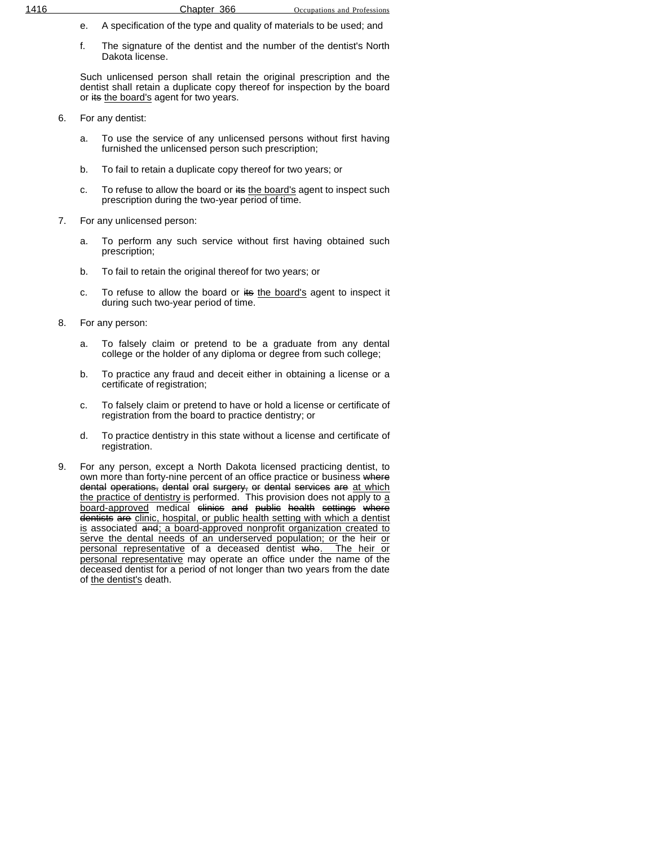- e. A specification of the type and quality of materials to be used; and
- f. The signature of the dentist and the number of the dentist's North Dakota license.

Such unlicensed person shall retain the original prescription and the dentist shall retain a duplicate copy thereof for inspection by the board or its the board's agent for two years.

- 6. For any dentist:
	- a. To use the service of any unlicensed persons without first having furnished the unlicensed person such prescription;
	- b. To fail to retain a duplicate copy thereof for two years; or
	- c. To refuse to allow the board or its the board's agent to inspect such prescription during the two-year period of time.
- 7. For any unlicensed person:
	- a. To perform any such service without first having obtained such prescription;
	- b. To fail to retain the original thereof for two years; or
	- c. To refuse to allow the board or its the board's agent to inspect it during such two-year period of time.
- 8. For any person:
	- a. To falsely claim or pretend to be a graduate from any dental college or the holder of any diploma or degree from such college;
	- b. To practice any fraud and deceit either in obtaining a license or a certificate of registration;
	- c. To falsely claim or pretend to have or hold a license or certificate of registration from the board to practice dentistry; or
	- d. To practice dentistry in this state without a license and certificate of registration.
- 9. For any person, except a North Dakota licensed practicing dentist, to own more than forty-nine percent of an office practice or business where dental operations, dental oral surgery, or dental services are at which the practice of dentistry is performed. This provision does not apply to a board-approved medical <del>clinics</del> a<del>nd public health settings where</del> dentists are clinic, hospital, or public health setting with which a dentist is associated and; a board-approved nonprofit organization created to serve the dental needs of an underserved population; or the heir or personal representative of a deceased dentist who. The heir or personal representative may operate an office under the name of the deceased dentist for a period of not longer than two years from the date of the dentist's death.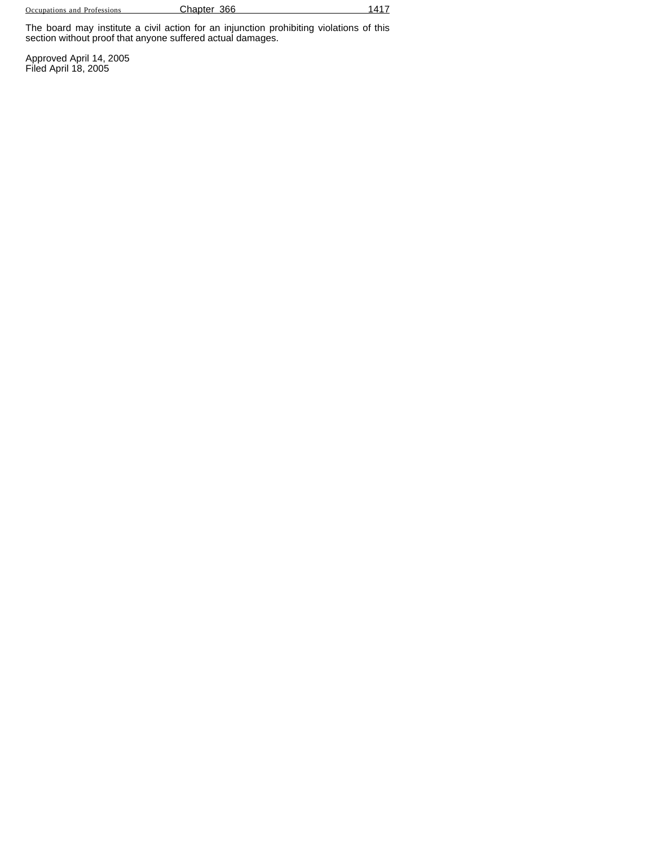Occupations and Professions **Chapter 366** 1417

The board may institute a civil action for an injunction prohibiting violations of this section without proof that anyone suffered actual damages.

Approved April 14, 2005 Filed April 18, 2005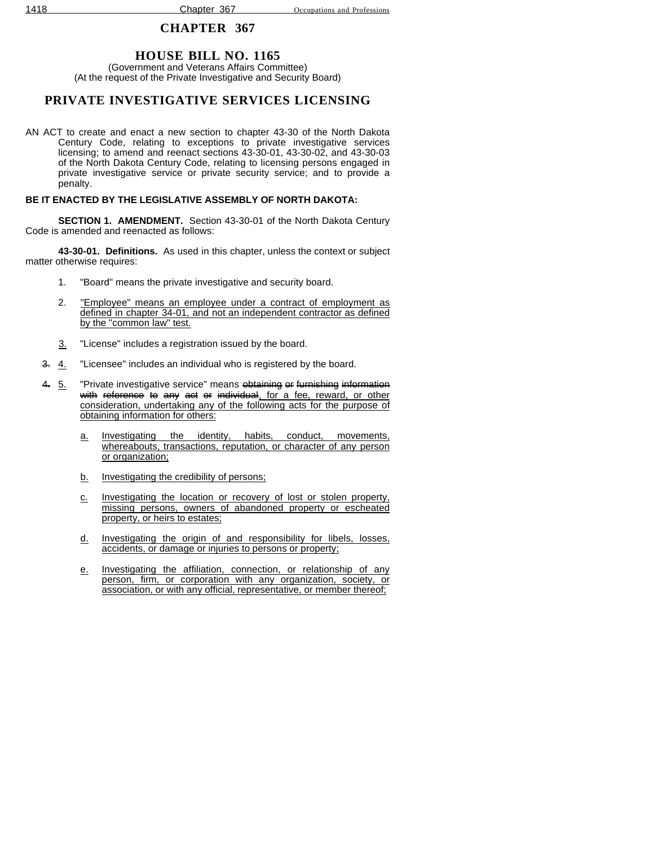## **HOUSE BILL NO. 1165**

(Government and Veterans Affairs Committee) (At the request of the Private Investigative and Security Board)

## **PRIVATE INVESTIGATIVE SERVICES LICENSING**

AN ACT to create and enact a new section to chapter 43-30 of the North Dakota Century Code, relating to exceptions to private investigative services licensing; to amend and reenact sections 43-30-01, 43-30-02, and 43-30-03 of the North Dakota Century Code, relating to licensing persons engaged in private investigative service or private security service; and to provide a penalty.

### **BE IT ENACTED BY THE LEGISLATIVE ASSEMBLY OF NORTH DAKOTA:**

**SECTION 1. AMENDMENT.** Section 43-30-01 of the North Dakota Century Code is amended and reenacted as follows:

**43-30-01. Definitions.** As used in this chapter, unless the context or subject matter otherwise requires:

- 1. "Board" means the private investigative and security board.
- 2. "Employee" means an employee under a contract of employment as defined in chapter 34-01, and not an independent contractor as defined by the "common law" test.
- 3. "License" includes a registration issued by the board.
- 3. 4. "Licensee" includes an individual who is registered by the board.
- 4. 5. "Private investigative service" means <del>obtaining</del> or furnishing information with reference to any act or individual, for a fee, reward, or other consideration, undertaking any of the following acts for the purpose of obtaining information for others:
	- a. Investigating the identity, habits, conduct, movements, whereabouts, transactions, reputation, or character of any person or organization;
	- b. Investigating the credibility of persons;
	- c. Investigating the location or recovery of lost or stolen property, missing persons, owners of abandoned property or escheated property, or heirs to estates;
	- d. Investigating the origin of and responsibility for libels, losses, accidents, or damage or injuries to persons or property;
	- e. Investigating the affiliation, connection, or relationship of any person, firm, or corporation with any organization, society, or association, or with any official, representative, or member thereof;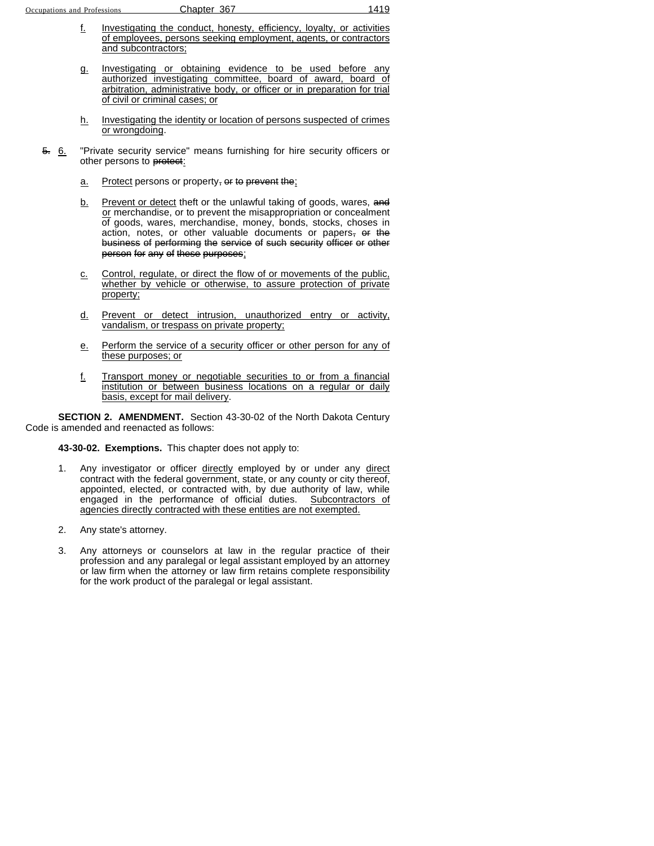- f. Investigating the conduct, honesty, efficiency, loyalty, or activities of employees, persons seeking employment, agents, or contractors and subcontractors;
- g. Investigating or obtaining evidence to be used before any authorized investigating committee, board of award, board of arbitration, administrative body, or officer or in preparation for trial of civil or criminal cases; or
- h. Investigating the identity or location of persons suspected of crimes or wrongdoing.
- 5. 6. "Private security service" means furnishing for hire security officers or other persons to protect:
	- $a.$  Protect persons or property,  $e^{i}$  to prevent the;
	- b. Prevent or detect theft or the unlawful taking of goods, wares, and or merchandise, or to prevent the misappropriation or concealment of goods, wares, merchandise, money, bonds, stocks, choses in action, notes, or other valuable documents or papers, or the business of performing the service of such security officer or other person for any of these purposes;
	- c. Control, regulate, or direct the flow of or movements of the public, whether by vehicle or otherwise, to assure protection of private property;
	- d. Prevent or detect intrusion, unauthorized entry or activity, vandalism, or trespass on private property;
	- e. Perform the service of a security officer or other person for any of these purposes; or
	- f. Transport money or negotiable securities to or from a financial institution or between business locations on a regular or daily basis, except for mail delivery.

**SECTION 2. AMENDMENT.** Section 43-30-02 of the North Dakota Century Code is amended and reenacted as follows:

**43-30-02. Exemptions.** This chapter does not apply to:

- 1. Any investigator or officer directly employed by or under any direct contract with the federal government, state, or any county or city thereof, appointed, elected, or contracted with, by due authority of law, while engaged in the performance of official duties. Subcontractors of agencies directly contracted with these entities are not exempted.
- 2. Any state's attorney.
- 3. Any attorneys or counselors at law in the regular practice of their profession and any paralegal or legal assistant employed by an attorney or law firm when the attorney or law firm retains complete responsibility for the work product of the paralegal or legal assistant.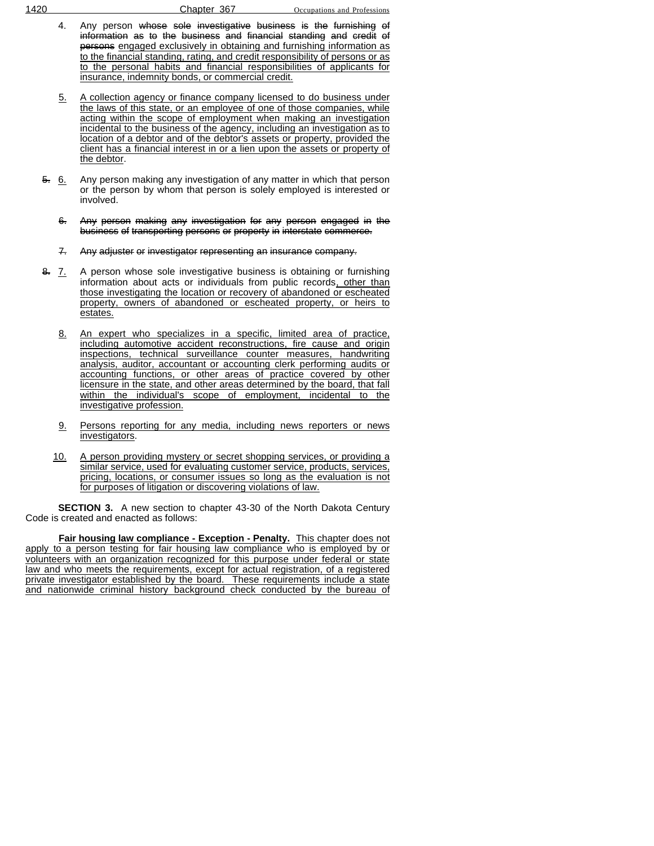- 4. Any person whose sole investigative business is the furnishing of information as to the business and financial standing and credit of persons engaged exclusively in obtaining and furnishing information as to the financial standing, rating, and credit responsibility of persons or as to the personal habits and financial responsibilities of applicants for insurance, indemnity bonds, or commercial credit.
- 5. A collection agency or finance company licensed to do business under the laws of this state, or an employee of one of those companies, while acting within the scope of employment when making an investigation incidental to the business of the agency, including an investigation as to location of a debtor and of the debtor's assets or property, provided the client has a financial interest in or a lien upon the assets or property of the debtor.
- 5. 6. Any person making any investigation of any matter in which that person or the person by whom that person is solely employed is interested or involved.
	- 6. Any person making any investigation for any person engaged in the business of transporting persons or property in interstate commerce.
	- 7. Any adjuster or investigator representing an insurance company.
- 8. **7.** A person whose sole investigative business is obtaining or furnishing information about acts or individuals from public records, other than those investigating the location or recovery of abandoned or escheated property, owners of abandoned or escheated property, or heirs to estates.
	- 8. An expert who specializes in a specific, limited area of practice, including automotive accident reconstructions, fire cause and origin inspections, technical surveillance counter measures, handwriting analysis, auditor, accountant or accounting clerk performing audits or accounting functions, or other areas of practice covered by other licensure in the state, and other areas determined by the board, that fall within the individual's scope of employment, incidental to the investigative profession.
	- 9. Persons reporting for any media, including news reporters or news investigators.
	- 10. A person providing mystery or secret shopping services, or providing a similar service, used for evaluating customer service, products, services, pricing, locations, or consumer issues so long as the evaluation is not for purposes of litigation or discovering violations of law.

**SECTION 3.** A new section to chapter 43-30 of the North Dakota Century Code is created and enacted as follows:

**Fair housing law compliance - Exception - Penalty.** This chapter does not apply to a person testing for fair housing law compliance who is employed by or volunteers with an organization recognized for this purpose under federal or state law and who meets the requirements, except for actual registration, of a registered private investigator established by the board. These requirements include a state and nationwide criminal history background check conducted by the bureau of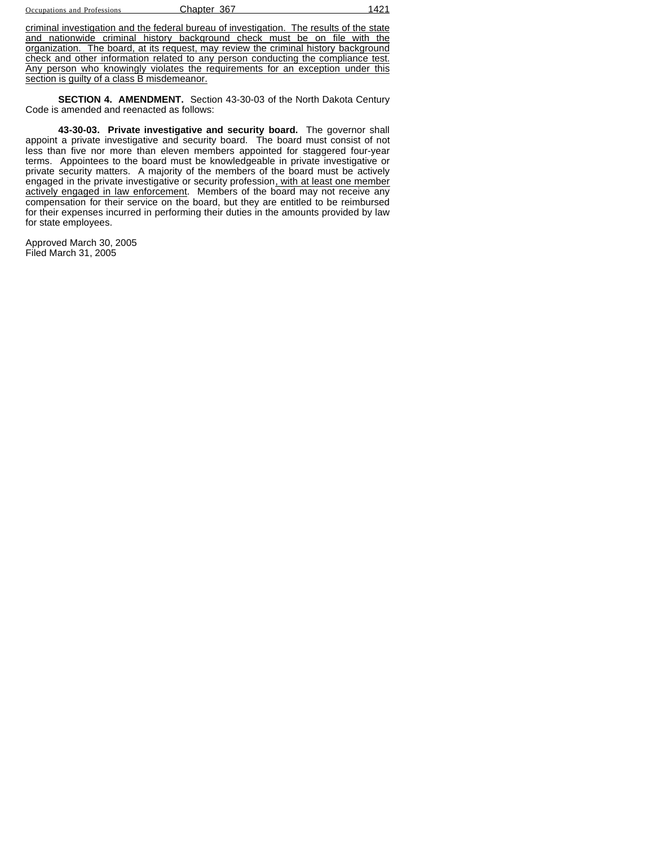| Occupations and Professions |  |  |
|-----------------------------|--|--|
|-----------------------------|--|--|

Chapter 367 1421

criminal investigation and the federal bureau of investigation. The results of the state and nationwide criminal history background check must be on file with the organization. The board, at its request, may review the criminal history background check and other information related to any person conducting the compliance test. Any person who knowingly violates the requirements for an exception under this section is guilty of a class B misdemeanor.

**SECTION 4. AMENDMENT.** Section 43-30-03 of the North Dakota Century Code is amended and reenacted as follows:

**43-30-03. Private investigative and security board.** The governor shall appoint a private investigative and security board. The board must consist of not less than five nor more than eleven members appointed for staggered four-year terms. Appointees to the board must be knowledgeable in private investigative or private security matters. A majority of the members of the board must be actively engaged in the private investigative or security profession, with at least one member actively engaged in law enforcement. Members of the board may not receive any compensation for their service on the board, but they are entitled to be reimbursed for their expenses incurred in performing their duties in the amounts provided by law for state employees.

Approved March 30, 2005 Filed March 31, 2005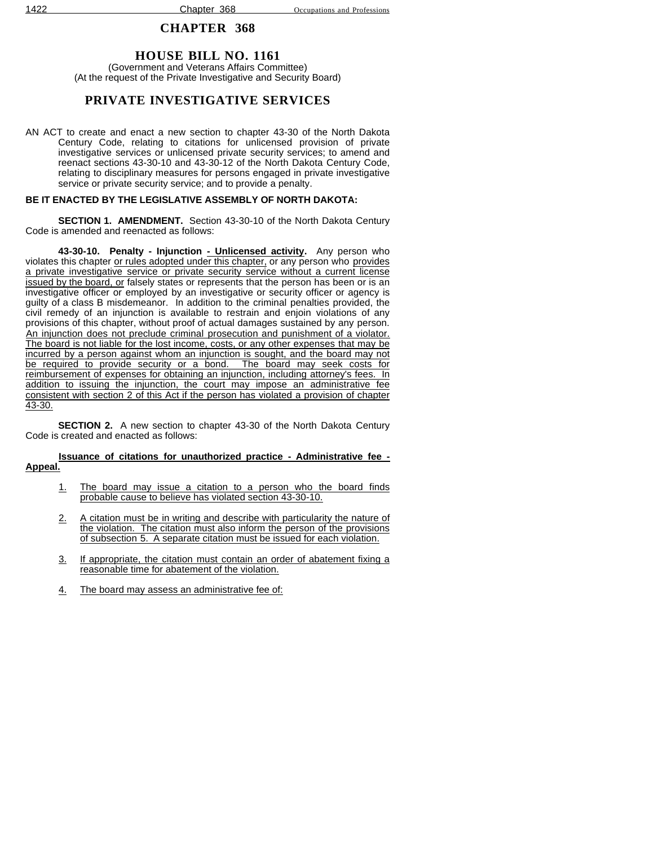## **HOUSE BILL NO. 1161**

(Government and Veterans Affairs Committee) (At the request of the Private Investigative and Security Board)

## **PRIVATE INVESTIGATIVE SERVICES**

AN ACT to create and enact a new section to chapter 43-30 of the North Dakota Century Code, relating to citations for unlicensed provision of private investigative services or unlicensed private security services; to amend and reenact sections 43-30-10 and 43-30-12 of the North Dakota Century Code, relating to disciplinary measures for persons engaged in private investigative service or private security service; and to provide a penalty.

### **BE IT ENACTED BY THE LEGISLATIVE ASSEMBLY OF NORTH DAKOTA:**

**SECTION 1. AMENDMENT.** Section 43-30-10 of the North Dakota Century Code is amended and reenacted as follows:

**43-30-10. Penalty - Injunction - Unlicensed activity.** Any person who violates this chapter or rules adopted under this chapter, or any person who provides a private investigative service or private security service without a current license issued by the board, or falsely states or represents that the person has been or is an investigative officer or employed by an investigative or security officer or agency is guilty of a class B misdemeanor. In addition to the criminal penalties provided, the civil remedy of an injunction is available to restrain and enjoin violations of any provisions of this chapter, without proof of actual damages sustained by any person. An injunction does not preclude criminal prosecution and punishment of a violator. The board is not liable for the lost income, costs, or any other expenses that may be incurred by a person against whom an injunction is sought, and the board may not be required to provide security or a bond. The board may seek costs for reimbursement of expenses for obtaining an injunction, including attorney's fees. In addition to issuing the injunction, the court may impose an administrative fee consistent with section 2 of this Act if the person has violated a provision of chapter 43-30.

**SECTION 2.** A new section to chapter 43-30 of the North Dakota Century Code is created and enacted as follows:

#### **Issuance of citations for unauthorized practice - Administrative fee - Appeal.**

- 1. The board may issue a citation to a person who the board finds probable cause to believe has violated section 43-30-10.
- 2. A citation must be in writing and describe with particularity the nature of the violation. The citation must also inform the person of the provisions of subsection 5. A separate citation must be issued for each violation.
- 3. If appropriate, the citation must contain an order of abatement fixing a reasonable time for abatement of the violation.
- 4. The board may assess an administrative fee of: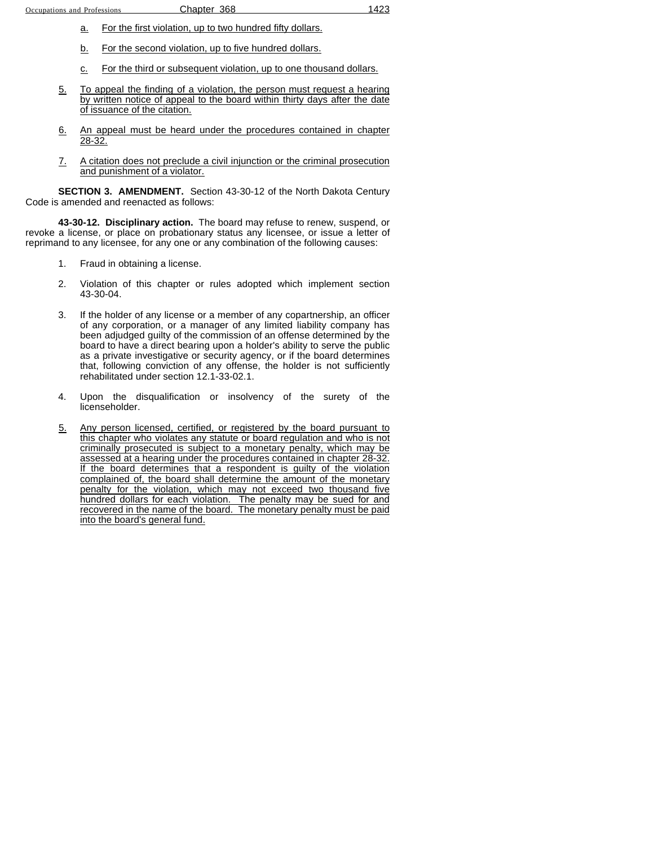- a. For the first violation, up to two hundred fifty dollars.
- b. For the second violation, up to five hundred dollars.
- c. For the third or subsequent violation, up to one thousand dollars.
- 5. To appeal the finding of a violation, the person must request a hearing by written notice of appeal to the board within thirty days after the date of issuance of the citation.
- 6. An appeal must be heard under the procedures contained in chapter 28-32.
- 7. A citation does not preclude a civil injunction or the criminal prosecution and punishment of a violator.

**SECTION 3. AMENDMENT.** Section 43-30-12 of the North Dakota Century Code is amended and reenacted as follows:

**43-30-12. Disciplinary action.** The board may refuse to renew, suspend, or revoke a license, or place on probationary status any licensee, or issue a letter of reprimand to any licensee, for any one or any combination of the following causes:

- 1. Fraud in obtaining a license.
- 2. Violation of this chapter or rules adopted which implement section 43-30-04.
- 3. If the holder of any license or a member of any copartnership, an officer of any corporation, or a manager of any limited liability company has been adjudged guilty of the commission of an offense determined by the board to have a direct bearing upon a holder's ability to serve the public as a private investigative or security agency, or if the board determines that, following conviction of any offense, the holder is not sufficiently rehabilitated under section 12.1-33-02.1.
- 4. Upon the disqualification or insolvency of the surety of the licenseholder.
- 5. Any person licensed, certified, or registered by the board pursuant to this chapter who violates any statute or board regulation and who is not criminally prosecuted is subject to a monetary penalty, which may be assessed at a hearing under the procedures contained in chapter 28-32. If the board determines that a respondent is guilty of the violation complained of, the board shall determine the amount of the monetary penalty for the violation, which may not exceed two thousand five hundred dollars for each violation. The penalty may be sued for and recovered in the name of the board. The monetary penalty must be paid into the board's general fund.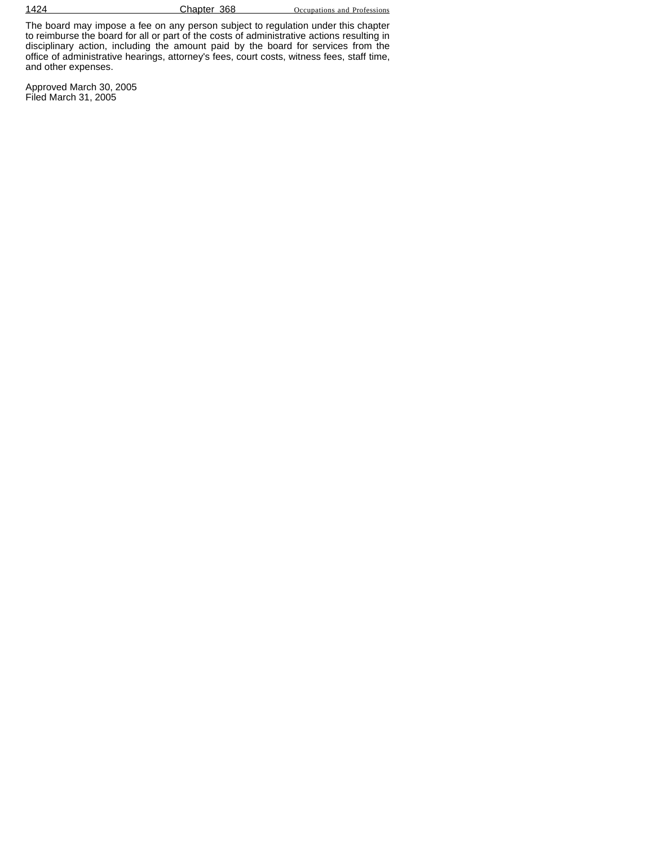1424 **Chapter 368** Occupations and Professions

The board may impose a fee on any person subject to regulation under this chapter to reimburse the board for all or part of the costs of administrative actions resulting in disciplinary action, including the amount paid by the board for services from the office of administrative hearings, attorney's fees, court costs, witness fees, staff time, and other expenses.

Approved March 30, 2005 Filed March 31, 2005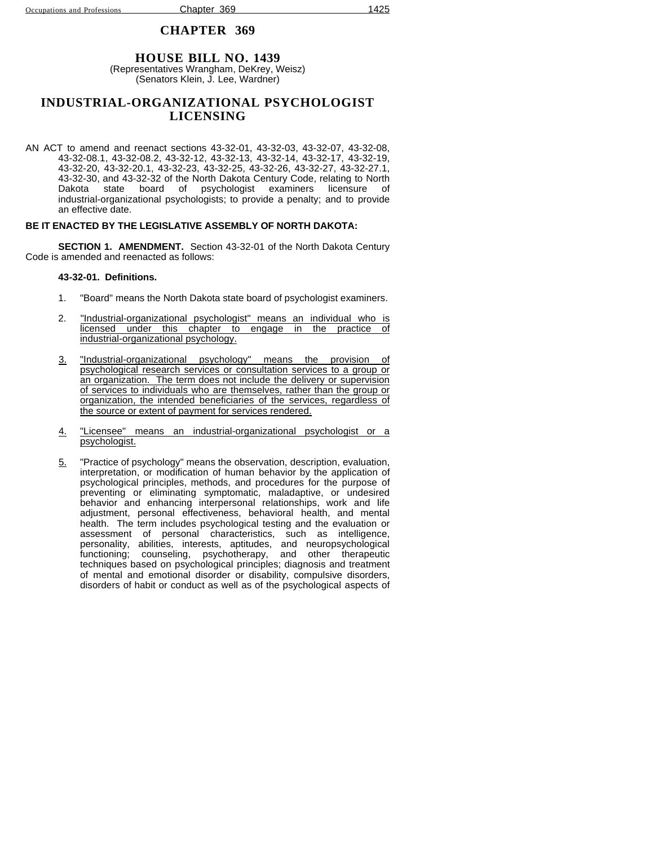### **HOUSE BILL NO. 1439**

(Representatives Wrangham, DeKrey, Weisz) (Senators Klein, J. Lee, Wardner)

### **INDUSTRIAL-ORGANIZATIONAL PSYCHOLOGIST LICENSING**

AN ACT to amend and reenact sections 43-32-01, 43-32-03, 43-32-07, 43-32-08, 43-32-08.1, 43-32-08.2, 43-32-12, 43-32-13, 43-32-14, 43-32-17, 43-32-19, 43-32-20, 43-32-20.1, 43-32-23, 43-32-25, 43-32-26, 43-32-27, 43-32-27.1, 43-32-30, and 43-32-32 of the North Dakota Century Code, relating to North Dakota state board of psychologist examiners licensure of industrial-organizational psychologists; to provide a penalty; and to provide an effective date.

#### **BE IT ENACTED BY THE LEGISLATIVE ASSEMBLY OF NORTH DAKOTA:**

**SECTION 1. AMENDMENT.** Section 43-32-01 of the North Dakota Century Code is amended and reenacted as follows:

#### **43-32-01. Definitions.**

- 1. "Board" means the North Dakota state board of psychologist examiners.
- 2. "Industrial-organizational psychologist" means an individual who is licensed under this chapter to engage in the practice of industrial-organizational psychology.
- 3. "Industrial-organizational psychology" means the provision psychological research services or consultation services to a group or an organization. The term does not include the delivery or supervision of services to individuals who are themselves, rather than the group or organization, the intended beneficiaries of the services, regardless of the source or extent of payment for services rendered.
- 4. "Licensee" means an industrial-organizational psychologist or a psychologist.
- 5. "Practice of psychology" means the observation, description, evaluation, interpretation, or modification of human behavior by the application of psychological principles, methods, and procedures for the purpose of preventing or eliminating symptomatic, maladaptive, or undesired behavior and enhancing interpersonal relationships, work and life adjustment, personal effectiveness, behavioral health, and mental health. The term includes psychological testing and the evaluation or assessment of personal characteristics, such as intelligence, personality, abilities, interests, aptitudes, and neuropsychological functioning; counseling, psychotherapy, and other therapeutic techniques based on psychological principles; diagnosis and treatment of mental and emotional disorder or disability, compulsive disorders, disorders of habit or conduct as well as of the psychological aspects of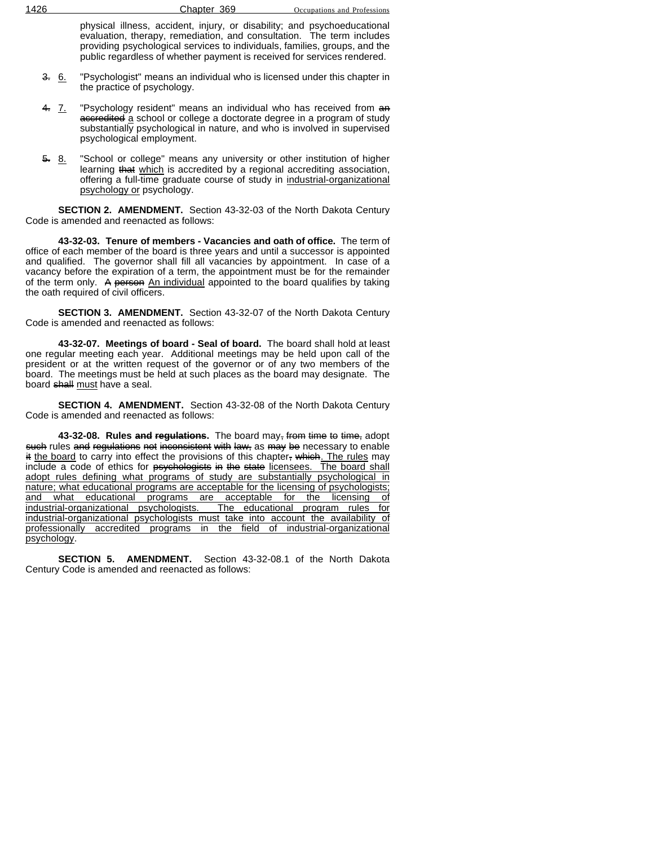physical illness, accident, injury, or disability; and psychoeducational evaluation, therapy, remediation, and consultation. The term includes providing psychological services to individuals, families, groups, and the public regardless of whether payment is received for services rendered.

- 3. 6. "Psychologist" means an individual who is licensed under this chapter in the practice of psychology.
- 4. 7. "Psychology resident" means an individual who has received from an accredited a school or college a doctorate degree in a program of study substantially psychological in nature, and who is involved in supervised psychological employment.
- 5. 8. "School or college" means any university or other institution of higher learning that which is accredited by a regional accrediting association, offering a full-time graduate course of study in industrial-organizational psychology or psychology.

**SECTION 2. AMENDMENT.** Section 43-32-03 of the North Dakota Century Code is amended and reenacted as follows:

**43-32-03. Tenure of members - Vacancies and oath of office.** The term of office of each member of the board is three years and until a successor is appointed and qualified. The governor shall fill all vacancies by appointment. In case of a vacancy before the expiration of a term, the appointment must be for the remainder of the term only. A person An individual appointed to the board qualifies by taking the oath required of civil officers.

**SECTION 3. AMENDMENT.** Section 43-32-07 of the North Dakota Century Code is amended and reenacted as follows:

**43-32-07. Meetings of board - Seal of board.** The board shall hold at least one regular meeting each year. Additional meetings may be held upon call of the president or at the written request of the governor or of any two members of the board. The meetings must be held at such places as the board may designate. The board shall must have a seal.

**SECTION 4. AMENDMENT.** Section 43-32-08 of the North Dakota Century Code is amended and reenacted as follows:

**43-32-08. Rules and regulations.** The board may, from time to time, adopt such rules and regulations not inconsistent with law, as may be necessary to enable it the board to carry into effect the provisions of this chapter, which. The rules may include a code of ethics for psychologists in the state licensees. The board shall adopt rules defining what programs of study are substantially psychological in nature; what educational programs are acceptable for the licensing of psychologists; and what educational programs are acceptable for the licensing of industrial-organizational psychologists. The educational program rules for industrial-organizational psychologists must take into account the availability of professionally accredited programs in the field of industrial-organizational psychology.

**SECTION 5. AMENDMENT.** Section 43-32-08.1 of the North Dakota Century Code is amended and reenacted as follows: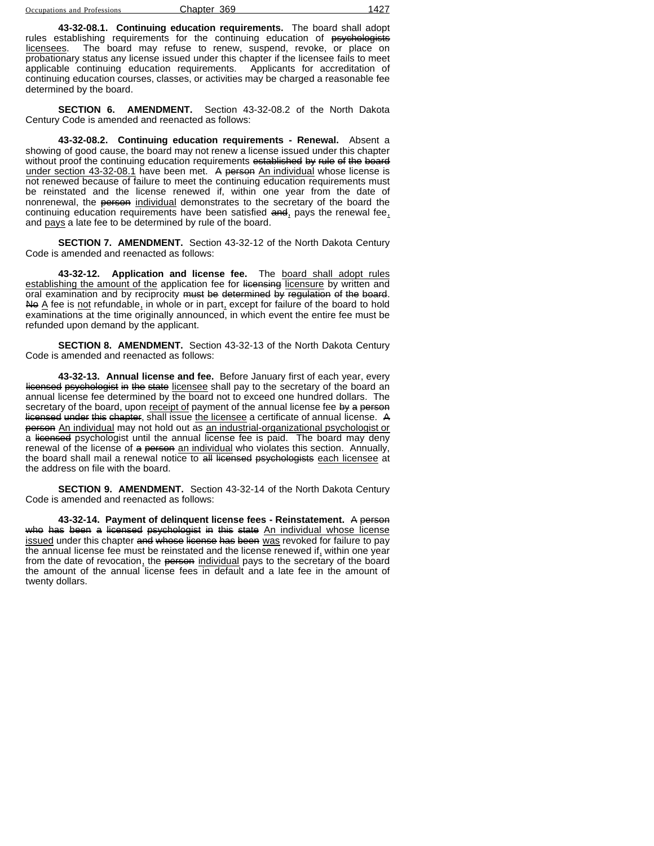| Occupations and Profession |  |  |
|----------------------------|--|--|

Chapter 369 1427

**43-32-08.1. Continuing education requirements.** The board shall adopt rules establishing requirements for the continuing education of <del>psychologists</del><br>licensees. The board may refuse to renew, suspend, revoke, or place on The board may refuse to renew, suspend, revoke, or place on probationary status any license issued under this chapter if the licensee fails to meet applicable continuing education requirements. Applicants for accreditation of continuing education courses, classes, or activities may be charged a reasonable fee determined by the board.

**SECTION 6. AMENDMENT.** Section 43-32-08.2 of the North Dakota Century Code is amended and reenacted as follows:

**43-32-08.2. Continuing education requirements - Renewal.** Absent a showing of good cause, the board may not renew a license issued under this chapter without proof the continuing education requirements established by rule of the board under section 43-32-08.1 have been met. A person An individual whose license is not renewed because of failure to meet the continuing education requirements must be reinstated and the license renewed if, within one year from the date of nonrenewal, the person individual demonstrates to the secretary of the board the continuing education requirements have been satisfied and, pays the renewal fee, and pays a late fee to be determined by rule of the board.

**SECTION 7. AMENDMENT.** Section 43-32-12 of the North Dakota Century Code is amended and reenacted as follows:

**43-32-12. Application and license fee.** The board shall adopt rules establishing the amount of the application fee for licensing licensure by written and oral examination and by reciprocity must be determined by regulation of the board. No  $\underline{A}$  fee is not refundable, in whole or in part, except for failure of the board to hold examinations at the time originally announced, in which event the entire fee must be refunded upon demand by the applicant.

**SECTION 8. AMENDMENT.** Section 43-32-13 of the North Dakota Century Code is amended and reenacted as follows:

**43-32-13. Annual license and fee.** Before January first of each year, every licensed psychologist in the state licensee shall pay to the secretary of the board an annual license fee determined by the board not to exceed one hundred dollars. The secretary of the board, upon receipt of payment of the annual license fee by a person licensed under this chapter, shall issue the licensee a certificate of annual license. A person An individual may not hold out as an industrial-organizational psychologist or a licensed psychologist until the annual license fee is paid. The board may deny renewal of the license of a person an individual who violates this section. Annually, the board shall mail a renewal notice to all licensed psychologists each licensee at the address on file with the board.

**SECTION 9. AMENDMENT.** Section 43-32-14 of the North Dakota Century Code is amended and reenacted as follows:

**43-32-14. Payment of delinquent license fees - Reinstatement.** A person who has been a licensed psychologist in this state An individual whose license issued under this chapter and whose license has been was revoked for failure to pay the annual license fee must be reinstated and the license renewed if, within one year from the date of revocation, the person individual pays to the secretary of the board the amount of the annual license fees in default and a late fee in the amount of twenty dollars.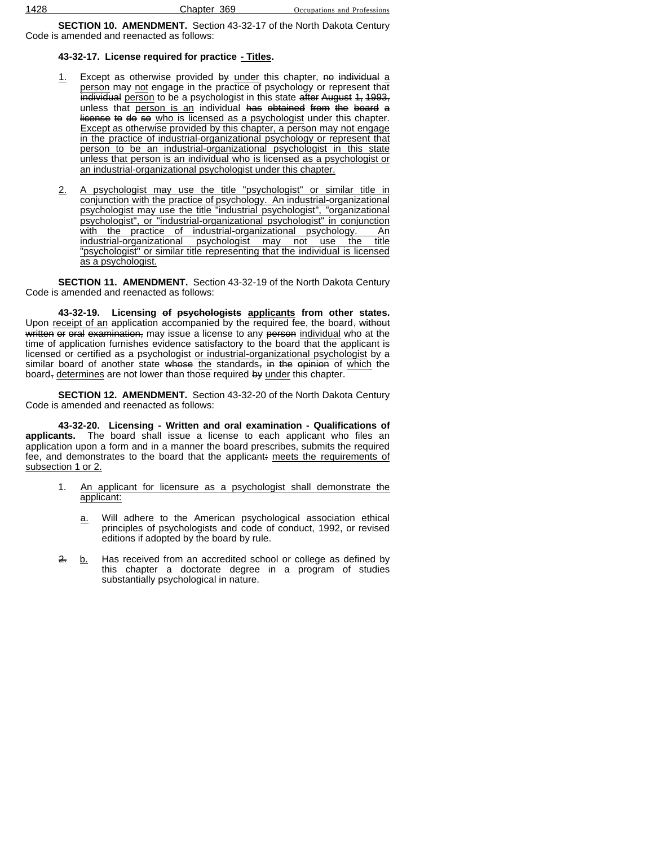**SECTION 10. AMENDMENT.** Section 43-32-17 of the North Dakota Century Code is amended and reenacted as follows:

### **43-32-17. License required for practice - Titles.**

- 1. Except as otherwise provided by under this chapter, no individual a person may not engage in the practice of psychology or represent that individual person to be a psychologist in this state after August 1, 1993, unless that person is an individual has obtained from the board a license to do so who is licensed as a psychologist under this chapter. Except as otherwise provided by this chapter, a person may not engage in the practice of industrial-organizational psychology or represent that person to be an industrial-organizational psychologist in this state unless that person is an individual who is licensed as a psychologist or an industrial-organizational psychologist under this chapter.
- 2. A psychologist may use the title "psychologist" or similar title in conjunction with the practice of psychology. An industrial-organizational psychologist may use the title "industrial psychologist", "organizational psychologist", or "industrial-organizational psychologist" in conjunction with the practice of industrial-organizational psychology. An industrial-organizational psychologist may not use the title "psychologist" or similar title representing that the individual is licensed as a psychologist.

**SECTION 11. AMENDMENT.** Section 43-32-19 of the North Dakota Century Code is amended and reenacted as follows:

**43-32-19. Licensing of psychologists applicants from other states.** Upon receipt of an application accompanied by the required fee, the board, without written or oral examination, may issue a license to any person individual who at the time of application furnishes evidence satisfactory to the board that the applicant is licensed or certified as a psychologist or industrial-organizational psychologist by a similar board of another state whose the standards, in the opinion of which the board, determines are not lower than those required by under this chapter.

**SECTION 12. AMENDMENT.** Section 43-32-20 of the North Dakota Century Code is amended and reenacted as follows:

**43-32-20. Licensing - Written and oral examination - Qualifications of applicants.** The board shall issue a license to each applicant who files an application upon a form and in a manner the board prescribes, submits the required fee, and demonstrates to the board that the applicant: meets the requirements of subsection 1 or 2.

- 1. An applicant for licensure as a psychologist shall demonstrate the applicant:
	- a. Will adhere to the American psychological association ethical principles of psychologists and code of conduct, 1992, or revised editions if adopted by the board by rule.
- 2. b. Has received from an accredited school or college as defined by this chapter a doctorate degree in a program of studies substantially psychological in nature.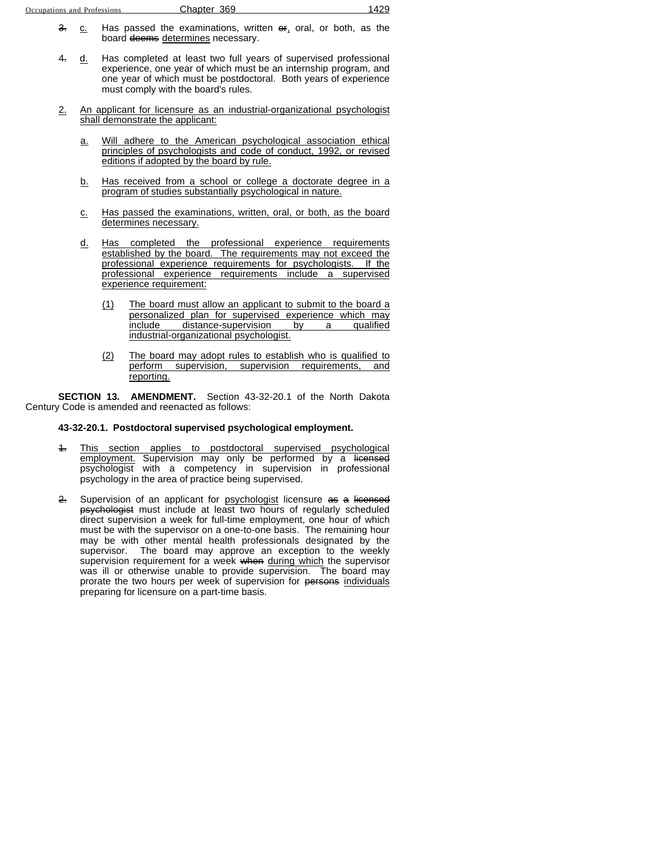- 3. c. Has passed the examinations, written  $\Theta$ , oral, or both, as the board deems determines necessary.
- 4. d. Has completed at least two full years of supervised professional experience, one year of which must be an internship program, and one year of which must be postdoctoral. Both years of experience must comply with the board's rules.
- 2. An applicant for licensure as an industrial-organizational psychologist shall demonstrate the applicant:
	- a. Will adhere to the American psychological association ethical principles of psychologists and code of conduct, 1992, or revised editions if adopted by the board by rule.
	- b. Has received from a school or college a doctorate degree in a program of studies substantially psychological in nature.
	- c. Has passed the examinations, written, oral, or both, as the board determines necessary.
	- d. Has completed the professional experience requirements established by the board. The requirements may not exceed the professional experience requirements for psychologists. If the professional experience requirements include a supervised experience requirement:
		- (1) The board must allow an applicant to submit to the board a personalized plan for supervised experience which may<br>include distance-supervision by a qualified distance-supervision by a qualified industrial-organizational psychologist.
		- (2) The board may adopt rules to establish who is qualified to perform supervision, supervision requirements, and reporting.

**SECTION 13. AMENDMENT.** Section 43-32-20.1 of the North Dakota Century Code is amended and reenacted as follows:

#### **43-32-20.1. Postdoctoral supervised psychological employment.**

- 1. This section applies to postdoctoral supervised psychological employment. Supervision may only be performed by a <del>licensed</del> psychologist with a competency in supervision in professional psychology in the area of practice being supervised.
- 2. Supervision of an applicant for psychologist licensure as a licensed psychologist must include at least two hours of regularly scheduled direct supervision a week for full-time employment, one hour of which must be with the supervisor on a one-to-one basis. The remaining hour may be with other mental health professionals designated by the supervisor. The board may approve an exception to the weekly supervision requirement for a week when during which the supervisor was ill or otherwise unable to provide supervision. The board may prorate the two hours per week of supervision for persons individuals preparing for licensure on a part-time basis.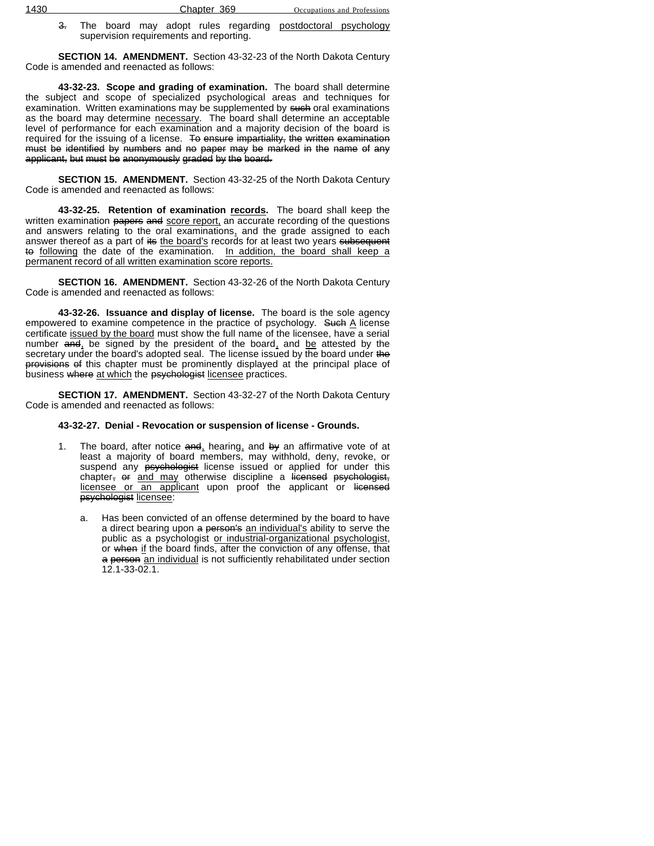3. The board may adopt rules regarding postdoctoral psychology supervision requirements and reporting.

**SECTION 14. AMENDMENT.** Section 43-32-23 of the North Dakota Century Code is amended and reenacted as follows:

**43-32-23. Scope and grading of examination.** The board shall determine the subject and scope of specialized psychological areas and techniques for examination. Written examinations may be supplemented by such oral examinations as the board may determine necessary. The board shall determine an acceptable level of performance for each examination and a majority decision of the board is required for the issuing of a license. To ensure impartiality, the written examination must be identified by numbers and no paper may be marked in the name of any applicant, but must be anonymously graded by the board.

**SECTION 15. AMENDMENT.** Section 43-32-25 of the North Dakota Century Code is amended and reenacted as follows:

**43-32-25. Retention of examination records.** The board shall keep the written examination papers and score report, an accurate recording of the questions and answers relating to the oral examinations, and the grade assigned to each answer thereof as a part of its the board's records for at least two years subsequent to following the date of the examination. In addition, the board shall keep a permanent record of all written examination score reports.

**SECTION 16. AMENDMENT.** Section 43-32-26 of the North Dakota Century Code is amended and reenacted as follows:

**43-32-26. Issuance and display of license.** The board is the sole agency empowered to examine competence in the practice of psychology. Such  $\triangle$  license certificate issued by the board must show the full name of the licensee, have a serial number and, be signed by the president of the board, and be attested by the secretary under the board's adopted seal. The license issued by the board under the provisions of this chapter must be prominently displayed at the principal place of business where at which the psychologist licensee practices.

**SECTION 17. AMENDMENT.** Section 43-32-27 of the North Dakota Century Code is amended and reenacted as follows:

### **43-32-27. Denial - Revocation or suspension of license - Grounds.**

- 1. The board, after notice  $\frac{1}{2}$  hearing, and by an affirmative vote of at least a majority of board members, may withhold, deny, revoke, or suspend any <del>psychologist</del> license issued or applied for under this chapter, or and may otherwise discipline a licensed psychologist, licensee or an applicant upon proof the applicant or licensed psychologist licensee:
	- Has been convicted of an offense determined by the board to have a direct bearing upon a person's an individual's ability to serve the public as a psychologist or industrial-organizational psychologist, or when if the board finds, after the conviction of any offense, that a person an individual is not sufficiently rehabilitated under section 12.1-33-02.1.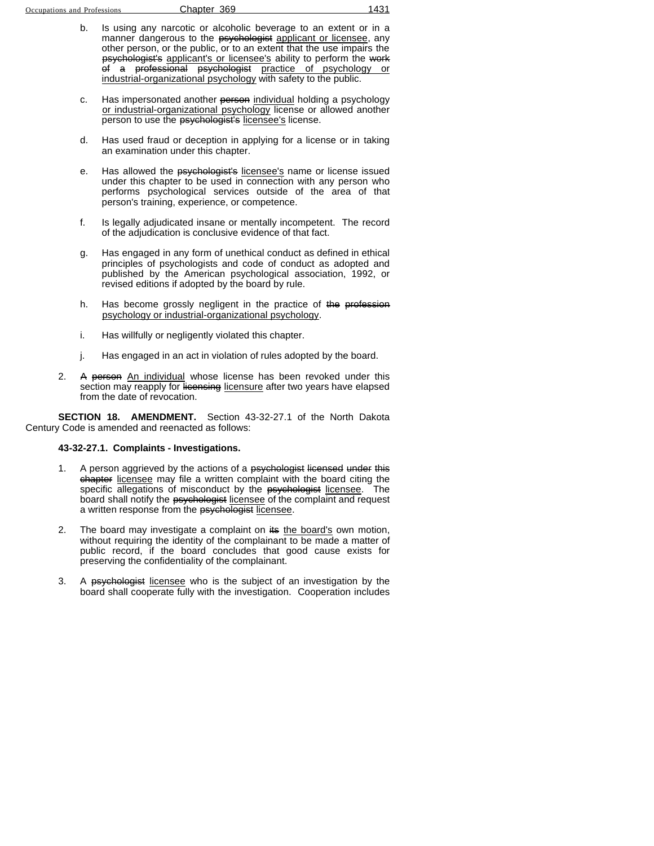- b. Is using any narcotic or alcoholic beverage to an extent or in a manner dangerous to the psychologist applicant or licensee, any other person, or the public, or to an extent that the use impairs the psychologist's applicant's or licensee's ability to perform the work of a professional psychologist practice of psychology or industrial-organizational psychology with safety to the public.
- c. Has impersonated another person individual holding a psychology or industrial-organizational psychology license or allowed another person to use the psychologist's licensee's license.
- d. Has used fraud or deception in applying for a license or in taking an examination under this chapter.
- e. Has allowed the psychologist's licensee's name or license issued under this chapter to be used in connection with any person who performs psychological services outside of the area of that person's training, experience, or competence.
- f. Is legally adjudicated insane or mentally incompetent. The record of the adjudication is conclusive evidence of that fact.
- g. Has engaged in any form of unethical conduct as defined in ethical principles of psychologists and code of conduct as adopted and published by the American psychological association, 1992, or revised editions if adopted by the board by rule.
- h. Has become grossly negligent in the practice of the profession psychology or industrial-organizational psychology.
- i. Has willfully or negligently violated this chapter.
- j. Has engaged in an act in violation of rules adopted by the board.
- 2. A person An individual whose license has been revoked under this section may reapply for licensing licensure after two years have elapsed from the date of revocation.

**SECTION 18. AMENDMENT.** Section 43-32-27.1 of the North Dakota Century Code is amended and reenacted as follows:

#### **43-32-27.1. Complaints - Investigations.**

- 1. A person aggrieved by the actions of a psychologist licensed under this chapter licensee may file a written complaint with the board citing the specific allegations of misconduct by the psychologist licensee. The board shall notify the psychologist licensee of the complaint and request a written response from the psychologist licensee.
- 2. The board may investigate a complaint on its the board's own motion, without requiring the identity of the complainant to be made a matter of public record, if the board concludes that good cause exists for preserving the confidentiality of the complainant.
- 3. A psychologist licensee who is the subject of an investigation by the board shall cooperate fully with the investigation. Cooperation includes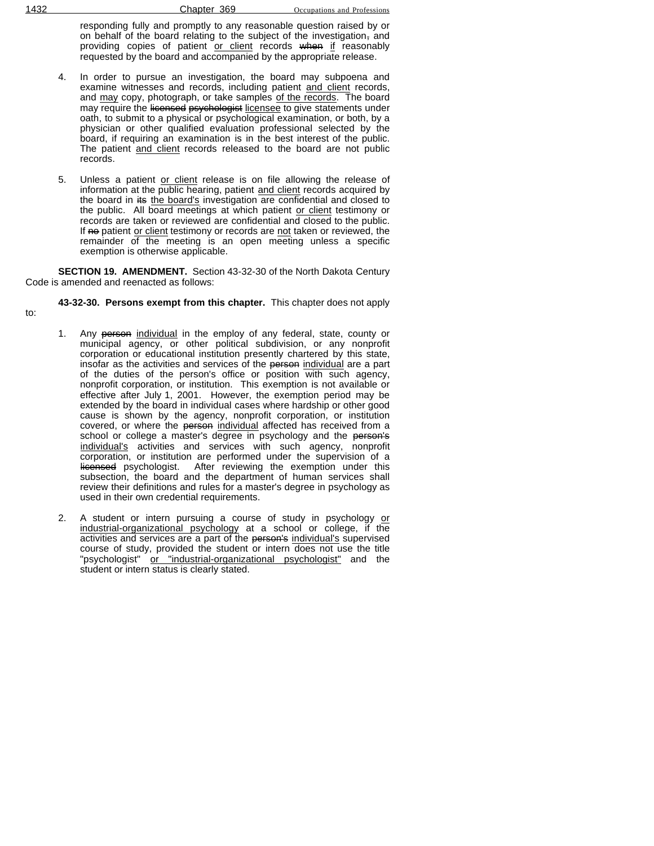responding fully and promptly to any reasonable question raised by or on behalf of the board relating to the subject of the investigation, and providing copies of patient or client records when if reasonably requested by the board and accompanied by the appropriate release.

- 4. In order to pursue an investigation, the board may subpoena and examine witnesses and records, including patient and client records, and may copy, photograph, or take samples of the records. The board may require the licensed psychologist licensee to give statements under oath, to submit to a physical or psychological examination, or both, by a physician or other qualified evaluation professional selected by the board, if requiring an examination is in the best interest of the public. The patient and client records released to the board are not public records.
- 5. Unless a patient or client release is on file allowing the release of information at the public hearing, patient and client records acquired by the board in its the board's investigation are confidential and closed to the public. All board meetings at which patient or client testimony or records are taken or reviewed are confidential and closed to the public. If no patient or client testimony or records are not taken or reviewed, the remainder of the meeting is an open meeting unless a specific exemption is otherwise applicable.

**SECTION 19. AMENDMENT.** Section 43-32-30 of the North Dakota Century Code is amended and reenacted as follows:

**43-32-30. Persons exempt from this chapter.** This chapter does not apply

- to:
- 1. Any person individual in the employ of any federal, state, county or municipal agency, or other political subdivision, or any nonprofit corporation or educational institution presently chartered by this state, insofar as the activities and services of the person individual are a part of the duties of the person's office or position with such agency, nonprofit corporation, or institution. This exemption is not available or effective after July 1, 2001. However, the exemption period may be extended by the board in individual cases where hardship or other good cause is shown by the agency, nonprofit corporation, or institution covered, or where the person individual affected has received from a school or college a master's degree in psychology and the person's individual's activities and services with such agency, nonprofit corporation, or institution are performed under the supervision of a licensed psychologist. After reviewing the exemption under this subsection, the board and the department of human services shall review their definitions and rules for a master's degree in psychology as used in their own credential requirements.
- 2. A student or intern pursuing a course of study in psychology or industrial-organizational psychology at a school or college, if the activities and services are a part of the person's individual's supervised course of study, provided the student or intern does not use the title "psychologist" or "industrial-organizational psychologist" and the student or intern status is clearly stated.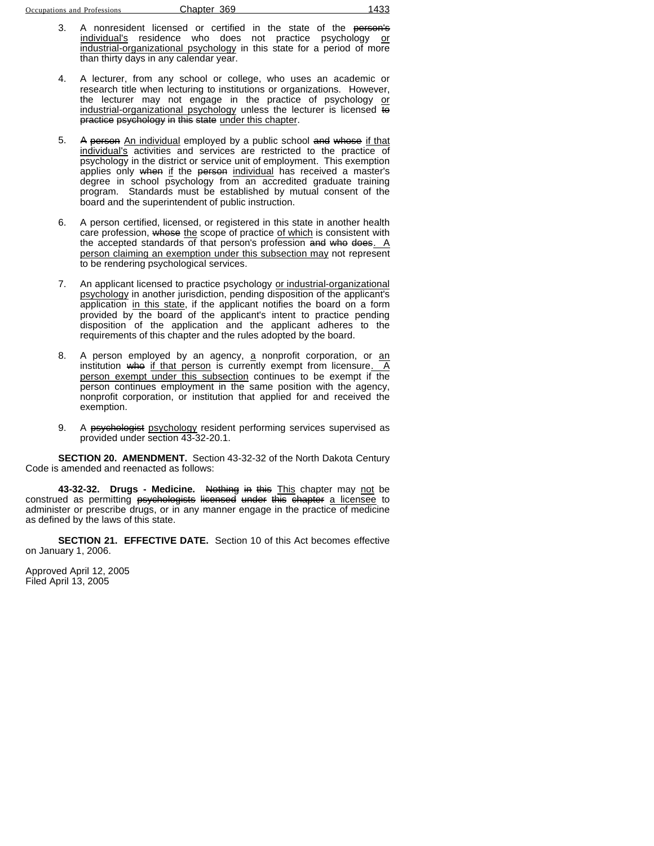- A nonresident licensed or certified in the state of the person's individual's residence who does not practice psychology or industrial-organizational psychology in this state for a period of more than thirty days in any calendar year.
- 4. A lecturer, from any school or college, who uses an academic or research title when lecturing to institutions or organizations. However, the lecturer may not engage in the practice of psychology or industrial-organizational psychology unless the lecturer is licensed to practice psychology in this state under this chapter.
- 5. A person An individual employed by a public school and whose if that individual's activities and services are restricted to the practice of psychology in the district or service unit of employment. This exemption applies only when if the person individual has received a master's degree in school psychology from an accredited graduate training program. Standards must be established by mutual consent of the board and the superintendent of public instruction.
- 6. A person certified, licensed, or registered in this state in another health care profession, whose the scope of practice of which is consistent with the accepted standards of that person's profession and who does.  $A$ person claiming an exemption under this subsection may not represent to be rendering psychological services.
- 7. An applicant licensed to practice psychology or industrial-organizational psychology in another jurisdiction, pending disposition of the applicant's application in this state, if the applicant notifies the board on a form provided by the board of the applicant's intent to practice pending disposition of the application and the applicant adheres to the requirements of this chapter and the rules adopted by the board.
- 8. A person employed by an agency, a nonprofit corporation, or an institution who if that person is currently exempt from licensure. A person exempt under this subsection continues to be exempt if the person continues employment in the same position with the agency, nonprofit corporation, or institution that applied for and received the exemption.
- 9. A psychologist psychology resident performing services supervised as provided under section 43-32-20.1.

**SECTION 20. AMENDMENT.** Section 43-32-32 of the North Dakota Century Code is amended and reenacted as follows:

**43-32-32. Drugs - Medicine.** Nothing in this This chapter may not be construed as permitting psychologists licensed under this chapter a licensee to administer or prescribe drugs, or in any manner engage in the practice of medicine as defined by the laws of this state.

**SECTION 21. EFFECTIVE DATE.** Section 10 of this Act becomes effective on January 1, 2006.

Approved April 12, 2005 Filed April 13, 2005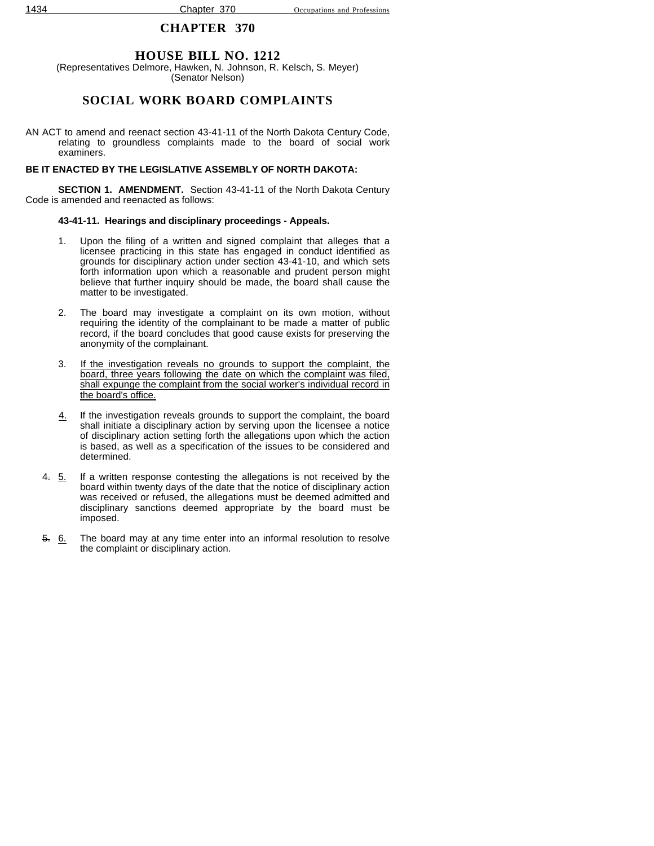## **HOUSE BILL NO. 1212**

(Representatives Delmore, Hawken, N. Johnson, R. Kelsch, S. Meyer) (Senator Nelson)

## **SOCIAL WORK BOARD COMPLAINTS**

AN ACT to amend and reenact section 43-41-11 of the North Dakota Century Code, relating to groundless complaints made to the board of social work examiners.

#### **BE IT ENACTED BY THE LEGISLATIVE ASSEMBLY OF NORTH DAKOTA:**

**SECTION 1. AMENDMENT.** Section 43-41-11 of the North Dakota Century Code is amended and reenacted as follows:

#### **43-41-11. Hearings and disciplinary proceedings - Appeals.**

- 1. Upon the filing of a written and signed complaint that alleges that a licensee practicing in this state has engaged in conduct identified as grounds for disciplinary action under section 43-41-10, and which sets forth information upon which a reasonable and prudent person might believe that further inquiry should be made, the board shall cause the matter to be investigated.
- 2. The board may investigate a complaint on its own motion, without requiring the identity of the complainant to be made a matter of public record, if the board concludes that good cause exists for preserving the anonymity of the complainant.
- 3. If the investigation reveals no grounds to support the complaint, the board, three years following the date on which the complaint was filed, shall expunge the complaint from the social worker's individual record in the board's office.
- 4. If the investigation reveals grounds to support the complaint, the board shall initiate a disciplinary action by serving upon the licensee a notice of disciplinary action setting forth the allegations upon which the action is based, as well as a specification of the issues to be considered and determined.
- 4. 5. If a written response contesting the allegations is not received by the board within twenty days of the date that the notice of disciplinary action was received or refused, the allegations must be deemed admitted and disciplinary sanctions deemed appropriate by the board must be imposed.
- 5. 6. The board may at any time enter into an informal resolution to resolve the complaint or disciplinary action.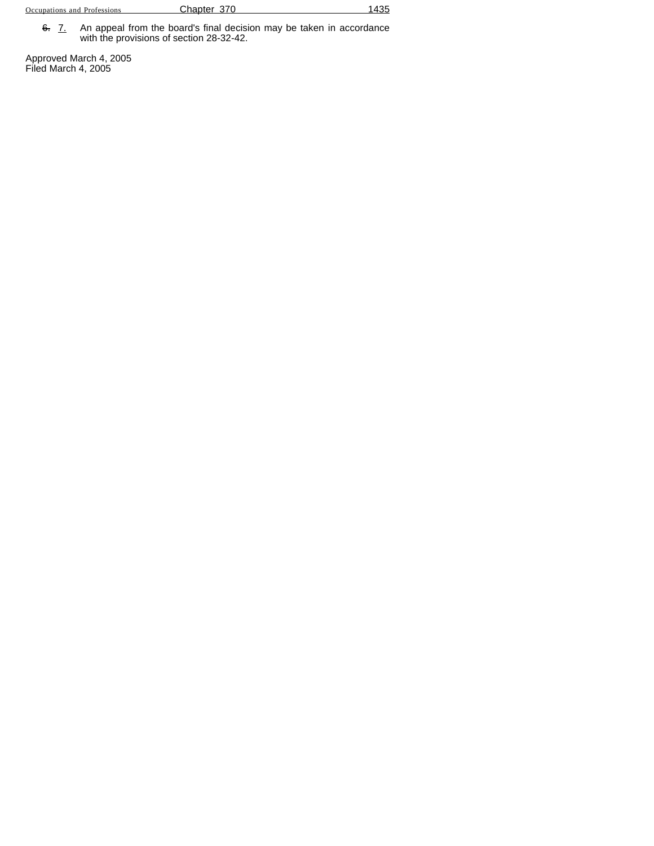6. 7. An appeal from the board's final decision may be taken in accordance with the provisions of section 28-32-42.

Approved March 4, 2005 Filed March 4, 2005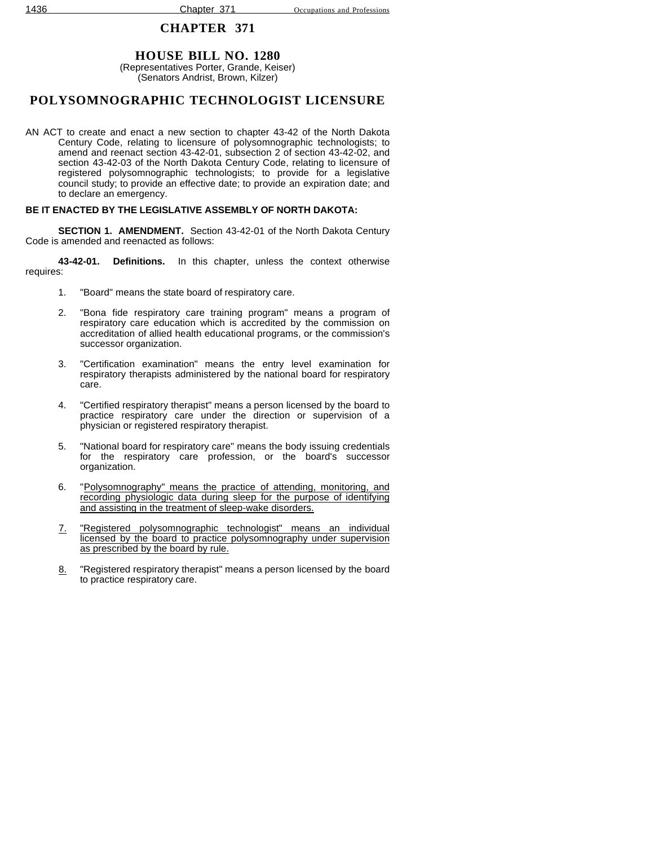# **HOUSE BILL NO. 1280**

(Representatives Porter, Grande, Keiser) (Senators Andrist, Brown, Kilzer)

# **POLYSOMNOGRAPHIC TECHNOLOGIST LICENSURE**

AN ACT to create and enact a new section to chapter 43-42 of the North Dakota Century Code, relating to licensure of polysomnographic technologists; to amend and reenact section 43-42-01, subsection 2 of section 43-42-02, and section 43-42-03 of the North Dakota Century Code, relating to licensure of registered polysomnographic technologists; to provide for a legislative council study; to provide an effective date; to provide an expiration date; and to declare an emergency.

### **BE IT ENACTED BY THE LEGISLATIVE ASSEMBLY OF NORTH DAKOTA:**

**SECTION 1. AMENDMENT.** Section 43-42-01 of the North Dakota Century Code is amended and reenacted as follows:

**43-42-01. Definitions.** In this chapter, unless the context otherwise requires:

- 1. "Board" means the state board of respiratory care.
- 2. "Bona fide respiratory care training program" means a program of respiratory care education which is accredited by the commission on accreditation of allied health educational programs, or the commission's successor organization.
- 3. "Certification examination" means the entry level examination for respiratory therapists administered by the national board for respiratory care.
- 4. "Certified respiratory therapist" means a person licensed by the board to practice respiratory care under the direction or supervision of a physician or registered respiratory therapist.
- 5. "National board for respiratory care" means the body issuing credentials for the respiratory care profession, or the board's successor organization.
- 6. "Polysomnography" means the practice of attending, monitoring, and recording physiologic data during sleep for the purpose of identifying and assisting in the treatment of sleep-wake disorders.
- 7. "Registered polysomnographic technologist" means an individual licensed by the board to practice polysomnography under supervision as prescribed by the board by rule.
- 8. "Registered respiratory therapist" means a person licensed by the board to practice respiratory care.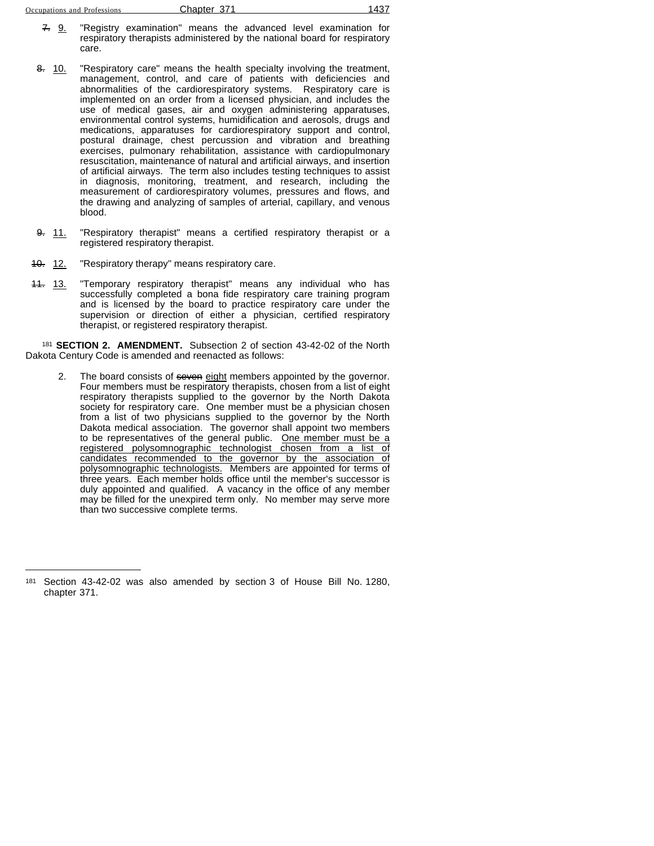| Occupations and Professions |  | Chapter 371 | 437 |
|-----------------------------|--|-------------|-----|
|                             |  |             |     |

- 7. 9. "Registry examination" means the advanced level examination for respiratory therapists administered by the national board for respiratory care.
- 8. 10. "Respiratory care" means the health specialty involving the treatment, management, control, and care of patients with deficiencies and abnormalities of the cardiorespiratory systems. Respiratory care is implemented on an order from a licensed physician, and includes the use of medical gases, air and oxygen administering apparatuses, environmental control systems, humidification and aerosols, drugs and medications, apparatuses for cardiorespiratory support and control, postural drainage, chest percussion and vibration and breathing exercises, pulmonary rehabilitation, assistance with cardiopulmonary resuscitation, maintenance of natural and artificial airways, and insertion of artificial airways. The term also includes testing techniques to assist in diagnosis, monitoring, treatment, and research, including the measurement of cardiorespiratory volumes, pressures and flows, and the drawing and analyzing of samples of arterial, capillary, and venous blood.
- 9. 11. "Respiratory therapist" means a certified respiratory therapist or a registered respiratory therapist.
- 40. 12. "Respiratory therapy" means respiratory care.
- 11. 13. "Temporary respiratory therapist" means any individual who has successfully completed a bona fide respiratory care training program and is licensed by the board to practice respiratory care under the supervision or direction of either a physician, certified respiratory therapist, or registered respiratory therapist.

<sup>181</sup> **SECTION 2. AMENDMENT.** Subsection 2 of section 43-42-02 of the North Dakota Century Code is amended and reenacted as follows:

2. The board consists of seven eight members appointed by the governor. Four members must be respiratory therapists, chosen from a list of eight respiratory therapists supplied to the governor by the North Dakota society for respiratory care. One member must be a physician chosen from a list of two physicians supplied to the governor by the North Dakota medical association. The governor shall appoint two members to be representatives of the general public. One member must be a registered polysomnographic technologist chosen from a list of candidates recommended to the governor by the association of polysomnographic technologists. Members are appointed for terms of three years. Each member holds office until the member's successor is duly appointed and qualified. A vacancy in the office of any member may be filled for the unexpired term only. No member may serve more than two successive complete terms.

<sup>181</sup> Section 43-42-02 was also amended by section 3 of House Bill No. 1280, chapter 371.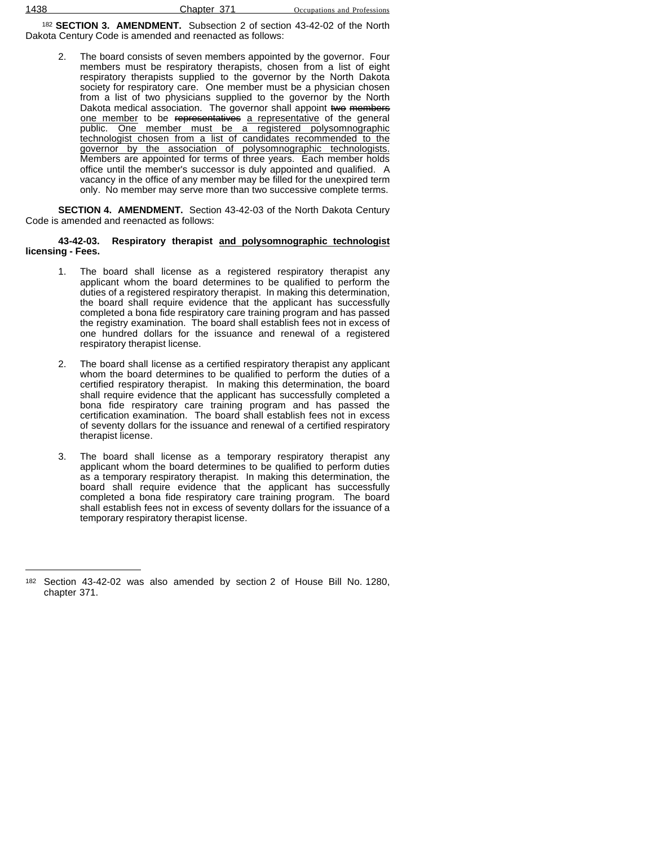<sup>182</sup> **SECTION 3. AMENDMENT.** Subsection 2 of section 43-42-02 of the North Dakota Century Code is amended and reenacted as follows:

2. The board consists of seven members appointed by the governor. Four members must be respiratory therapists, chosen from a list of eight respiratory therapists supplied to the governor by the North Dakota society for respiratory care. One member must be a physician chosen from a list of two physicians supplied to the governor by the North Dakota medical association. The governor shall appoint two members one member to be representatives a representative of the general public. One member must be a registered polysomnographic technologist chosen from a list of candidates recommended to the governor by the association of polysomnographic technologists. Members are appointed for terms of three years. Each member holds office until the member's successor is duly appointed and qualified. A vacancy in the office of any member may be filled for the unexpired term only. No member may serve more than two successive complete terms.

**SECTION 4. AMENDMENT.** Section 43-42-03 of the North Dakota Century Code is amended and reenacted as follows:

#### **43-42-03. Respiratory therapist and polysomnographic technologist licensing - Fees.**

- 1. The board shall license as a registered respiratory therapist any applicant whom the board determines to be qualified to perform the duties of a registered respiratory therapist. In making this determination, the board shall require evidence that the applicant has successfully completed a bona fide respiratory care training program and has passed the registry examination. The board shall establish fees not in excess of one hundred dollars for the issuance and renewal of a registered respiratory therapist license.
- 2. The board shall license as a certified respiratory therapist any applicant whom the board determines to be qualified to perform the duties of a certified respiratory therapist. In making this determination, the board shall require evidence that the applicant has successfully completed a bona fide respiratory care training program and has passed the certification examination. The board shall establish fees not in excess of seventy dollars for the issuance and renewal of a certified respiratory therapist license.
- 3. The board shall license as a temporary respiratory therapist any applicant whom the board determines to be qualified to perform duties as a temporary respiratory therapist. In making this determination, the board shall require evidence that the applicant has successfully completed a bona fide respiratory care training program. The board shall establish fees not in excess of seventy dollars for the issuance of a temporary respiratory therapist license.

<sup>182</sup> Section 43-42-02 was also amended by section 2 of House Bill No. 1280, chapter 371.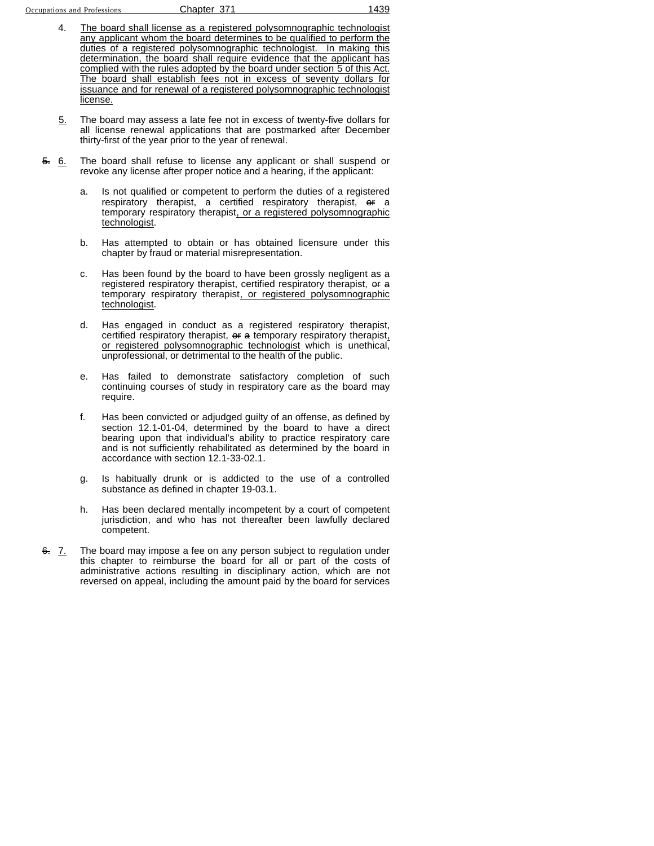- 4. The board shall license as a registered polysomnographic technologist any applicant whom the board determines to be qualified to perform the duties of a registered polysomnographic technologist. In making this determination, the board shall require evidence that the applicant has complied with the rules adopted by the board under section 5 of this Act. The board shall establish fees not in excess of seventy dollars for issuance and for renewal of a registered polysomnographic technologist license.
- 5. The board may assess a late fee not in excess of twenty-five dollars for all license renewal applications that are postmarked after December thirty-first of the year prior to the year of renewal.
- 5. 6. The board shall refuse to license any applicant or shall suspend or revoke any license after proper notice and a hearing, if the applicant:
	- a. Is not qualified or competent to perform the duties of a registered respiratory therapist, a certified respiratory therapist, or a temporary respiratory therapist, or a registered polysomnographic technologist.
	- b. Has attempted to obtain or has obtained licensure under this chapter by fraud or material misrepresentation.
	- c. Has been found by the board to have been grossly negligent as a registered respiratory therapist, certified respiratory therapist, or a temporary respiratory therapist, or registered polysomnographic technologist.
	- d. Has engaged in conduct as a registered respiratory therapist, certified respiratory therapist, or a temporary respiratory therapist, or registered polysomnographic technologist which is unethical, unprofessional, or detrimental to the health of the public.
	- e. Has failed to demonstrate satisfactory completion of such continuing courses of study in respiratory care as the board may require.
	- f. Has been convicted or adjudged guilty of an offense, as defined by section 12.1-01-04, determined by the board to have a direct bearing upon that individual's ability to practice respiratory care and is not sufficiently rehabilitated as determined by the board in accordance with section 12.1-33-02.1.
	- g. Is habitually drunk or is addicted to the use of a controlled substance as defined in chapter 19-03.1.
	- h. Has been declared mentally incompetent by a court of competent jurisdiction, and who has not thereafter been lawfully declared competent.
- 6. 7. The board may impose a fee on any person subject to regulation under this chapter to reimburse the board for all or part of the costs of administrative actions resulting in disciplinary action, which are not reversed on appeal, including the amount paid by the board for services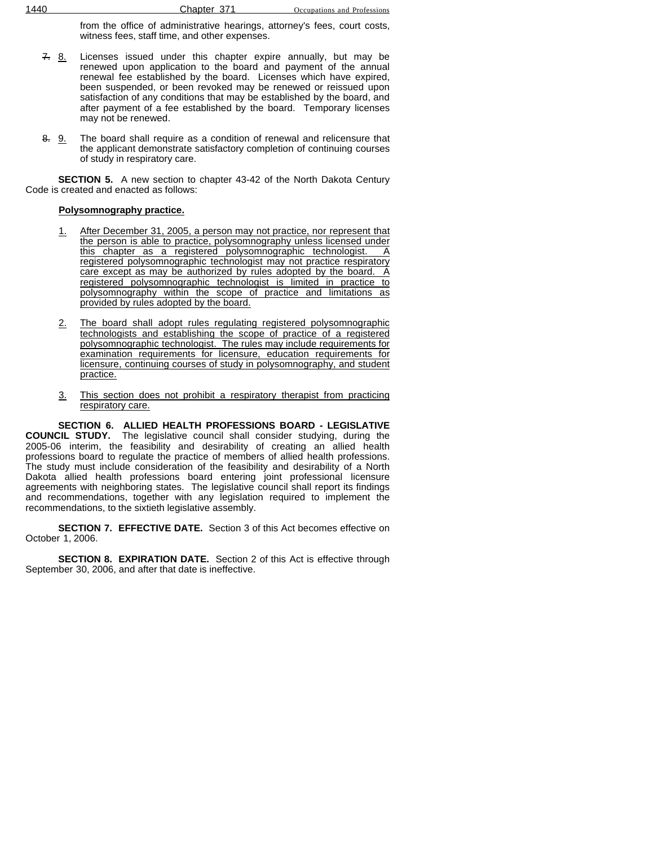from the office of administrative hearings, attorney's fees, court costs, witness fees, staff time, and other expenses.

- $7.8$ . Licenses issued under this chapter expire annually, but may be renewed upon application to the board and payment of the annual renewal fee established by the board. Licenses which have expired, been suspended, or been revoked may be renewed or reissued upon satisfaction of any conditions that may be established by the board, and after payment of a fee established by the board. Temporary licenses may not be renewed.
- 8. 9. The board shall require as a condition of renewal and relicensure that the applicant demonstrate satisfactory completion of continuing courses of study in respiratory care.

**SECTION 5.** A new section to chapter 43-42 of the North Dakota Century Code is created and enacted as follows:

### **Polysomnography practice.**

- 1. After December 31, 2005, a person may not practice, nor represent that the person is able to practice, polysomnography unless licensed under this chapter as a registered polysomnographic technologist. A registered polysomnographic technologist may not practice respiratory care except as may be authorized by rules adopted by the board. A registered polysomnographic technologist is limited in practice to polysomnography within the scope of practice and limitations as provided by rules adopted by the board.
- 2. The board shall adopt rules regulating registered polysomnographic technologists and establishing the scope of practice of a registered polysomnographic technologist. The rules may include requirements for examination requirements for licensure, education requirements for licensure, continuing courses of study in polysomnography, and student practice.
- 3. This section does not prohibit a respiratory therapist from practicing respiratory care.

**SECTION 6. ALLIED HEALTH PROFESSIONS BOARD - LEGISLATIVE COUNCIL STUDY.** The legislative council shall consider studying, during the 2005-06 interim, the feasibility and desirability of creating an allied health professions board to regulate the practice of members of allied health professions. The study must include consideration of the feasibility and desirability of a North Dakota allied health professions board entering joint professional licensure agreements with neighboring states. The legislative council shall report its findings and recommendations, together with any legislation required to implement the recommendations, to the sixtieth legislative assembly.

**SECTION 7. EFFECTIVE DATE.** Section 3 of this Act becomes effective on October 1, 2006.

**SECTION 8. EXPIRATION DATE.** Section 2 of this Act is effective through September 30, 2006, and after that date is ineffective.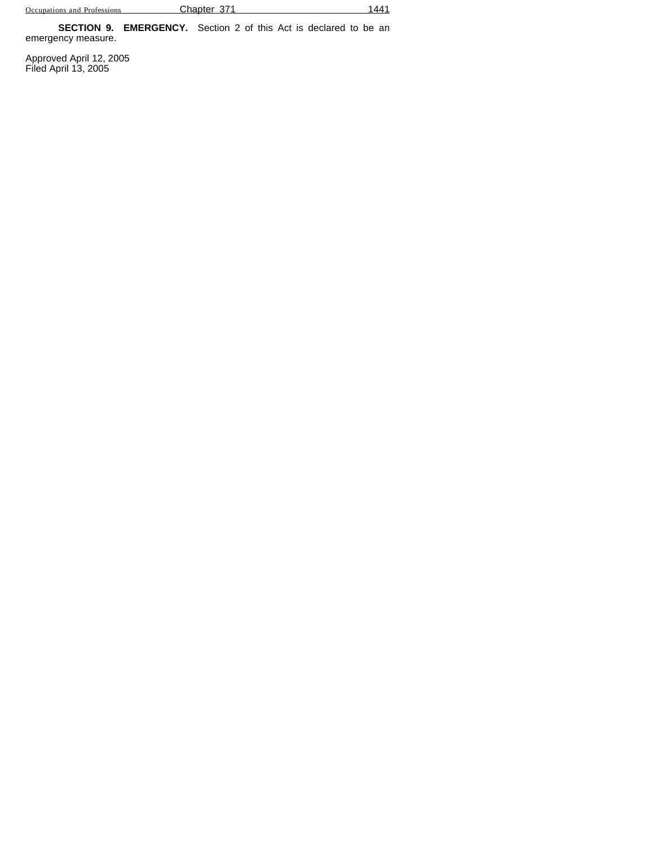**SECTION 9. EMERGENCY.** Section 2 of this Act is declared to be an emergency measure.

Approved April 12, 2005 Filed April 13, 2005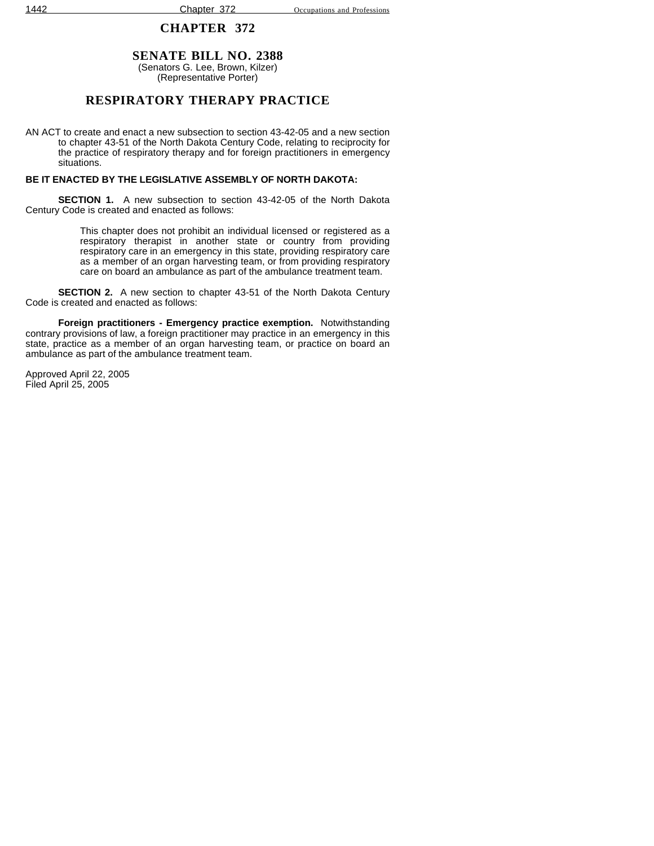### **SENATE BILL NO. 2388** (Senators G. Lee, Brown, Kilzer)

(Representative Porter)

## **RESPIRATORY THERAPY PRACTICE**

AN ACT to create and enact a new subsection to section 43-42-05 and a new section to chapter 43-51 of the North Dakota Century Code, relating to reciprocity for the practice of respiratory therapy and for foreign practitioners in emergency situations.

### **BE IT ENACTED BY THE LEGISLATIVE ASSEMBLY OF NORTH DAKOTA:**

**SECTION 1.** A new subsection to section 43-42-05 of the North Dakota Century Code is created and enacted as follows:

> This chapter does not prohibit an individual licensed or registered as a respiratory therapist in another state or country from providing respiratory care in an emergency in this state, providing respiratory care as a member of an organ harvesting team, or from providing respiratory care on board an ambulance as part of the ambulance treatment team.

**SECTION 2.** A new section to chapter 43-51 of the North Dakota Century Code is created and enacted as follows:

**Foreign practitioners - Emergency practice exemption.** Notwithstanding contrary provisions of law, a foreign practitioner may practice in an emergency in this state, practice as a member of an organ harvesting team, or practice on board an ambulance as part of the ambulance treatment team.

Approved April 22, 2005 Filed April 25, 2005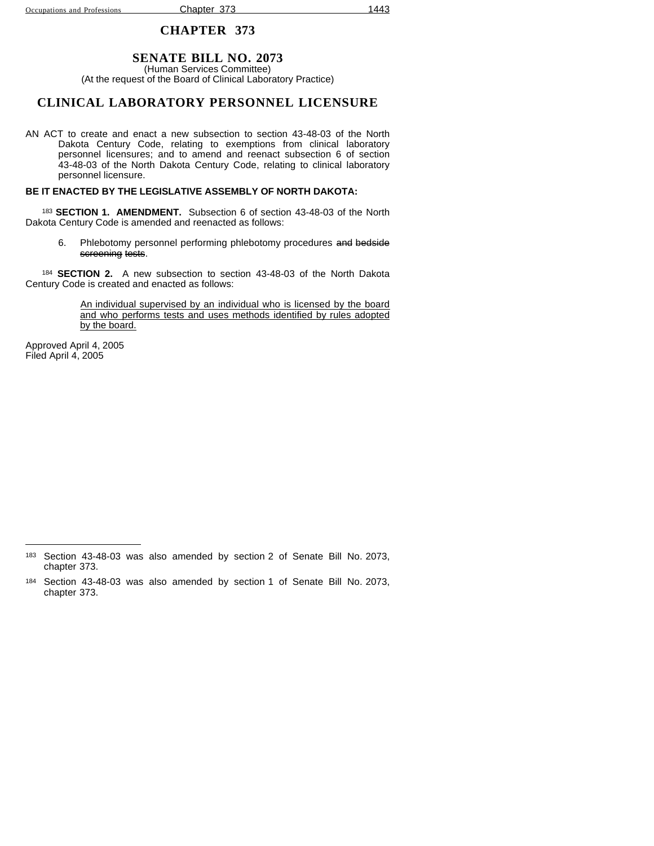### **SENATE BILL NO. 2073**

(Human Services Committee) (At the request of the Board of Clinical Laboratory Practice)

### **CLINICAL LABORATORY PERSONNEL LICENSURE**

AN ACT to create and enact a new subsection to section 43-48-03 of the North Dakota Century Code, relating to exemptions from clinical laboratory personnel licensures; and to amend and reenact subsection 6 of section 43-48-03 of the North Dakota Century Code, relating to clinical laboratory personnel licensure.

#### **BE IT ENACTED BY THE LEGISLATIVE ASSEMBLY OF NORTH DAKOTA:**

<sup>183</sup> **SECTION 1. AMENDMENT.** Subsection 6 of section 43-48-03 of the North Dakota Century Code is amended and reenacted as follows:

6. Phlebotomy personnel performing phlebotomy procedures and bedside screening tests.

<sup>184</sup> **SECTION 2.** A new subsection to section 43-48-03 of the North Dakota Century Code is created and enacted as follows:

> An individual supervised by an individual who is licensed by the board and who performs tests and uses methods identified by rules adopted by the board.

Approved April 4, 2005 Filed April 4, 2005

<sup>183</sup> Section 43-48-03 was also amended by section 2 of Senate Bill No. 2073, chapter 373.

<sup>184</sup> Section 43-48-03 was also amended by section 1 of Senate Bill No. 2073, chapter 373.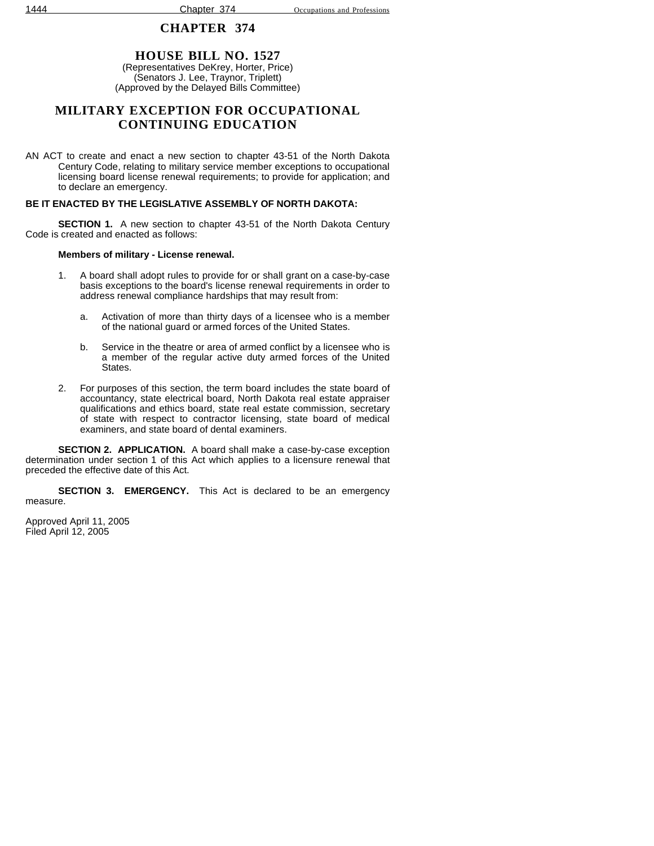# **HOUSE BILL NO. 1527**

(Representatives DeKrey, Horter, Price) (Senators J. Lee, Traynor, Triplett) (Approved by the Delayed Bills Committee)

## **MILITARY EXCEPTION FOR OCCUPATIONAL CONTINUING EDUCATION**

AN ACT to create and enact a new section to chapter 43-51 of the North Dakota Century Code, relating to military service member exceptions to occupational licensing board license renewal requirements; to provide for application; and to declare an emergency.

### **BE IT ENACTED BY THE LEGISLATIVE ASSEMBLY OF NORTH DAKOTA:**

**SECTION 1.** A new section to chapter 43-51 of the North Dakota Century Code is created and enacted as follows:

### **Members of military - License renewal.**

- 1. A board shall adopt rules to provide for or shall grant on a case-by-case basis exceptions to the board's license renewal requirements in order to address renewal compliance hardships that may result from:
	- a. Activation of more than thirty days of a licensee who is a member of the national guard or armed forces of the United States.
	- b. Service in the theatre or area of armed conflict by a licensee who is a member of the regular active duty armed forces of the United States.
- 2. For purposes of this section, the term board includes the state board of accountancy, state electrical board, North Dakota real estate appraiser qualifications and ethics board, state real estate commission, secretary of state with respect to contractor licensing, state board of medical examiners, and state board of dental examiners.

**SECTION 2. APPLICATION.** A board shall make a case-by-case exception determination under section 1 of this Act which applies to a licensure renewal that preceded the effective date of this Act.

**SECTION 3. EMERGENCY.** This Act is declared to be an emergency measure.

Approved April 11, 2005 Filed April 12, 2005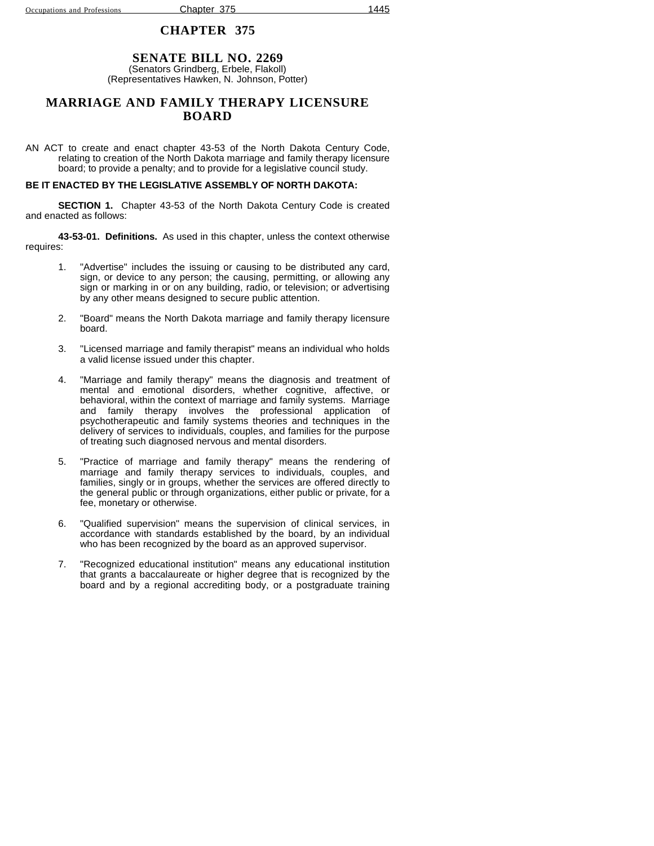#### **SENATE BILL NO. 2269** (Senators Grindberg, Erbele, Flakoll) (Representatives Hawken, N. Johnson, Potter)

### **MARRIAGE AND FAMILY THERAPY LICENSURE BOARD**

AN ACT to create and enact chapter 43-53 of the North Dakota Century Code, relating to creation of the North Dakota marriage and family therapy licensure board; to provide a penalty; and to provide for a legislative council study.

### **BE IT ENACTED BY THE LEGISLATIVE ASSEMBLY OF NORTH DAKOTA:**

**SECTION 1.** Chapter 43-53 of the North Dakota Century Code is created and enacted as follows:

**43-53-01. Definitions.** As used in this chapter, unless the context otherwise requires:

- 1. "Advertise" includes the issuing or causing to be distributed any card, sign, or device to any person; the causing, permitting, or allowing any sign or marking in or on any building, radio, or television; or advertising by any other means designed to secure public attention.
- 2. "Board" means the North Dakota marriage and family therapy licensure board.
- 3. "Licensed marriage and family therapist" means an individual who holds a valid license issued under this chapter.
- 4. "Marriage and family therapy" means the diagnosis and treatment of mental and emotional disorders, whether cognitive, affective, or behavioral, within the context of marriage and family systems. Marriage and family therapy involves the professional application of psychotherapeutic and family systems theories and techniques in the delivery of services to individuals, couples, and families for the purpose of treating such diagnosed nervous and mental disorders.
- 5. "Practice of marriage and family therapy" means the rendering of marriage and family therapy services to individuals, couples, and families, singly or in groups, whether the services are offered directly to the general public or through organizations, either public or private, for a fee, monetary or otherwise.
- 6. "Qualified supervision" means the supervision of clinical services, in accordance with standards established by the board, by an individual who has been recognized by the board as an approved supervisor.
- 7. "Recognized educational institution" means any educational institution that grants a baccalaureate or higher degree that is recognized by the board and by a regional accrediting body, or a postgraduate training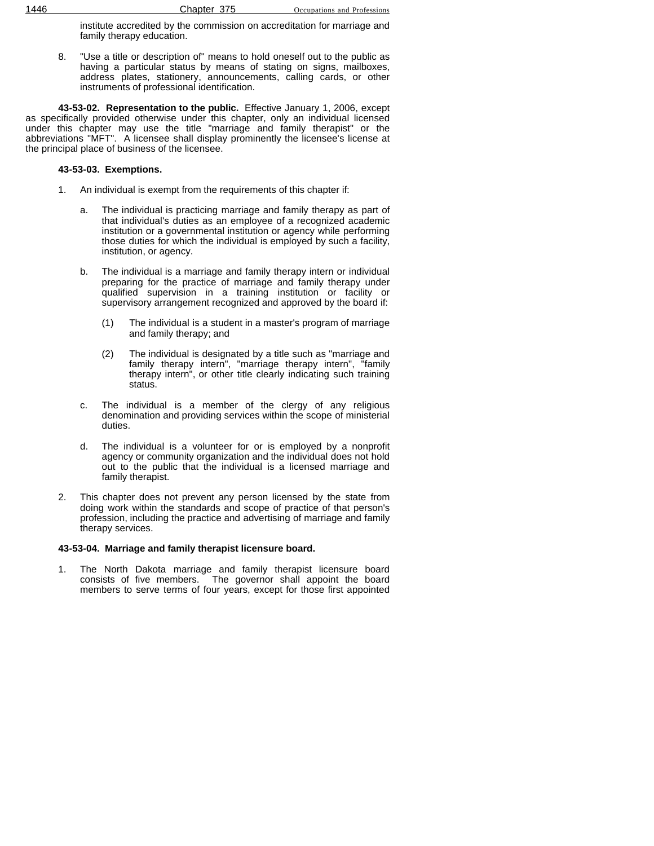institute accredited by the commission on accreditation for marriage and family therapy education.

8. "Use a title or description of" means to hold oneself out to the public as having a particular status by means of stating on signs, mailboxes, address plates, stationery, announcements, calling cards, or other instruments of professional identification.

**43-53-02. Representation to the public.** Effective January 1, 2006, except as specifically provided otherwise under this chapter, only an individual licensed under this chapter may use the title "marriage and family therapist" or the abbreviations "MFT". A licensee shall display prominently the licensee's license at the principal place of business of the licensee.

#### **43-53-03. Exemptions.**

- 1. An individual is exempt from the requirements of this chapter if:
	- a. The individual is practicing marriage and family therapy as part of that individual's duties as an employee of a recognized academic institution or a governmental institution or agency while performing those duties for which the individual is employed by such a facility, institution, or agency.
	- b. The individual is a marriage and family therapy intern or individual preparing for the practice of marriage and family therapy under qualified supervision in a training institution or facility or supervisory arrangement recognized and approved by the board if:
		- (1) The individual is a student in a master's program of marriage and family therapy; and
		- (2) The individual is designated by a title such as "marriage and family therapy intern", "marriage therapy intern", "family therapy intern", or other title clearly indicating such training status.
	- c. The individual is a member of the clergy of any religious denomination and providing services within the scope of ministerial duties.
	- d. The individual is a volunteer for or is employed by a nonprofit agency or community organization and the individual does not hold out to the public that the individual is a licensed marriage and family therapist.
- 2. This chapter does not prevent any person licensed by the state from doing work within the standards and scope of practice of that person's profession, including the practice and advertising of marriage and family therapy services.

### **43-53-04. Marriage and family therapist licensure board.**

1. The North Dakota marriage and family therapist licensure board consists of five members. The governor shall appoint the board members to serve terms of four years, except for those first appointed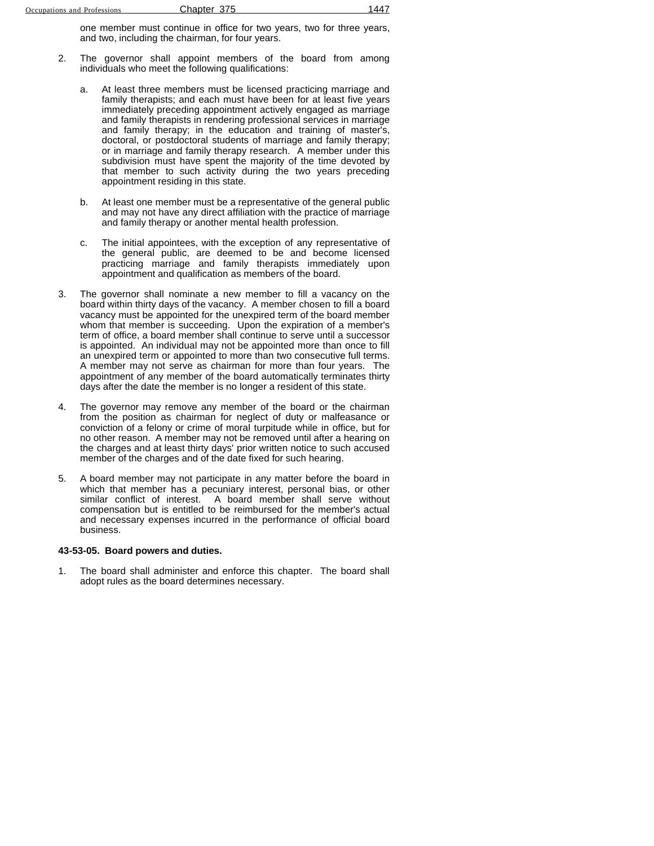one member must continue in office for two years, two for three years, and two, including the chairman, for four years.

- 2. The governor shall appoint members of the board from among individuals who meet the following qualifications:
	- a. At least three members must be licensed practicing marriage and family therapists; and each must have been for at least five years immediately preceding appointment actively engaged as marriage and family therapists in rendering professional services in marriage and family therapy; in the education and training of master's, doctoral, or postdoctoral students of marriage and family therapy; or in marriage and family therapy research. A member under this subdivision must have spent the majority of the time devoted by that member to such activity during the two years preceding appointment residing in this state.
	- b. At least one member must be a representative of the general public and may not have any direct affiliation with the practice of marriage and family therapy or another mental health profession.
	- c. The initial appointees, with the exception of any representative of the general public, are deemed to be and become licensed practicing marriage and family therapists immediately upon appointment and qualification as members of the board.
- 3. The governor shall nominate a new member to fill a vacancy on the board within thirty days of the vacancy. A member chosen to fill a board vacancy must be appointed for the unexpired term of the board member whom that member is succeeding. Upon the expiration of a member's term of office, a board member shall continue to serve until a successor is appointed. An individual may not be appointed more than once to fill an unexpired term or appointed to more than two consecutive full terms. A member may not serve as chairman for more than four years. The appointment of any member of the board automatically terminates thirty days after the date the member is no longer a resident of this state.
- 4. The governor may remove any member of the board or the chairman from the position as chairman for neglect of duty or malfeasance or conviction of a felony or crime of moral turpitude while in office, but for no other reason. A member may not be removed until after a hearing on the charges and at least thirty days' prior written notice to such accused member of the charges and of the date fixed for such hearing.
- 5. A board member may not participate in any matter before the board in which that member has a pecuniary interest, personal bias, or other similar conflict of interest. A board member shall serve without compensation but is entitled to be reimbursed for the member's actual and necessary expenses incurred in the performance of official board business.

#### **43-53-05. Board powers and duties.**

1. The board shall administer and enforce this chapter. The board shall adopt rules as the board determines necessary.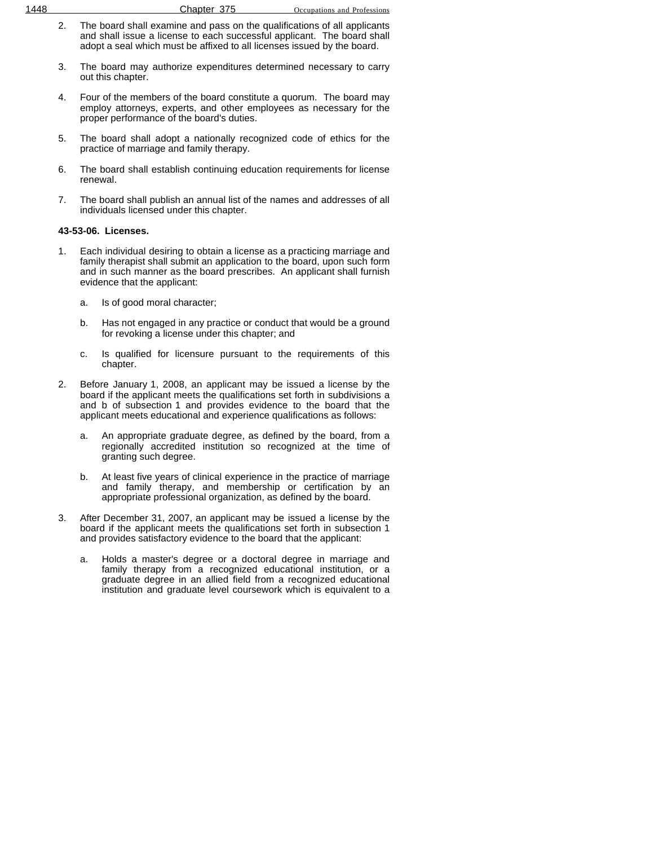- 3. The board may authorize expenditures determined necessary to carry out this chapter.
- 4. Four of the members of the board constitute a quorum. The board may employ attorneys, experts, and other employees as necessary for the proper performance of the board's duties.
- 5. The board shall adopt a nationally recognized code of ethics for the practice of marriage and family therapy.
- 6. The board shall establish continuing education requirements for license renewal.
- 7. The board shall publish an annual list of the names and addresses of all individuals licensed under this chapter.

### **43-53-06. Licenses.**

- 1. Each individual desiring to obtain a license as a practicing marriage and family therapist shall submit an application to the board, upon such form and in such manner as the board prescribes. An applicant shall furnish evidence that the applicant:
	- a. Is of good moral character;
	- b. Has not engaged in any practice or conduct that would be a ground for revoking a license under this chapter; and
	- c. Is qualified for licensure pursuant to the requirements of this chapter.
- 2. Before January 1, 2008, an applicant may be issued a license by the board if the applicant meets the qualifications set forth in subdivisions a and b of subsection 1 and provides evidence to the board that the applicant meets educational and experience qualifications as follows:
	- a. An appropriate graduate degree, as defined by the board, from a regionally accredited institution so recognized at the time of granting such degree.
	- b. At least five years of clinical experience in the practice of marriage and family therapy, and membership or certification by an appropriate professional organization, as defined by the board.
- 3. After December 31, 2007, an applicant may be issued a license by the board if the applicant meets the qualifications set forth in subsection 1 and provides satisfactory evidence to the board that the applicant:
	- a. Holds a master's degree or a doctoral degree in marriage and family therapy from a recognized educational institution, or a graduate degree in an allied field from a recognized educational institution and graduate level coursework which is equivalent to a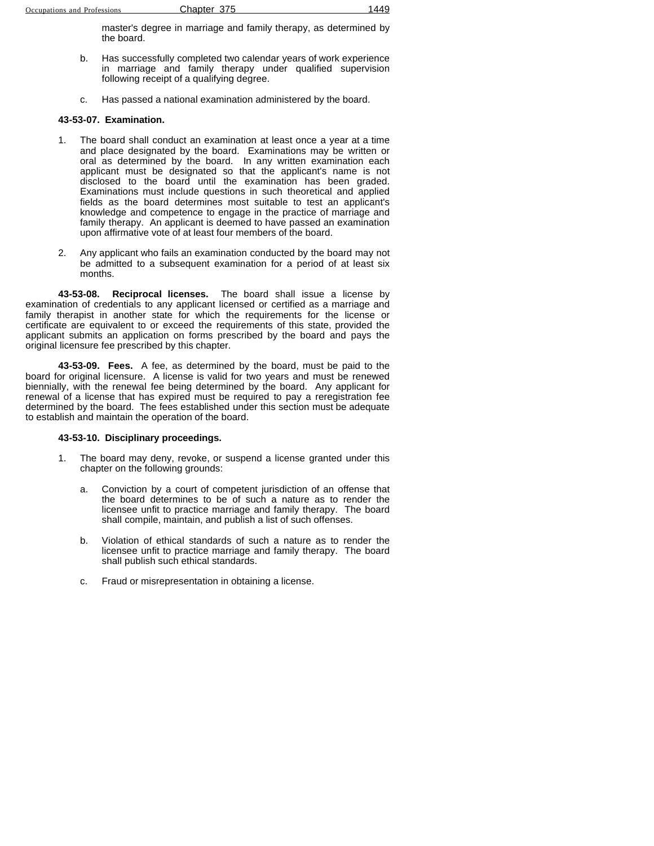master's degree in marriage and family therapy, as determined by the board.

- b. Has successfully completed two calendar years of work experience in marriage and family therapy under qualified supervision following receipt of a qualifying degree.
- c. Has passed a national examination administered by the board.

### **43-53-07. Examination.**

- 1. The board shall conduct an examination at least once a year at a time and place designated by the board. Examinations may be written or oral as determined by the board. In any written examination each applicant must be designated so that the applicant's name is not disclosed to the board until the examination has been graded. Examinations must include questions in such theoretical and applied fields as the board determines most suitable to test an applicant's knowledge and competence to engage in the practice of marriage and family therapy. An applicant is deemed to have passed an examination upon affirmative vote of at least four members of the board.
- 2. Any applicant who fails an examination conducted by the board may not be admitted to a subsequent examination for a period of at least six months.

**43-53-08. Reciprocal licenses.** The board shall issue a license by examination of credentials to any applicant licensed or certified as a marriage and family therapist in another state for which the requirements for the license or certificate are equivalent to or exceed the requirements of this state, provided the applicant submits an application on forms prescribed by the board and pays the original licensure fee prescribed by this chapter.

**43-53-09. Fees.** A fee, as determined by the board, must be paid to the board for original licensure. A license is valid for two years and must be renewed biennially, with the renewal fee being determined by the board. Any applicant for renewal of a license that has expired must be required to pay a reregistration fee determined by the board. The fees established under this section must be adequate to establish and maintain the operation of the board.

### **43-53-10. Disciplinary proceedings.**

- 1. The board may deny, revoke, or suspend a license granted under this chapter on the following grounds:
	- a. Conviction by a court of competent jurisdiction of an offense that the board determines to be of such a nature as to render the licensee unfit to practice marriage and family therapy. The board shall compile, maintain, and publish a list of such offenses.
	- b. Violation of ethical standards of such a nature as to render the licensee unfit to practice marriage and family therapy. The board shall publish such ethical standards.
	- c. Fraud or misrepresentation in obtaining a license.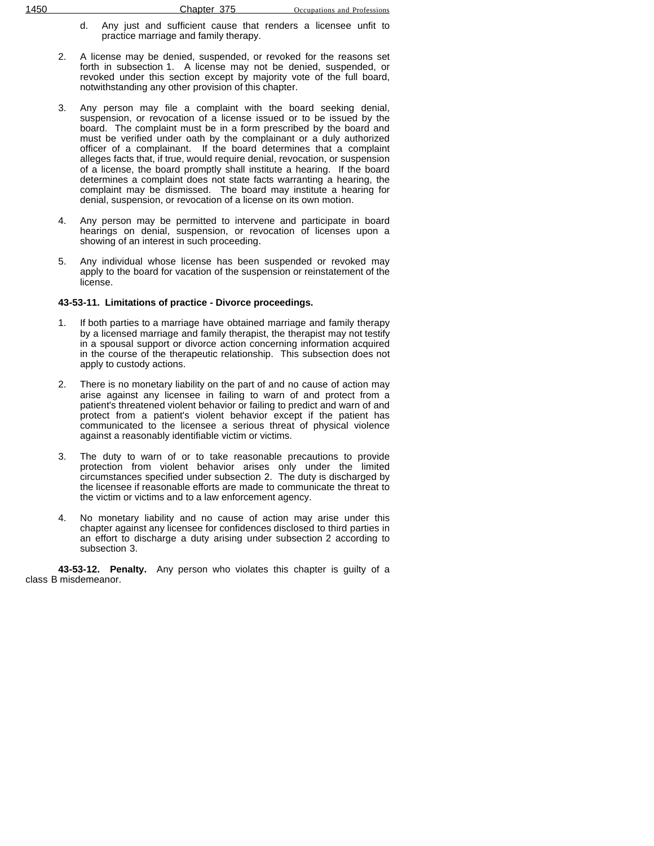- d. Any just and sufficient cause that renders a licensee unfit to practice marriage and family therapy.
- 2. A license may be denied, suspended, or revoked for the reasons set forth in subsection 1. A license may not be denied, suspended, or revoked under this section except by majority vote of the full board, notwithstanding any other provision of this chapter.
- 3. Any person may file a complaint with the board seeking denial, suspension, or revocation of a license issued or to be issued by the board. The complaint must be in a form prescribed by the board and must be verified under oath by the complainant or a duly authorized officer of a complainant. If the board determines that a complaint alleges facts that, if true, would require denial, revocation, or suspension of a license, the board promptly shall institute a hearing. If the board determines a complaint does not state facts warranting a hearing, the complaint may be dismissed. The board may institute a hearing for denial, suspension, or revocation of a license on its own motion.
- 4. Any person may be permitted to intervene and participate in board hearings on denial, suspension, or revocation of licenses upon a showing of an interest in such proceeding.
- 5. Any individual whose license has been suspended or revoked may apply to the board for vacation of the suspension or reinstatement of the license.

#### **43-53-11. Limitations of practice - Divorce proceedings.**

- If both parties to a marriage have obtained marriage and family therapy by a licensed marriage and family therapist, the therapist may not testify in a spousal support or divorce action concerning information acquired in the course of the therapeutic relationship. This subsection does not apply to custody actions.
- 2. There is no monetary liability on the part of and no cause of action may arise against any licensee in failing to warn of and protect from a patient's threatened violent behavior or failing to predict and warn of and protect from a patient's violent behavior except if the patient has communicated to the licensee a serious threat of physical violence against a reasonably identifiable victim or victims.
- 3. The duty to warn of or to take reasonable precautions to provide protection from violent behavior arises only under the limited circumstances specified under subsection 2. The duty is discharged by the licensee if reasonable efforts are made to communicate the threat to the victim or victims and to a law enforcement agency.
- 4. No monetary liability and no cause of action may arise under this chapter against any licensee for confidences disclosed to third parties in an effort to discharge a duty arising under subsection 2 according to subsection 3.

**43-53-12. Penalty.** Any person who violates this chapter is guilty of a class B misdemeanor.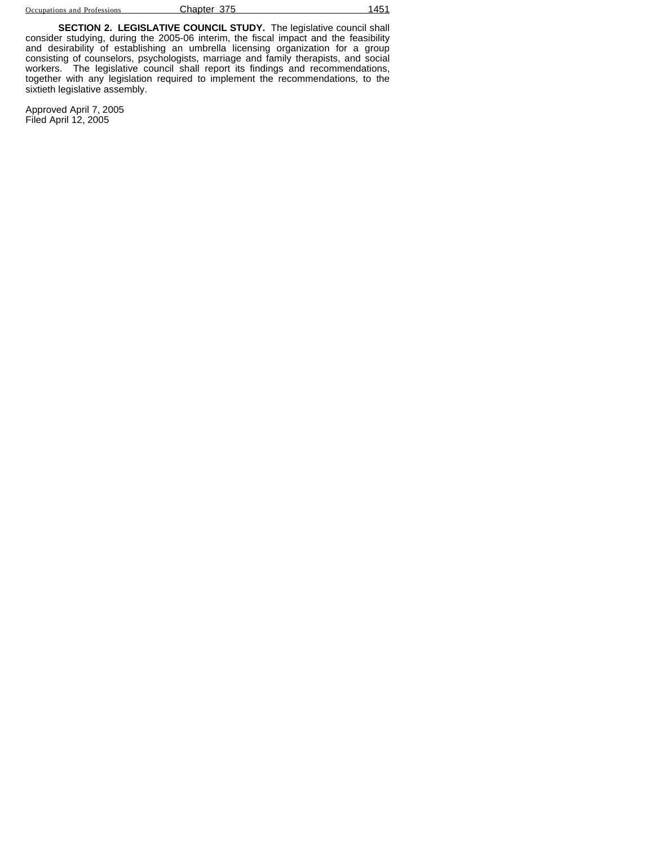**SECTION 2. LEGISLATIVE COUNCIL STUDY.** The legislative council shall consider studying, during the 2005-06 interim, the fiscal impact and the feasibility and desirability of establishing an umbrella licensing organization for a group consisting of counselors, psychologists, marriage and family therapists, and social workers. The legislative council shall report its findings and recommendations, together with any legislation required to implement the recommendations, to the sixtieth legislative assembly.

Approved April 7, 2005 Filed April 12, 2005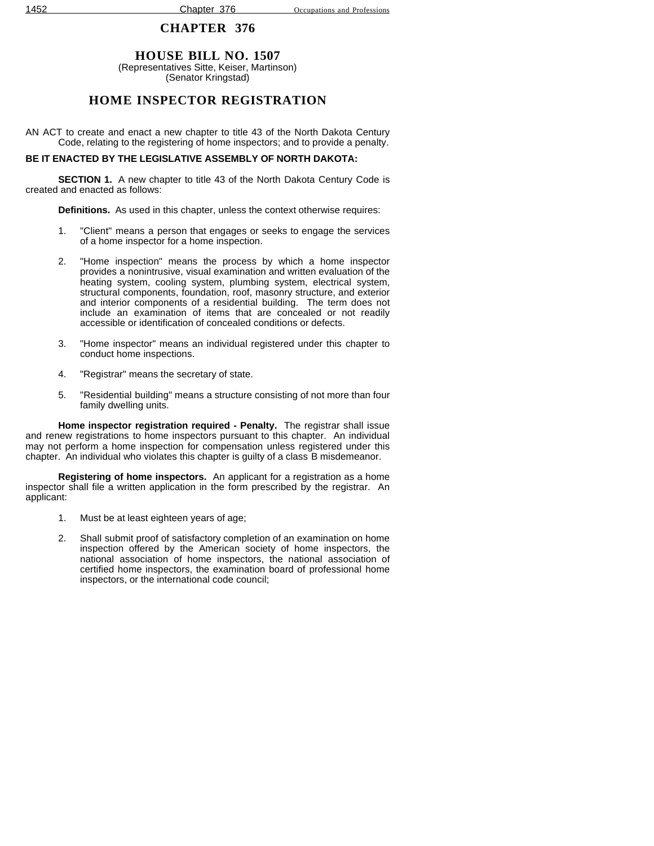## **CHAPTER 376**

## **HOUSE BILL NO. 1507**

(Representatives Sitte, Keiser, Martinson) (Senator Kringstad)

## **HOME INSPECTOR REGISTRATION**

AN ACT to create and enact a new chapter to title 43 of the North Dakota Century Code, relating to the registering of home inspectors; and to provide a penalty.

## **BE IT ENACTED BY THE LEGISLATIVE ASSEMBLY OF NORTH DAKOTA:**

**SECTION 1.** A new chapter to title 43 of the North Dakota Century Code is created and enacted as follows:

**Definitions.** As used in this chapter, unless the context otherwise requires:

- 1. "Client" means a person that engages or seeks to engage the services of a home inspector for a home inspection.
- 2. "Home inspection" means the process by which a home inspector provides a nonintrusive, visual examination and written evaluation of the heating system, cooling system, plumbing system, electrical system, structural components, foundation, roof, masonry structure, and exterior and interior components of a residential building. The term does not include an examination of items that are concealed or not readily accessible or identification of concealed conditions or defects.
- 3. "Home inspector" means an individual registered under this chapter to conduct home inspections.
- 4. "Registrar" means the secretary of state.
- 5. "Residential building" means a structure consisting of not more than four family dwelling units.

**Home inspector registration required - Penalty.** The registrar shall issue and renew registrations to home inspectors pursuant to this chapter. An individual may not perform a home inspection for compensation unless registered under this chapter. An individual who violates this chapter is guilty of a class B misdemeanor.

**Registering of home inspectors.** An applicant for a registration as a home inspector shall file a written application in the form prescribed by the registrar. An applicant:

- 1. Must be at least eighteen years of age;
- 2. Shall submit proof of satisfactory completion of an examination on home inspection offered by the American society of home inspectors, the national association of home inspectors, the national association of certified home inspectors, the examination board of professional home inspectors, or the international code council;